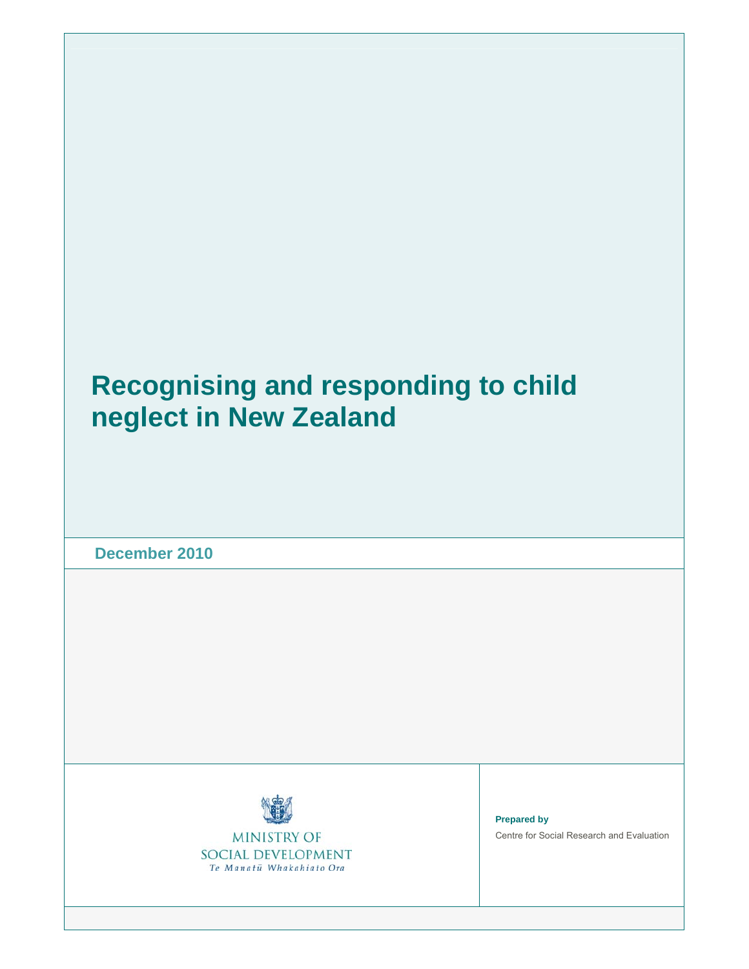# **Recognising and responding to child neglect in New Zealand**

**December 2010** 



**MINISTRY OF** SOCIAL DEVELOPMENT Te Manatū Whakahiato Ora

**Prepared by**  Centre for Social Research and Evaluation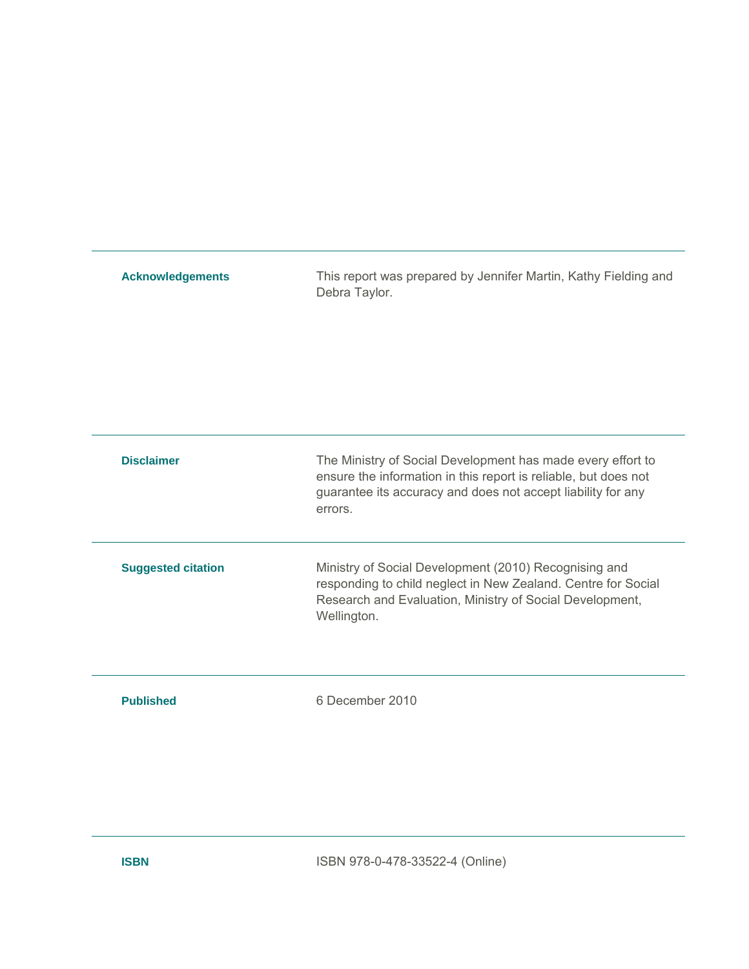| <b>Acknowledgements</b>   | This report was prepared by Jennifer Martin, Kathy Fielding and<br>Debra Taylor.                                                                                                                          |
|---------------------------|-----------------------------------------------------------------------------------------------------------------------------------------------------------------------------------------------------------|
| <b>Disclaimer</b>         | The Ministry of Social Development has made every effort to<br>ensure the information in this report is reliable, but does not<br>guarantee its accuracy and does not accept liability for any<br>errors. |
| <b>Suggested citation</b> | Ministry of Social Development (2010) Recognising and<br>responding to child neglect in New Zealand. Centre for Social<br>Research and Evaluation, Ministry of Social Development,<br>Wellington.         |
| <b>Published</b>          | 6 December 2010                                                                                                                                                                                           |

**ISBN ISBN** 978-0-478-33522-4 (Online)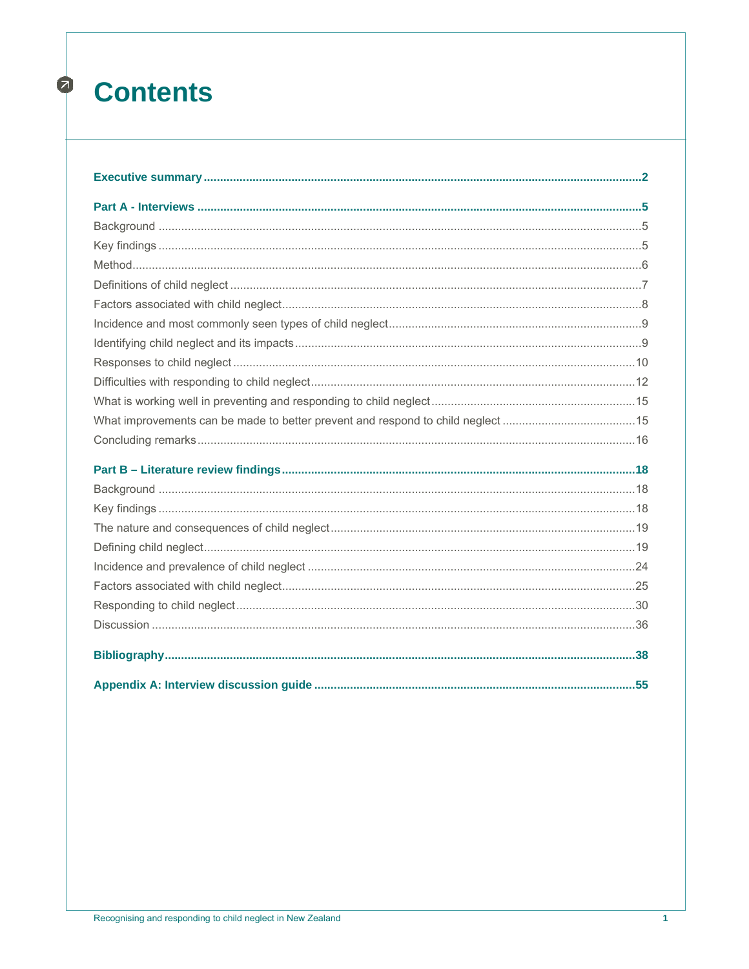# $\bullet$ **Contents**

| What improvements can be made to better prevent and respond to child neglect 15 |  |
|---------------------------------------------------------------------------------|--|
|                                                                                 |  |
|                                                                                 |  |
|                                                                                 |  |
|                                                                                 |  |
|                                                                                 |  |
|                                                                                 |  |
|                                                                                 |  |
|                                                                                 |  |
|                                                                                 |  |
|                                                                                 |  |
|                                                                                 |  |
|                                                                                 |  |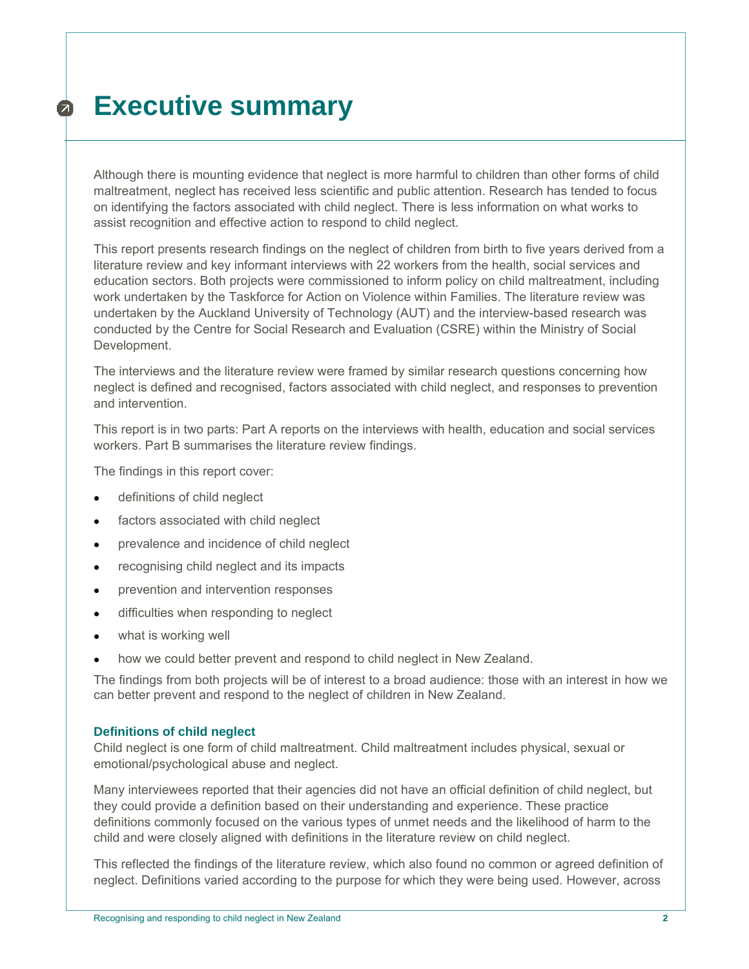# **Executive summary**   $\boldsymbol{\Omega}$

Although there is mounting evidence that neglect is more harmful to children than other forms of child maltreatment, neglect has received less scientific and public attention. Research has tended to focus on identifying the factors associated with child neglect. There is less information on what works to assist recognition and effective action to respond to child neglect.

This report presents research findings on the neglect of children from birth to five years derived from a literature review and key informant interviews with 22 workers from the health, social services and education sectors. Both projects were commissioned to inform policy on child maltreatment, including work undertaken by the Taskforce for Action on Violence within Families. The literature review was undertaken by the Auckland University of Technology (AUT) and the interview-based research was conducted by the Centre for Social Research and Evaluation (CSRE) within the Ministry of Social Development.

The interviews and the literature review were framed by similar research questions concerning how neglect is defined and recognised, factors associated with child neglect, and responses to prevention and intervention.

This report is in two parts: Part A reports on the interviews with health, education and social services workers. Part B summarises the literature review findings.

The findings in this report cover:

- definitions of child neglect
- **•** factors associated with child neglect
- prevalence and incidence of child neglect
- recognising child neglect and its impacts
- **•** prevention and intervention responses
- difficulties when responding to neglect
- what is working well
- how we could better prevent and respond to child neglect in New Zealand.

The findings from both projects will be of interest to a broad audience: those with an interest in how we can better prevent and respond to the neglect of children in New Zealand.

#### **Definitions of child neglect**

Child neglect is one form of child maltreatment. Child maltreatment includes physical, sexual or emotional/psychological abuse and neglect.

Many interviewees reported that their agencies did not have an official definition of child neglect, but they could provide a definition based on their understanding and experience. These practice definitions commonly focused on the various types of unmet needs and the likelihood of harm to the child and were closely aligned with definitions in the literature review on child neglect.

This reflected the findings of the literature review, which also found no common or agreed definition of neglect. Definitions varied according to the purpose for which they were being used. However, across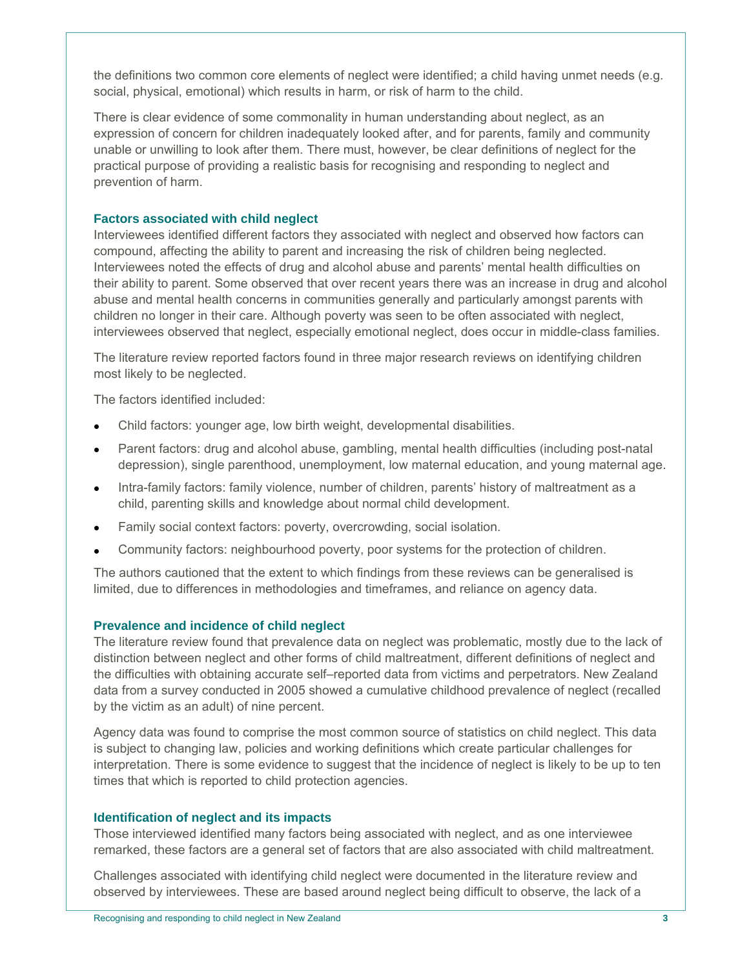the definitions two common core elements of neglect were identified; a child having unmet needs (e.g. social, physical, emotional) which results in harm, or risk of harm to the child.

There is clear evidence of some commonality in human understanding about neglect, as an expression of concern for children inadequately looked after, and for parents, family and community unable or unwilling to look after them. There must, however, be clear definitions of neglect for the practical purpose of providing a realistic basis for recognising and responding to neglect and prevention of harm.

#### **Factors associated with child neglect**

Interviewees identified different factors they associated with neglect and observed how factors can compound, affecting the ability to parent and increasing the risk of children being neglected. Interviewees noted the effects of drug and alcohol abuse and parents' mental health difficulties on their ability to parent. Some observed that over recent years there was an increase in drug and alcohol abuse and mental health concerns in communities generally and particularly amongst parents with children no longer in their care. Although poverty was seen to be often associated with neglect, interviewees observed that neglect, especially emotional neglect, does occur in middle-class families.

The literature review reported factors found in three major research reviews on identifying children most likely to be neglected.

The factors identified included:

- Child factors: younger age, low birth weight, developmental disabilities.
- Parent factors: drug and alcohol abuse, gambling, mental health difficulties (including post-natal depression), single parenthood, unemployment, low maternal education, and young maternal age.
- Intra-family factors: family violence, number of children, parents' history of maltreatment as a child, parenting skills and knowledge about normal child development.
- Family social context factors: poverty, overcrowding, social isolation.
- Community factors: neighbourhood poverty, poor systems for the protection of children.

The authors cautioned that the extent to which findings from these reviews can be generalised is limited, due to differences in methodologies and timeframes, and reliance on agency data.

## **Prevalence and incidence of child neglect**

The literature review found that prevalence data on neglect was problematic, mostly due to the lack of distinction between neglect and other forms of child maltreatment, different definitions of neglect and the difficulties with obtaining accurate self–reported data from victims and perpetrators. New Zealand data from a survey conducted in 2005 showed a cumulative childhood prevalence of neglect (recalled by the victim as an adult) of nine percent.

Agency data was found to comprise the most common source of statistics on child neglect. This data is subject to changing law, policies and working definitions which create particular challenges for interpretation. There is some evidence to suggest that the incidence of neglect is likely to be up to ten times that which is reported to child protection agencies.

#### **Identification of neglect and its impacts**

Those interviewed identified many factors being associated with neglect, and as one interviewee remarked, these factors are a general set of factors that are also associated with child maltreatment.

Challenges associated with identifying child neglect were documented in the literature review and observed by interviewees. These are based around neglect being difficult to observe, the lack of a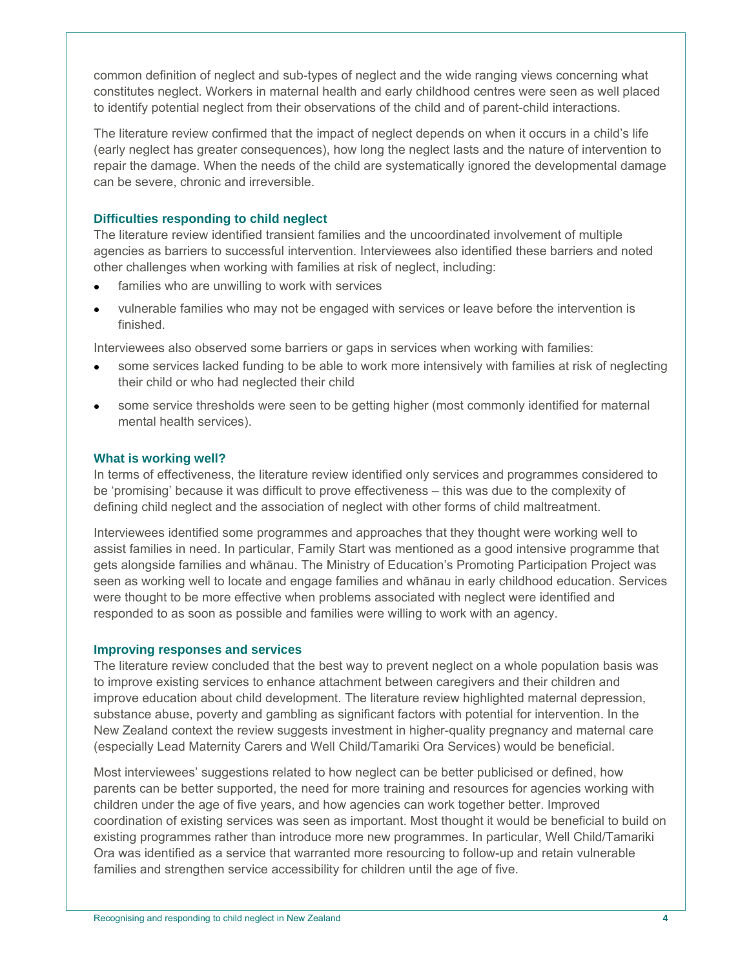common definition of neglect and sub-types of neglect and the wide ranging views concerning what constitutes neglect. Workers in maternal health and early childhood centres were seen as well placed to identify potential neglect from their observations of the child and of parent-child interactions.

The literature review confirmed that the impact of neglect depends on when it occurs in a child's life (early neglect has greater consequences), how long the neglect lasts and the nature of intervention to repair the damage. When the needs of the child are systematically ignored the developmental damage can be severe, chronic and irreversible.

## **Difficulties responding to child neglect**

The literature review identified transient families and the uncoordinated involvement of multiple agencies as barriers to successful intervention. Interviewees also identified these barriers and noted other challenges when working with families at risk of neglect, including:

- families who are unwilling to work with services
- vulnerable families who may not be engaged with services or leave before the intervention is finished.

Interviewees also observed some barriers or gaps in services when working with families:

- some services lacked funding to be able to work more intensively with families at risk of neglecting their child or who had neglected their child
- some service thresholds were seen to be getting higher (most commonly identified for maternal mental health services).

## **What is working well?**

In terms of effectiveness, the literature review identified only services and programmes considered to be 'promising' because it was difficult to prove effectiveness – this was due to the complexity of defining child neglect and the association of neglect with other forms of child maltreatment.

Interviewees identified some programmes and approaches that they thought were working well to assist families in need. In particular, Family Start was mentioned as a good intensive programme that gets alongside families and whānau. The Ministry of Education's Promoting Participation Project was seen as working well to locate and engage families and whānau in early childhood education. Services were thought to be more effective when problems associated with neglect were identified and responded to as soon as possible and families were willing to work with an agency.

## **Improving responses and services**

The literature review concluded that the best way to prevent neglect on a whole population basis was to improve existing services to enhance attachment between caregivers and their children and improve education about child development. The literature review highlighted maternal depression, substance abuse, poverty and gambling as significant factors with potential for intervention. In the New Zealand context the review suggests investment in higher-quality pregnancy and maternal care (especially Lead Maternity Carers and Well Child/Tamariki Ora Services) would be beneficial.

Most interviewees' suggestions related to how neglect can be better publicised or defined, how parents can be better supported, the need for more training and resources for agencies working with children under the age of five years, and how agencies can work together better. Improved coordination of existing services was seen as important. Most thought it would be beneficial to build on existing programmes rather than introduce more new programmes. In particular, Well Child/Tamariki Ora was identified as a service that warranted more resourcing to follow-up and retain vulnerable families and strengthen service accessibility for children until the age of five.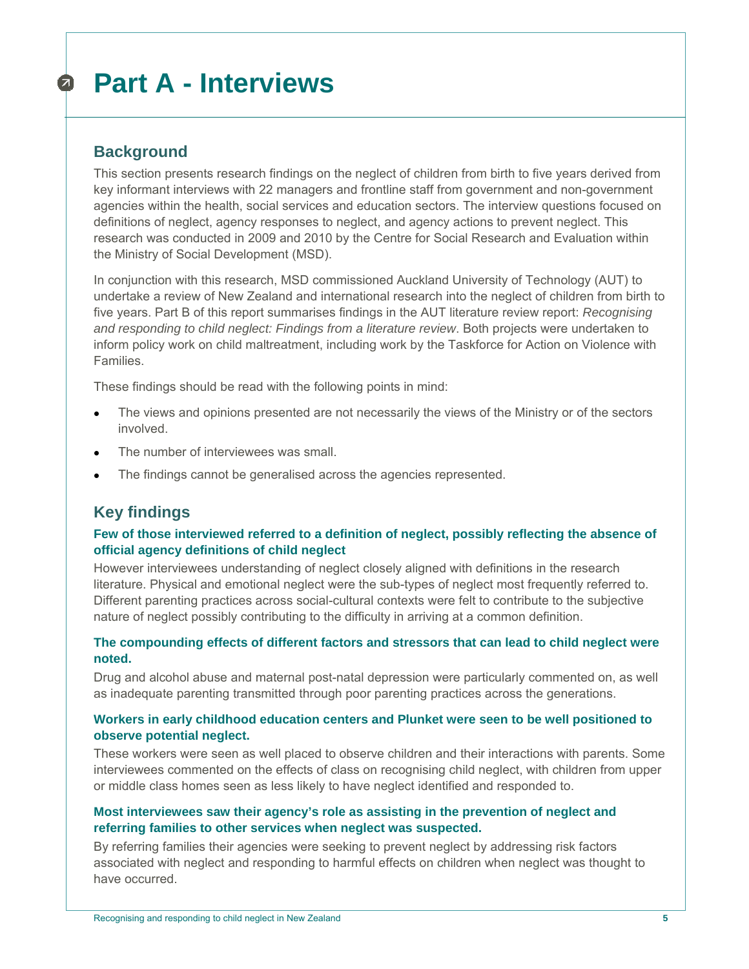## **Part A - Interviews**   $\sigma$

# **Background**

This section presents research findings on the neglect of children from birth to five years derived from key informant interviews with 22 managers and frontline staff from government and non-government agencies within the health, social services and education sectors. The interview questions focused on definitions of neglect, agency responses to neglect, and agency actions to prevent neglect. This research was conducted in 2009 and 2010 by the Centre for Social Research and Evaluation within the Ministry of Social Development (MSD).

In conjunction with this research, MSD commissioned Auckland University of Technology (AUT) to undertake a review of New Zealand and international research into the neglect of children from birth to five years. Part B of this report summarises findings in the AUT literature review report: *Recognising and responding to child neglect: Findings from a literature review*. Both projects were undertaken to inform policy work on child maltreatment, including work by the Taskforce for Action on Violence with Families.

These findings should be read with the following points in mind:

- The views and opinions presented are not necessarily the views of the Ministry or of the sectors involved.
- The number of interviewees was small.
- The findings cannot be generalised across the agencies represented.

# **Key findings**

## **Few of those interviewed referred to a definition of neglect, possibly reflecting the absence of official agency definitions of child neglect**

However interviewees understanding of neglect closely aligned with definitions in the research literature. Physical and emotional neglect were the sub-types of neglect most frequently referred to. Different parenting practices across social-cultural contexts were felt to contribute to the subjective nature of neglect possibly contributing to the difficulty in arriving at a common definition.

## **The compounding effects of different factors and stressors that can lead to child neglect were noted.**

Drug and alcohol abuse and maternal post-natal depression were particularly commented on, as well as inadequate parenting transmitted through poor parenting practices across the generations.

## **Workers in early childhood education centers and Plunket were seen to be well positioned to observe potential neglect.**

These workers were seen as well placed to observe children and their interactions with parents. Some interviewees commented on the effects of class on recognising child neglect, with children from upper or middle class homes seen as less likely to have neglect identified and responded to.

## **Most interviewees saw their agency's role as assisting in the prevention of neglect and referring families to other services when neglect was suspected.**

By referring families their agencies were seeking to prevent neglect by addressing risk factors associated with neglect and responding to harmful effects on children when neglect was thought to have occurred.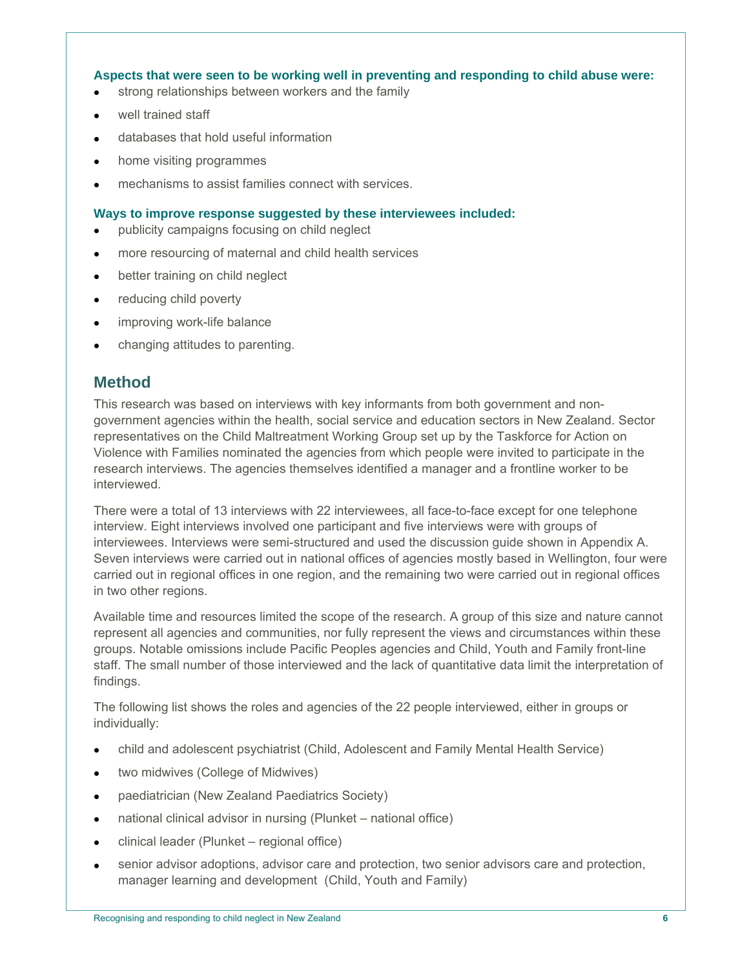## **Aspects that were seen to be working well in preventing and responding to child abuse were:**

- strong relationships between workers and the family
- well trained staff
- databases that hold useful information
- home visiting programmes
- mechanisms to assist families connect with services.

#### **Ways to improve response suggested by these interviewees included:**

- publicity campaigns focusing on child neglect
- more resourcing of maternal and child health services
- better training on child neglect
- reducing child poverty
- improving work-life balance
- changing attitudes to parenting.

# **Method**

This research was based on interviews with key informants from both government and nongovernment agencies within the health, social service and education sectors in New Zealand. Sector representatives on the Child Maltreatment Working Group set up by the Taskforce for Action on Violence with Families nominated the agencies from which people were invited to participate in the research interviews. The agencies themselves identified a manager and a frontline worker to be interviewed.

There were a total of 13 interviews with 22 interviewees, all face-to-face except for one telephone interview. Eight interviews involved one participant and five interviews were with groups of interviewees. Interviews were semi-structured and used the discussion guide shown in Appendix A. Seven interviews were carried out in national offices of agencies mostly based in Wellington, four were carried out in regional offices in one region, and the remaining two were carried out in regional offices in two other regions.

Available time and resources limited the scope of the research. A group of this size and nature cannot represent all agencies and communities, nor fully represent the views and circumstances within these groups. Notable omissions include Pacific Peoples agencies and Child, Youth and Family front-line staff. The small number of those interviewed and the lack of quantitative data limit the interpretation of findings.

The following list shows the roles and agencies of the 22 people interviewed, either in groups or individually:

- child and adolescent psychiatrist (Child, Adolescent and Family Mental Health Service)
- two midwives (College of Midwives)
- paediatrician (New Zealand Paediatrics Society)
- national clinical advisor in nursing (Plunket national office)
- clinical leader (Plunket regional office)
- senior advisor adoptions, advisor care and protection, two senior advisors care and protection, manager learning and development (Child, Youth and Family)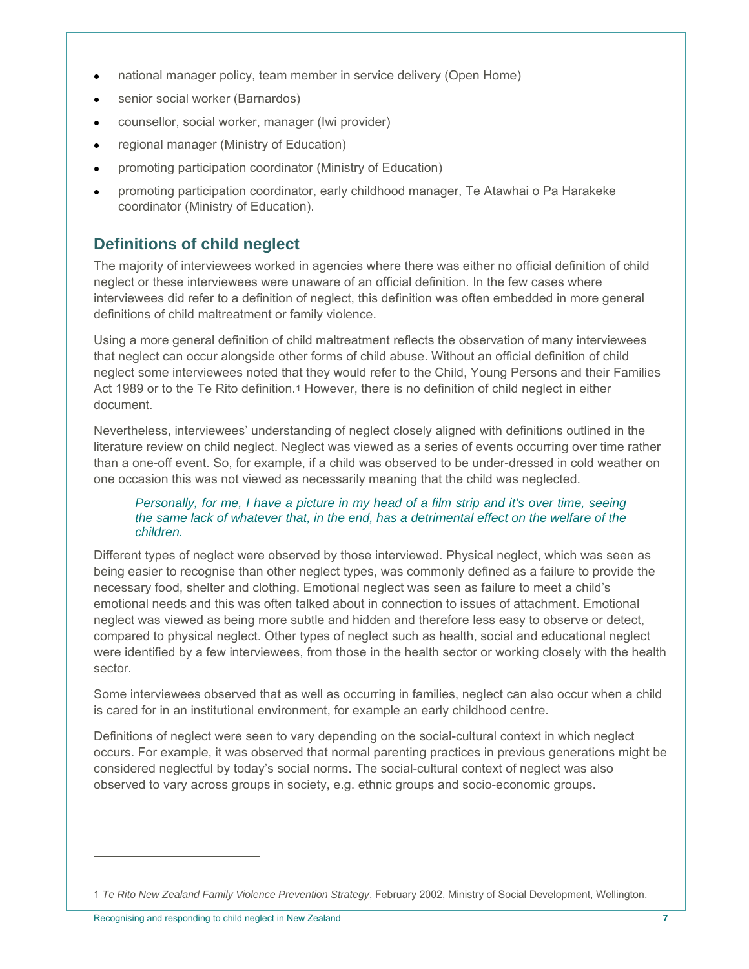- national manager policy, team member in service delivery (Open Home)
- senior social worker (Barnardos)
- counsellor, social worker, manager (Iwi provider)
- regional manager (Ministry of Education)
- promoting participation coordinator (Ministry of Education)
- promoting participation coordinator, early childhood manager, Te Atawhai o Pa Harakeke coordinator (Ministry of Education).

# **Definitions of child neglect**

The majority of interviewees worked in agencies where there was either no official definition of child neglect or these interviewees were unaware of an official definition. In the few cases where interviewees did refer to a definition of neglect, this definition was often embedded in more general definitions of child maltreatment or family violence.

Using a more general definition of child maltreatment reflects the observation of many interviewees that neglect can occur alongside other forms of child abuse. Without an official definition of child neglect some interviewees noted that they would refer to the Child, Young Persons and their Families Act 1989 or to the Te Rito definition.1 However, there is no definition of child neglect in either document.

Nevertheless, interviewees' understanding of neglect closely aligned with definitions outlined in the literature review on child neglect. Neglect was viewed as a series of events occurring over time rather than a one-off event. So, for example, if a child was observed to be under-dressed in cold weather on one occasion this was not viewed as necessarily meaning that the child was neglected.

## *Personally, for me, I have a picture in my head of a film strip and it's over time, seeing the same lack of whatever that, in the end, has a detrimental effect on the welfare of the children.*

Different types of neglect were observed by those interviewed. Physical neglect, which was seen as being easier to recognise than other neglect types, was commonly defined as a failure to provide the necessary food, shelter and clothing. Emotional neglect was seen as failure to meet a child's emotional needs and this was often talked about in connection to issues of attachment. Emotional neglect was viewed as being more subtle and hidden and therefore less easy to observe or detect, compared to physical neglect. Other types of neglect such as health, social and educational neglect were identified by a few interviewees, from those in the health sector or working closely with the health sector.

Some interviewees observed that as well as occurring in families, neglect can also occur when a child is cared for in an institutional environment, for example an early childhood centre.

Definitions of neglect were seen to vary depending on the social-cultural context in which neglect occurs. For example, it was observed that normal parenting practices in previous generations might be considered neglectful by today's social norms. The social-cultural context of neglect was also observed to vary across groups in society, e.g. ethnic groups and socio-economic groups.

 $\overline{a}$ 

<sup>1</sup> *Te Rito New Zealand Family Violence Prevention Strategy*, February 2002, Ministry of Social Development, Wellington.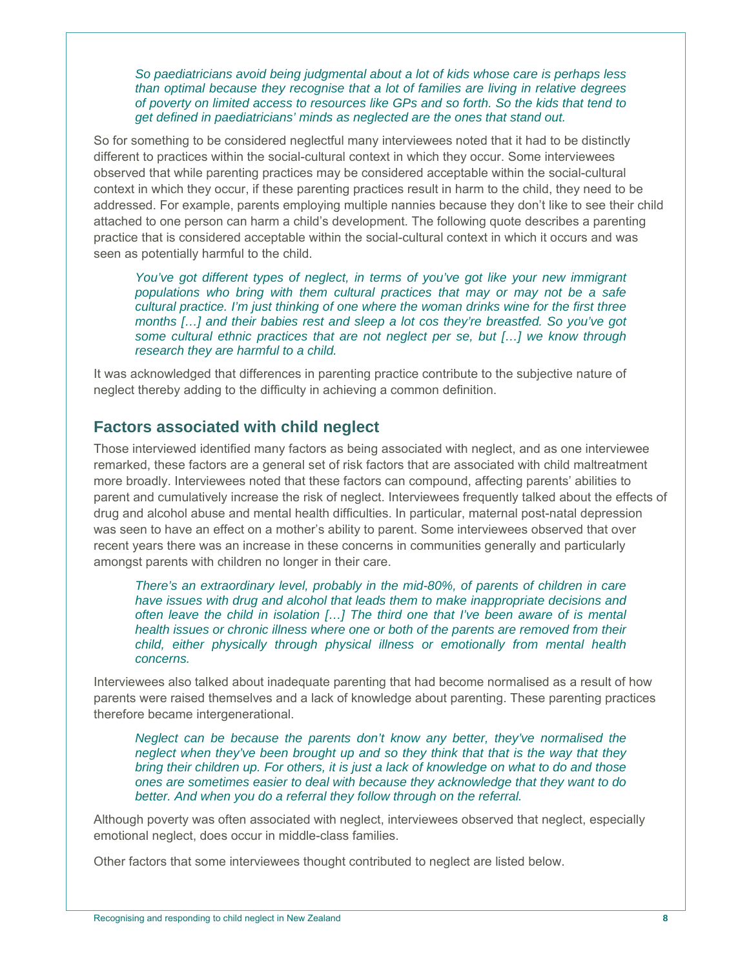*So paediatricians avoid being judgmental about a lot of kids whose care is perhaps less than optimal because they recognise that a lot of families are living in relative degrees of poverty on limited access to resources like GPs and so forth. So the kids that tend to get defined in paediatricians' minds as neglected are the ones that stand out.* 

So for something to be considered neglectful many interviewees noted that it had to be distinctly different to practices within the social-cultural context in which they occur. Some interviewees observed that while parenting practices may be considered acceptable within the social-cultural context in which they occur, if these parenting practices result in harm to the child, they need to be addressed. For example, parents employing multiple nannies because they don't like to see their child attached to one person can harm a child's development. The following quote describes a parenting practice that is considered acceptable within the social-cultural context in which it occurs and was seen as potentially harmful to the child.

*You've got different types of neglect, in terms of you've got like your new immigrant populations who bring with them cultural practices that may or may not be a safe cultural practice. I'm just thinking of one where the woman drinks wine for the first three months […] and their babies rest and sleep a lot cos they're breastfed. So you've got some cultural ethnic practices that are not neglect per se, but […] we know through research they are harmful to a child.* 

It was acknowledged that differences in parenting practice contribute to the subjective nature of neglect thereby adding to the difficulty in achieving a common definition.

# **Factors associated with child neglect**

Those interviewed identified many factors as being associated with neglect, and as one interviewee remarked, these factors are a general set of risk factors that are associated with child maltreatment more broadly. Interviewees noted that these factors can compound, affecting parents' abilities to parent and cumulatively increase the risk of neglect. Interviewees frequently talked about the effects of drug and alcohol abuse and mental health difficulties. In particular, maternal post-natal depression was seen to have an effect on a mother's ability to parent. Some interviewees observed that over recent years there was an increase in these concerns in communities generally and particularly amongst parents with children no longer in their care.

*There's an extraordinary level, probably in the mid-80%, of parents of children in care have issues with drug and alcohol that leads them to make inappropriate decisions and often leave the child in isolation […] The third one that I've been aware of is mental health issues or chronic illness where one or both of the parents are removed from their child, either physically through physical illness or emotionally from mental health concerns.* 

Interviewees also talked about inadequate parenting that had become normalised as a result of how parents were raised themselves and a lack of knowledge about parenting. These parenting practices therefore became intergenerational.

*Neglect can be because the parents don't know any better, they've normalised the neglect when they've been brought up and so they think that that is the way that they bring their children up. For others, it is just a lack of knowledge on what to do and those ones are sometimes easier to deal with because they acknowledge that they want to do better. And when you do a referral they follow through on the referral.* 

Although poverty was often associated with neglect, interviewees observed that neglect, especially emotional neglect, does occur in middle-class families.

Other factors that some interviewees thought contributed to neglect are listed below.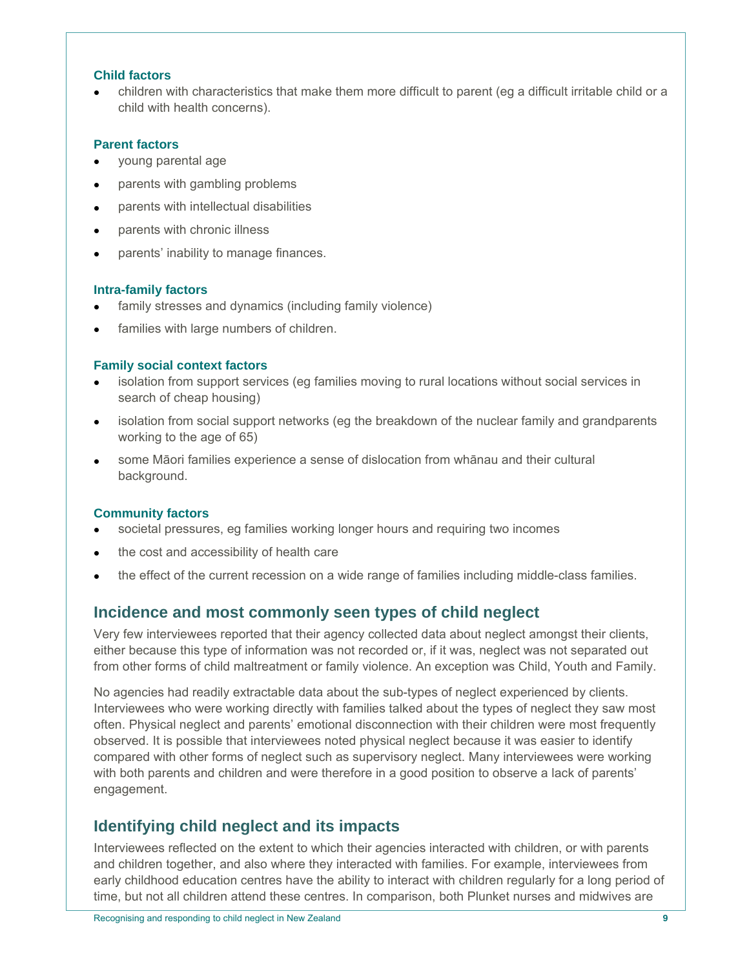#### **Child factors**

 children with characteristics that make them more difficult to parent (eg a difficult irritable child or a child with health concerns).

#### **Parent factors**

- young parental age
- parents with gambling problems
- parents with intellectual disabilities
- parents with chronic illness
- parents' inability to manage finances.

#### **Intra-family factors**

- family stresses and dynamics (including family violence)
- families with large numbers of children.

#### **Family social context factors**

- isolation from support services (eg families moving to rural locations without social services in search of cheap housing)
- isolation from social support networks (eg the breakdown of the nuclear family and grandparents working to the age of 65)
- some Māori families experience a sense of dislocation from whānau and their cultural background.

#### **Community factors**

- societal pressures, eg families working longer hours and requiring two incomes
- the cost and accessibility of health care
- the effect of the current recession on a wide range of families including middle-class families.

# **Incidence and most commonly seen types of child neglect**

Very few interviewees reported that their agency collected data about neglect amongst their clients, either because this type of information was not recorded or, if it was, neglect was not separated out from other forms of child maltreatment or family violence. An exception was Child, Youth and Family.

No agencies had readily extractable data about the sub-types of neglect experienced by clients. Interviewees who were working directly with families talked about the types of neglect they saw most often. Physical neglect and parents' emotional disconnection with their children were most frequently observed. It is possible that interviewees noted physical neglect because it was easier to identify compared with other forms of neglect such as supervisory neglect. Many interviewees were working with both parents and children and were therefore in a good position to observe a lack of parents' engagement.

# **Identifying child neglect and its impacts**

Interviewees reflected on the extent to which their agencies interacted with children, or with parents and children together, and also where they interacted with families. For example, interviewees from early childhood education centres have the ability to interact with children regularly for a long period of time, but not all children attend these centres. In comparison, both Plunket nurses and midwives are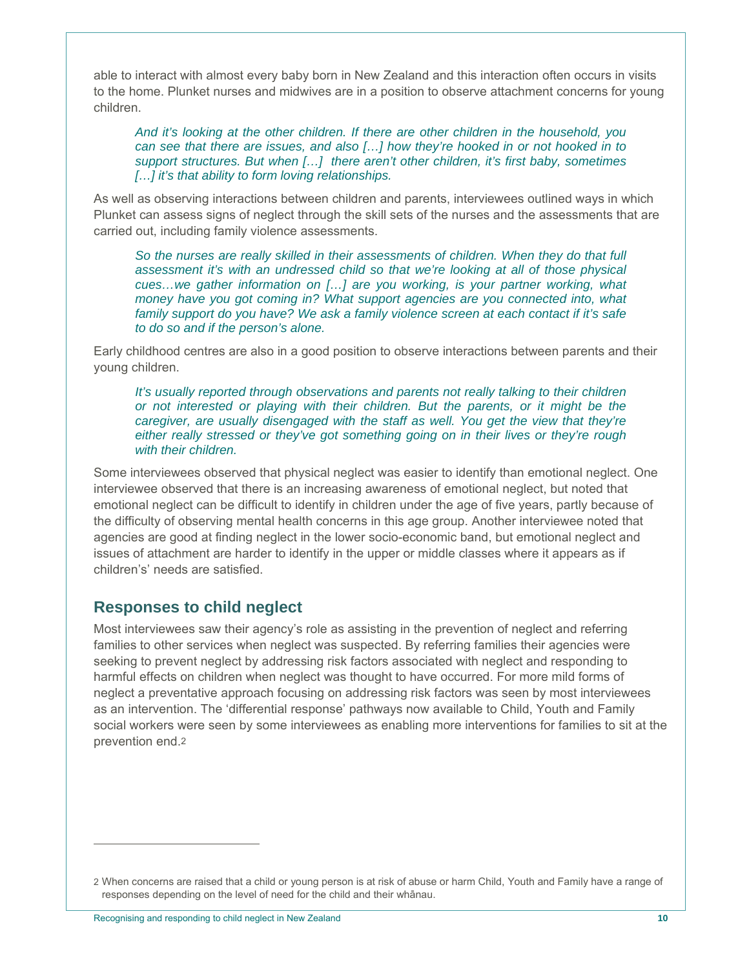able to interact with almost every baby born in New Zealand and this interaction often occurs in visits to the home. Plunket nurses and midwives are in a position to observe attachment concerns for young children.

*And it's looking at the other children. If there are other children in the household, you can see that there are issues, and also […] how they're hooked in or not hooked in to support structures. But when […] there aren't other children, it's first baby, sometimes […] it's that ability to form loving relationships.* 

As well as observing interactions between children and parents, interviewees outlined ways in which Plunket can assess signs of neglect through the skill sets of the nurses and the assessments that are carried out, including family violence assessments.

*So the nurses are really skilled in their assessments of children. When they do that full assessment it's with an undressed child so that we're looking at all of those physical cues…we gather information on […] are you working, is your partner working, what money have you got coming in? What support agencies are you connected into, what family support do you have? We ask a family violence screen at each contact if it's safe to do so and if the person's alone.* 

Early childhood centres are also in a good position to observe interactions between parents and their young children.

*It's usually reported through observations and parents not really talking to their children or not interested or playing with their children. But the parents, or it might be the caregiver, are usually disengaged with the staff as well. You get the view that they're either really stressed or they've got something going on in their lives or they're rough with their children.* 

Some interviewees observed that physical neglect was easier to identify than emotional neglect. One interviewee observed that there is an increasing awareness of emotional neglect, but noted that emotional neglect can be difficult to identify in children under the age of five years, partly because of the difficulty of observing mental health concerns in this age group. Another interviewee noted that agencies are good at finding neglect in the lower socio-economic band, but emotional neglect and issues of attachment are harder to identify in the upper or middle classes where it appears as if children's' needs are satisfied.

# **Responses to child neglect**

Most interviewees saw their agency's role as assisting in the prevention of neglect and referring families to other services when neglect was suspected. By referring families their agencies were seeking to prevent neglect by addressing risk factors associated with neglect and responding to harmful effects on children when neglect was thought to have occurred. For more mild forms of neglect a preventative approach focusing on addressing risk factors was seen by most interviewees as an intervention. The 'differential response' pathways now available to Child, Youth and Family social workers were seen by some interviewees as enabling more interventions for families to sit at the prevention end.2

 $\overline{a}$ 

<sup>2</sup> When concerns are raised that a child or young person is at risk of abuse or harm Child, Youth and Family have a range of responses depending on the level of need for the child and their whänau.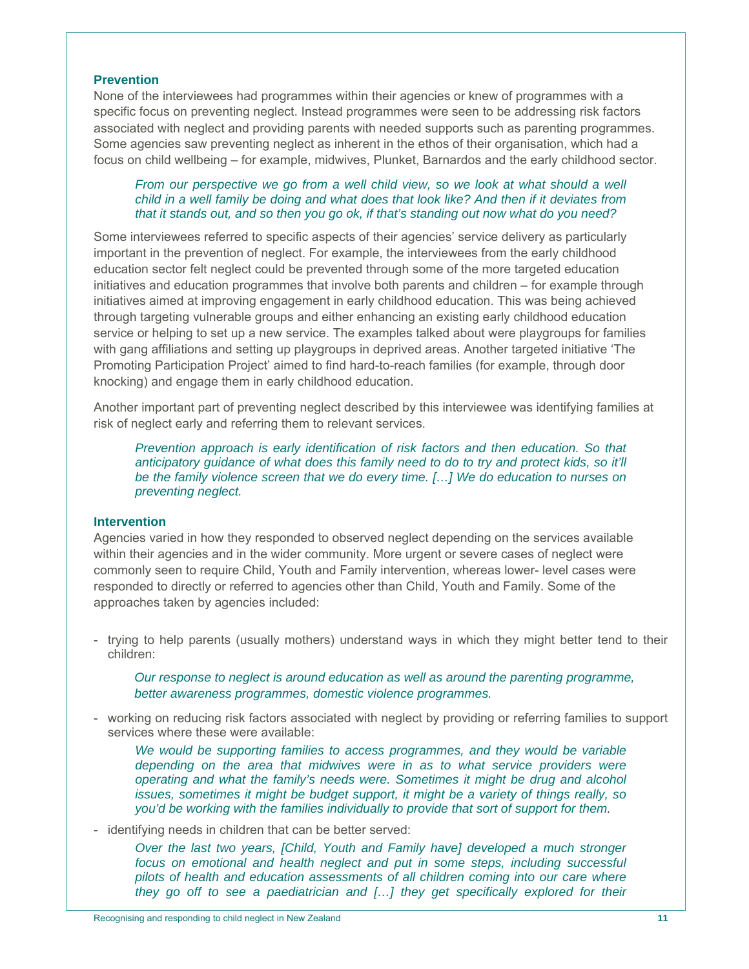#### **Prevention**

None of the interviewees had programmes within their agencies or knew of programmes with a specific focus on preventing neglect. Instead programmes were seen to be addressing risk factors associated with neglect and providing parents with needed supports such as parenting programmes. Some agencies saw preventing neglect as inherent in the ethos of their organisation, which had a focus on child wellbeing – for example, midwives, Plunket, Barnardos and the early childhood sector.

## *From our perspective we go from a well child view, so we look at what should a well child in a well family be doing and what does that look like? And then if it deviates from that it stands out, and so then you go ok, if that's standing out now what do you need?*

Some interviewees referred to specific aspects of their agencies' service delivery as particularly important in the prevention of neglect. For example, the interviewees from the early childhood education sector felt neglect could be prevented through some of the more targeted education initiatives and education programmes that involve both parents and children – for example through initiatives aimed at improving engagement in early childhood education. This was being achieved through targeting vulnerable groups and either enhancing an existing early childhood education service or helping to set up a new service. The examples talked about were playgroups for families with gang affiliations and setting up playgroups in deprived areas. Another targeted initiative 'The Promoting Participation Project' aimed to find hard-to-reach families (for example, through door knocking) and engage them in early childhood education.

Another important part of preventing neglect described by this interviewee was identifying families at risk of neglect early and referring them to relevant services.

*Prevention approach is early identification of risk factors and then education. So that anticipatory guidance of what does this family need to do to try and protect kids, so it'll be the family violence screen that we do every time. […] We do education to nurses on preventing neglect.* 

#### **Intervention**

Agencies varied in how they responded to observed neglect depending on the services available within their agencies and in the wider community. More urgent or severe cases of neglect were commonly seen to require Child, Youth and Family intervention, whereas lower- level cases were responded to directly or referred to agencies other than Child, Youth and Family. Some of the approaches taken by agencies included:

- trying to help parents (usually mothers) understand ways in which they might better tend to their children:

*Our response to neglect is around education as well as around the parenting programme, better awareness programmes, domestic violence programmes.* 

- working on reducing risk factors associated with neglect by providing or referring families to support services where these were available:

We would be supporting families to access programmes, and they would be variable *depending on the area that midwives were in as to what service providers were operating and what the family's needs were. Sometimes it might be drug and alcohol issues, sometimes it might be budget support, it might be a variety of things really, so you'd be working with the families individually to provide that sort of support for them.* 

- identifying needs in children that can be better served:

*Over the last two years, [Child, Youth and Family have] developed a much stronger focus on emotional and health neglect and put in some steps, including successful pilots of health and education assessments of all children coming into our care where they go off to see a paediatrician and […] they get specifically explored for their*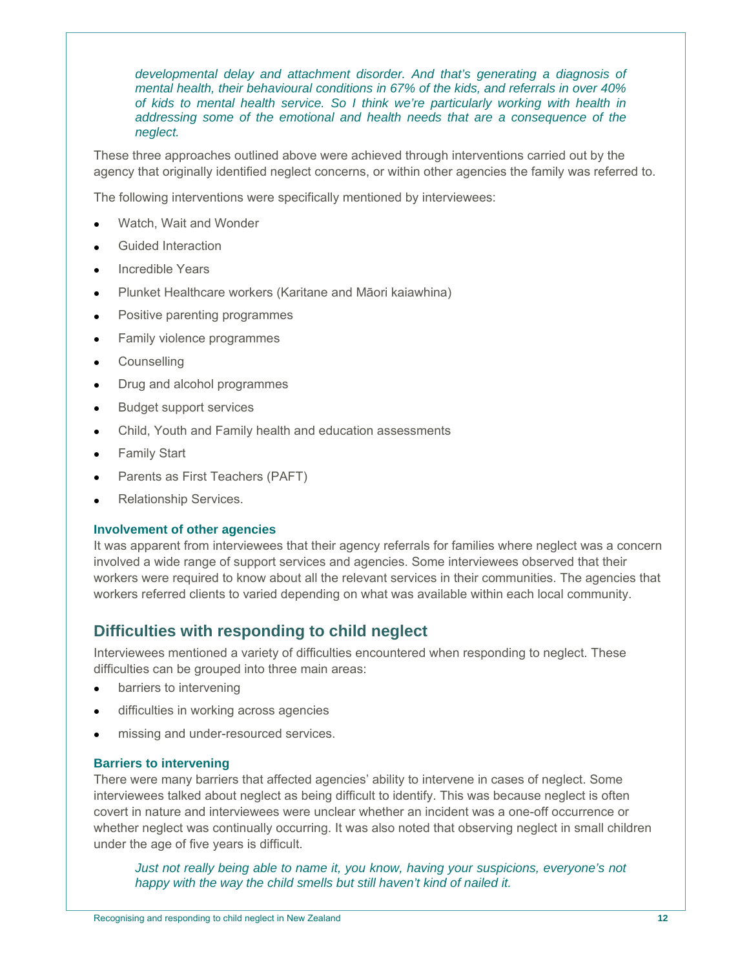*developmental delay and attachment disorder. And that's generating a diagnosis of mental health, their behavioural conditions in 67% of the kids, and referrals in over 40% of kids to mental health service. So I think we're particularly working with health in addressing some of the emotional and health needs that are a consequence of the neglect.* 

These three approaches outlined above were achieved through interventions carried out by the agency that originally identified neglect concerns, or within other agencies the family was referred to.

The following interventions were specifically mentioned by interviewees:

- Watch, Wait and Wonder
- Guided Interaction
- Incredible Years
- Plunket Healthcare workers (Karitane and Māori kaiawhina)
- Positive parenting programmes
- Family violence programmes
- **•** Counselling
- Drug and alcohol programmes
- **Budget support services**
- Child, Youth and Family health and education assessments
- Family Start
- Parents as First Teachers (PAFT)
- Relationship Services.

#### **Involvement of other agencies**

It was apparent from interviewees that their agency referrals for families where neglect was a concern involved a wide range of support services and agencies. Some interviewees observed that their workers were required to know about all the relevant services in their communities. The agencies that workers referred clients to varied depending on what was available within each local community.

# **Difficulties with responding to child neglect**

Interviewees mentioned a variety of difficulties encountered when responding to neglect. These difficulties can be grouped into three main areas:

- barriers to intervening
- difficulties in working across agencies
- missing and under-resourced services.

#### **Barriers to intervening**

There were many barriers that affected agencies' ability to intervene in cases of neglect. Some interviewees talked about neglect as being difficult to identify. This was because neglect is often covert in nature and interviewees were unclear whether an incident was a one-off occurrence or whether neglect was continually occurring. It was also noted that observing neglect in small children under the age of five years is difficult.

*Just not really being able to name it, you know, having your suspicions, everyone's not happy with the way the child smells but still haven't kind of nailed it.*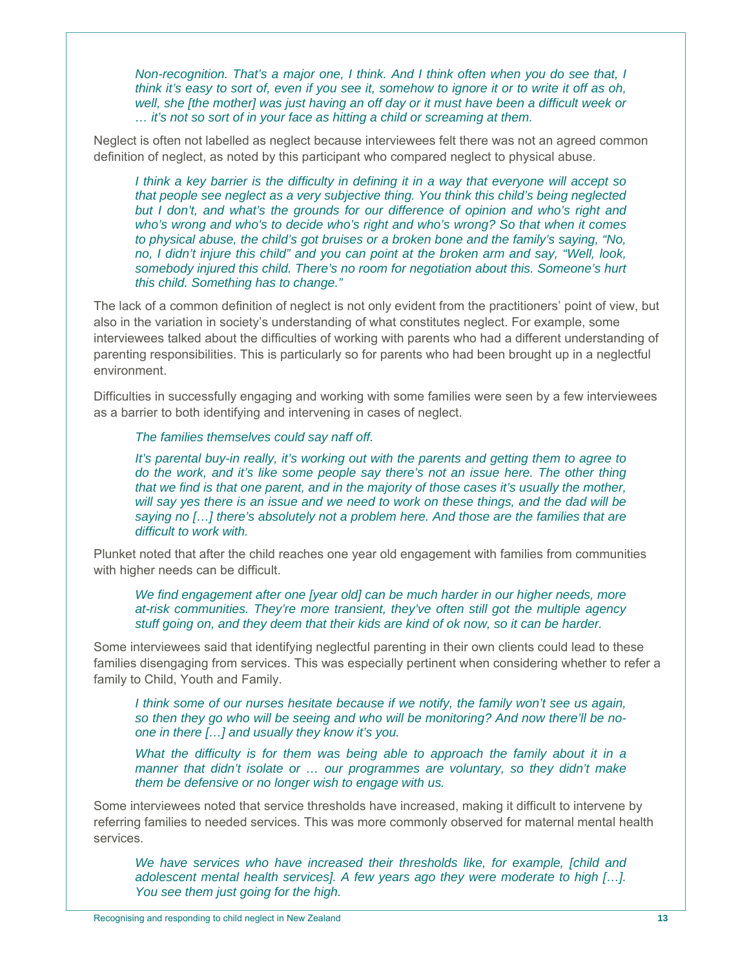*Non-recognition. That's a major one, I think. And I think often when you do see that, I think it's easy to sort of, even if you see it, somehow to ignore it or to write it off as oh, well, she [the mother] was just having an off day or it must have been a difficult week or … it's not so sort of in your face as hitting a child or screaming at them.* 

Neglect is often not labelled as neglect because interviewees felt there was not an agreed common definition of neglect, as noted by this participant who compared neglect to physical abuse.

*I think a key barrier is the difficulty in defining it in a way that everyone will accept so that people see neglect as a very subjective thing. You think this child's being neglected but I don't, and what's the grounds for our difference of opinion and who's right and who's wrong and who's to decide who's right and who's wrong? So that when it comes to physical abuse, the child's got bruises or a broken bone and the family's saying, "No, no, I didn't injure this child" and you can point at the broken arm and say, "Well, look, somebody injured this child. There's no room for negotiation about this. Someone's hurt this child. Something has to change."* 

The lack of a common definition of neglect is not only evident from the practitioners' point of view, but also in the variation in society's understanding of what constitutes neglect. For example, some interviewees talked about the difficulties of working with parents who had a different understanding of parenting responsibilities. This is particularly so for parents who had been brought up in a neglectful environment.

Difficulties in successfully engaging and working with some families were seen by a few interviewees as a barrier to both identifying and intervening in cases of neglect.

*The families themselves could say naff off.* 

*It's parental buy-in really, it's working out with the parents and getting them to agree to do the work, and it's like some people say there's not an issue here. The other thing that we find is that one parent, and in the majority of those cases it's usually the mother, will say yes there is an issue and we need to work on these things, and the dad will be saying no […] there's absolutely not a problem here. And those are the families that are difficult to work with.* 

Plunket noted that after the child reaches one year old engagement with families from communities with higher needs can be difficult.

We find engagement after one [year old] can be much harder in our higher needs, more *at-risk communities. They're more transient, they've often still got the multiple agency stuff going on, and they deem that their kids are kind of ok now, so it can be harder.* 

Some interviewees said that identifying neglectful parenting in their own clients could lead to these families disengaging from services. This was especially pertinent when considering whether to refer a family to Child, Youth and Family.

*I think some of our nurses hesitate because if we notify, the family won't see us again, so then they go who will be seeing and who will be monitoring? And now there'll be noone in there […] and usually they know it's you.* 

*What the difficulty is for them was being able to approach the family about it in a manner that didn't isolate or … our programmes are voluntary, so they didn't make them be defensive or no longer wish to engage with us.* 

Some interviewees noted that service thresholds have increased, making it difficult to intervene by referring families to needed services. This was more commonly observed for maternal mental health services.

*We have services who have increased their thresholds like, for example, [child and adolescent mental health services]. A few years ago they were moderate to high […]. You see them just going for the high.*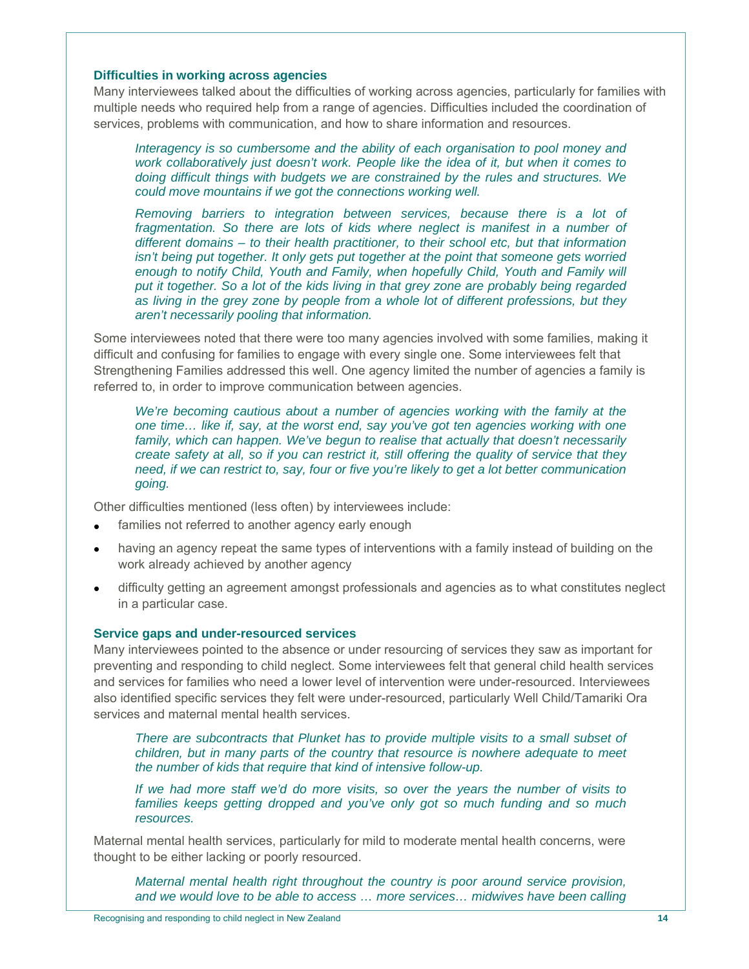#### **Difficulties in working across agencies**

Many interviewees talked about the difficulties of working across agencies, particularly for families with multiple needs who required help from a range of agencies. Difficulties included the coordination of services, problems with communication, and how to share information and resources.

*Interagency is so cumbersome and the ability of each organisation to pool money and work collaboratively just doesn't work. People like the idea of it, but when it comes to doing difficult things with budgets we are constrained by the rules and structures. We could move mountains if we got the connections working well.* 

*Removing barriers to integration between services, because there is a lot of fragmentation. So there are lots of kids where neglect is manifest in a number of different domains – to their health practitioner, to their school etc, but that information isn't being put together. It only gets put together at the point that someone gets worried enough to notify Child, Youth and Family, when hopefully Child, Youth and Family will put it together. So a lot of the kids living in that grey zone are probably being regarded as living in the grey zone by people from a whole lot of different professions, but they aren't necessarily pooling that information.* 

Some interviewees noted that there were too many agencies involved with some families, making it difficult and confusing for families to engage with every single one. Some interviewees felt that Strengthening Families addressed this well. One agency limited the number of agencies a family is referred to, in order to improve communication between agencies.

We're becoming cautious about a number of agencies working with the family at the *one time… like if, say, at the worst end, say you've got ten agencies working with one*  family, which can happen. We've begun to realise that actually that doesn't necessarily *create safety at all, so if you can restrict it, still offering the quality of service that they need, if we can restrict to, say, four or five you're likely to get a lot better communication going.* 

Other difficulties mentioned (less often) by interviewees include:

- families not referred to another agency early enough
- having an agency repeat the same types of interventions with a family instead of building on the work already achieved by another agency
- difficulty getting an agreement amongst professionals and agencies as to what constitutes neglect in a particular case.

#### **Service gaps and under-resourced services**

Many interviewees pointed to the absence or under resourcing of services they saw as important for preventing and responding to child neglect. Some interviewees felt that general child health services and services for families who need a lower level of intervention were under-resourced. Interviewees also identified specific services they felt were under-resourced, particularly Well Child/Tamariki Ora services and maternal mental health services.

*There are subcontracts that Plunket has to provide multiple visits to a small subset of children, but in many parts of the country that resource is nowhere adequate to meet the number of kids that require that kind of intensive follow-up.* 

*If we had more staff we'd do more visits, so over the years the number of visits to families keeps getting dropped and you've only got so much funding and so much resources.* 

Maternal mental health services, particularly for mild to moderate mental health concerns, were thought to be either lacking or poorly resourced.

*Maternal mental health right throughout the country is poor around service provision, and we would love to be able to access … more services… midwives have been calling*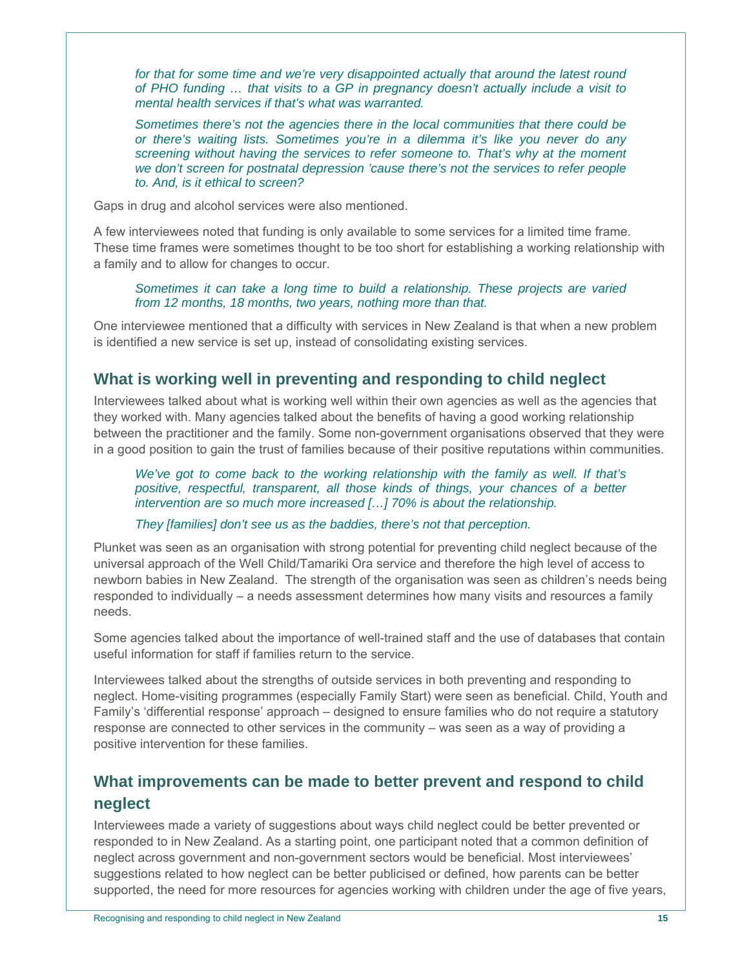for that for some time and we're very disappointed actually that around the latest round *of PHO funding … that visits to a GP in pregnancy doesn't actually include a visit to mental health services if that's what was warranted.* 

*Sometimes there's not the agencies there in the local communities that there could be or there's waiting lists. Sometimes you're in a dilemma it's like you never do any screening without having the services to refer someone to. That's why at the moment we don't screen for postnatal depression 'cause there's not the services to refer people to. And, is it ethical to screen?* 

Gaps in drug and alcohol services were also mentioned.

A few interviewees noted that funding is only available to some services for a limited time frame. These time frames were sometimes thought to be too short for establishing a working relationship with a family and to allow for changes to occur.

*Sometimes it can take a long time to build a relationship. These projects are varied from 12 months, 18 months, two years, nothing more than that.* 

One interviewee mentioned that a difficulty with services in New Zealand is that when a new problem is identified a new service is set up, instead of consolidating existing services.

# **What is working well in preventing and responding to child neglect**

Interviewees talked about what is working well within their own agencies as well as the agencies that they worked with. Many agencies talked about the benefits of having a good working relationship between the practitioner and the family. Some non-government organisations observed that they were in a good position to gain the trust of families because of their positive reputations within communities.

*We've got to come back to the working relationship with the family as well. If that's positive, respectful, transparent, all those kinds of things, your chances of a better intervention are so much more increased […] 70% is about the relationship.* 

*They [families] don't see us as the baddies, there's not that perception.* 

Plunket was seen as an organisation with strong potential for preventing child neglect because of the universal approach of the Well Child/Tamariki Ora service and therefore the high level of access to newborn babies in New Zealand. The strength of the organisation was seen as children's needs being responded to individually – a needs assessment determines how many visits and resources a family needs.

Some agencies talked about the importance of well-trained staff and the use of databases that contain useful information for staff if families return to the service.

Interviewees talked about the strengths of outside services in both preventing and responding to neglect. Home-visiting programmes (especially Family Start) were seen as beneficial. Child, Youth and Family's 'differential response' approach – designed to ensure families who do not require a statutory response are connected to other services in the community – was seen as a way of providing a positive intervention for these families.

# **What improvements can be made to better prevent and respond to child neglect**

Interviewees made a variety of suggestions about ways child neglect could be better prevented or responded to in New Zealand. As a starting point, one participant noted that a common definition of neglect across government and non-government sectors would be beneficial. Most interviewees' suggestions related to how neglect can be better publicised or defined, how parents can be better supported, the need for more resources for agencies working with children under the age of five years,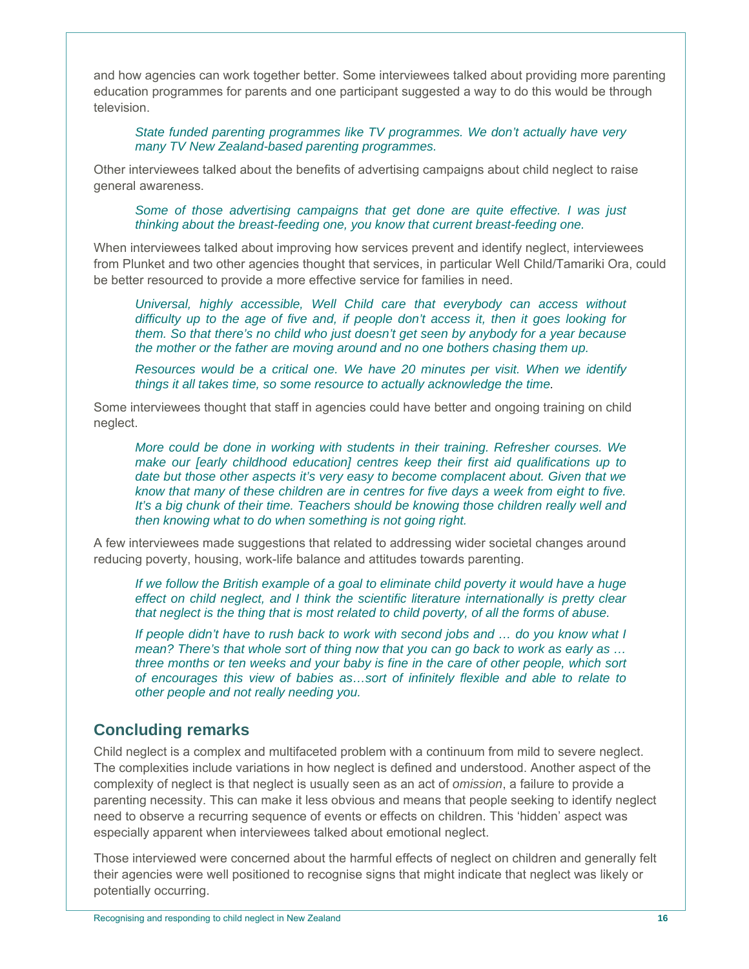and how agencies can work together better. Some interviewees talked about providing more parenting education programmes for parents and one participant suggested a way to do this would be through television.

*State funded parenting programmes like TV programmes. We don't actually have very many TV New Zealand-based parenting programmes.* 

Other interviewees talked about the benefits of advertising campaigns about child neglect to raise general awareness.

*Some of those advertising campaigns that get done are quite effective. I was just thinking about the breast-feeding one, you know that current breast-feeding one.* 

When interviewees talked about improving how services prevent and identify neglect, interviewees from Plunket and two other agencies thought that services, in particular Well Child/Tamariki Ora, could be better resourced to provide a more effective service for families in need.

*Universal, highly accessible, Well Child care that everybody can access without difficulty up to the age of five and, if people don't access it, then it goes looking for them. So that there's no child who just doesn't get seen by anybody for a year because the mother or the father are moving around and no one bothers chasing them up.* 

*Resources would be a critical one. We have 20 minutes per visit. When we identify things it all takes time, so some resource to actually acknowledge the time.* 

Some interviewees thought that staff in agencies could have better and ongoing training on child neglect.

*More could be done in working with students in their training. Refresher courses. We make our [early childhood education] centres keep their first aid qualifications up to date but those other aspects it's very easy to become complacent about. Given that we know that many of these children are in centres for five days a week from eight to five. It's a big chunk of their time. Teachers should be knowing those children really well and then knowing what to do when something is not going right.* 

A few interviewees made suggestions that related to addressing wider societal changes around reducing poverty, housing, work-life balance and attitudes towards parenting.

*If we follow the British example of a goal to eliminate child poverty it would have a huge effect on child neglect, and I think the scientific literature internationally is pretty clear that neglect is the thing that is most related to child poverty, of all the forms of abuse.* 

*If people didn't have to rush back to work with second jobs and … do you know what I mean? There's that whole sort of thing now that you can go back to work as early as … three months or ten weeks and your baby is fine in the care of other people, which sort of encourages this view of babies as…sort of infinitely flexible and able to relate to other people and not really needing you.* 

# **Concluding remarks**

Child neglect is a complex and multifaceted problem with a continuum from mild to severe neglect. The complexities include variations in how neglect is defined and understood. Another aspect of the complexity of neglect is that neglect is usually seen as an act of *omission*, a failure to provide a parenting necessity. This can make it less obvious and means that people seeking to identify neglect need to observe a recurring sequence of events or effects on children. This 'hidden' aspect was especially apparent when interviewees talked about emotional neglect.

Those interviewed were concerned about the harmful effects of neglect on children and generally felt their agencies were well positioned to recognise signs that might indicate that neglect was likely or potentially occurring.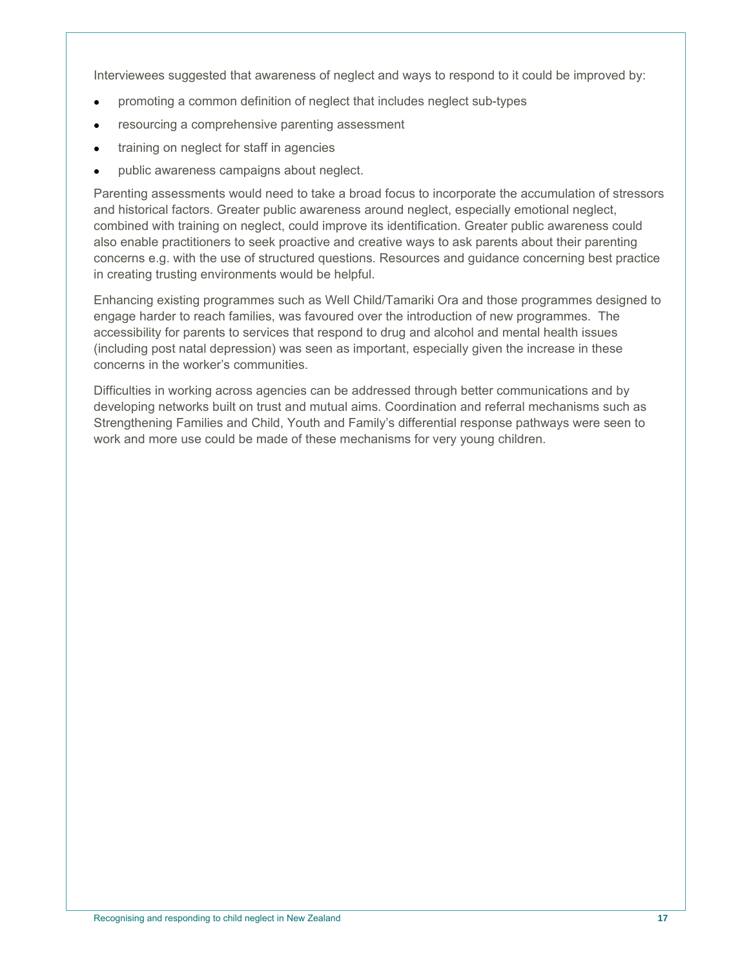Interviewees suggested that awareness of neglect and ways to respond to it could be improved by:

- promoting a common definition of neglect that includes neglect sub-types
- resourcing a comprehensive parenting assessment
- **•** training on neglect for staff in agencies
- public awareness campaigns about neglect.

Parenting assessments would need to take a broad focus to incorporate the accumulation of stressors and historical factors. Greater public awareness around neglect, especially emotional neglect, combined with training on neglect, could improve its identification. Greater public awareness could also enable practitioners to seek proactive and creative ways to ask parents about their parenting concerns e.g. with the use of structured questions. Resources and guidance concerning best practice in creating trusting environments would be helpful.

Enhancing existing programmes such as Well Child/Tamariki Ora and those programmes designed to engage harder to reach families, was favoured over the introduction of new programmes. The accessibility for parents to services that respond to drug and alcohol and mental health issues (including post natal depression) was seen as important, especially given the increase in these concerns in the worker's communities.

Difficulties in working across agencies can be addressed through better communications and by developing networks built on trust and mutual aims. Coordination and referral mechanisms such as Strengthening Families and Child, Youth and Family's differential response pathways were seen to work and more use could be made of these mechanisms for very young children.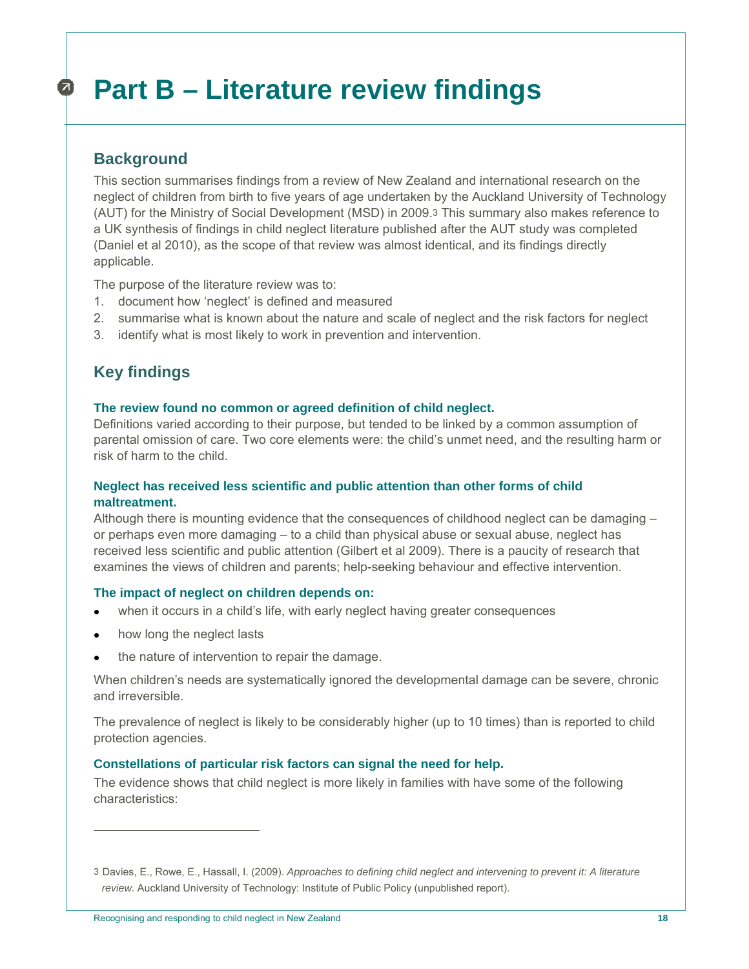## **Part B – Literature review findings**  Ø.

# **Background**

This section summarises findings from a review of New Zealand and international research on the neglect of children from birth to five years of age undertaken by the Auckland University of Technology (AUT) for the Ministry of Social Development (MSD) in 2009.3 This summary also makes reference to a UK synthesis of findings in child neglect literature published after the AUT study was completed (Daniel et al 2010), as the scope of that review was almost identical, and its findings directly applicable.

The purpose of the literature review was to:

- 1. document how 'neglect' is defined and measured
- 2. summarise what is known about the nature and scale of neglect and the risk factors for neglect
- 3. identify what is most likely to work in prevention and intervention.

# **Key findings**

#### **The review found no common or agreed definition of child neglect.**

Definitions varied according to their purpose, but tended to be linked by a common assumption of parental omission of care. Two core elements were: the child's unmet need, and the resulting harm or risk of harm to the child.

## **Neglect has received less scientific and public attention than other forms of child maltreatment.**

Although there is mounting evidence that the consequences of childhood neglect can be damaging – or perhaps even more damaging – to a child than physical abuse or sexual abuse, neglect has received less scientific and public attention (Gilbert et al 2009). There is a paucity of research that examines the views of children and parents; help-seeking behaviour and effective intervention.

## **The impact of neglect on children depends on:**

- when it occurs in a child's life, with early neglect having greater consequences
- how long the neglect lasts

 $\overline{a}$ 

the nature of intervention to repair the damage.

When children's needs are systematically ignored the developmental damage can be severe, chronic and irreversible.

The prevalence of neglect is likely to be considerably higher (up to 10 times) than is reported to child protection agencies.

## **Constellations of particular risk factors can signal the need for help.**

The evidence shows that child neglect is more likely in families with have some of the following characteristics:

<sup>3</sup> Davies, E., Rowe, E., Hassall, I. (2009). *Approaches to defining child neglect and intervening to prevent it: A literature review*. Auckland University of Technology: Institute of Public Policy (unpublished report).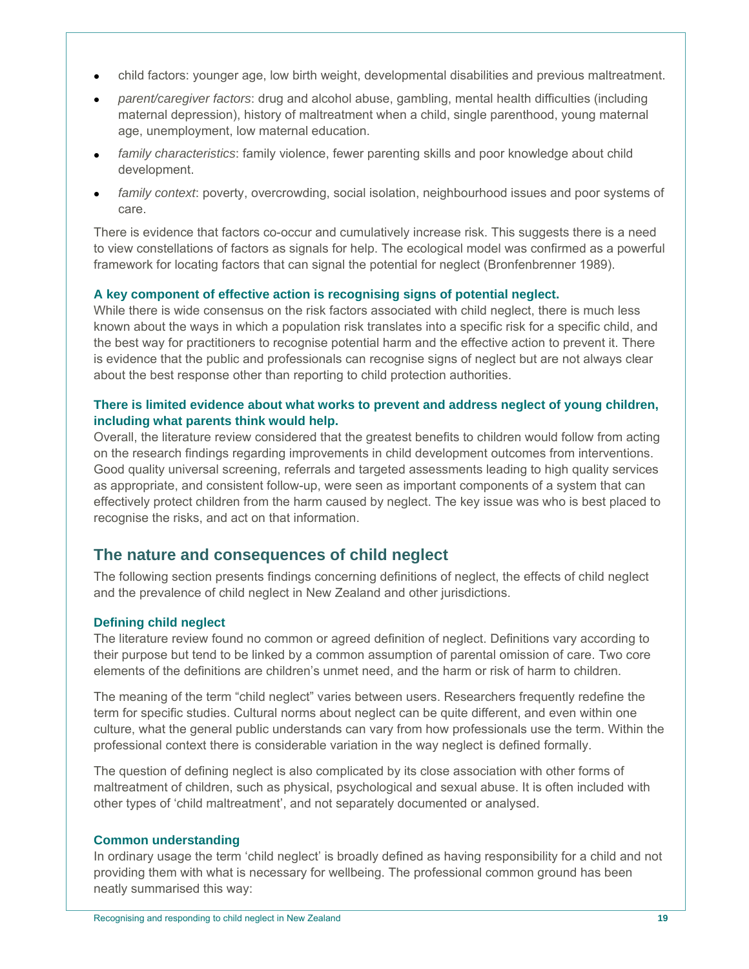- child factors: younger age, low birth weight, developmental disabilities and previous maltreatment.
- *parent/caregiver factors*: drug and alcohol abuse, gambling, mental health difficulties (including maternal depression), history of maltreatment when a child, single parenthood, young maternal age, unemployment, low maternal education.
- *family characteristics*: family violence, fewer parenting skills and poor knowledge about child development.
- *family context*: poverty, overcrowding, social isolation, neighbourhood issues and poor systems of care.

There is evidence that factors co-occur and cumulatively increase risk. This suggests there is a need to view constellations of factors as signals for help. The ecological model was confirmed as a powerful framework for locating factors that can signal the potential for neglect (Bronfenbrenner 1989).

## **A key component of effective action is recognising signs of potential neglect.**

While there is wide consensus on the risk factors associated with child neglect, there is much less known about the ways in which a population risk translates into a specific risk for a specific child, and the best way for practitioners to recognise potential harm and the effective action to prevent it. There is evidence that the public and professionals can recognise signs of neglect but are not always clear about the best response other than reporting to child protection authorities.

## **There is limited evidence about what works to prevent and address neglect of young children, including what parents think would help.**

Overall, the literature review considered that the greatest benefits to children would follow from acting on the research findings regarding improvements in child development outcomes from interventions. Good quality universal screening, referrals and targeted assessments leading to high quality services as appropriate, and consistent follow-up, were seen as important components of a system that can effectively protect children from the harm caused by neglect. The key issue was who is best placed to recognise the risks, and act on that information.

# **The nature and consequences of child neglect**

The following section presents findings concerning definitions of neglect, the effects of child neglect and the prevalence of child neglect in New Zealand and other jurisdictions.

## **Defining child neglect**

The literature review found no common or agreed definition of neglect. Definitions vary according to their purpose but tend to be linked by a common assumption of parental omission of care. Two core elements of the definitions are children's unmet need, and the harm or risk of harm to children.

The meaning of the term "child neglect" varies between users. Researchers frequently redefine the term for specific studies. Cultural norms about neglect can be quite different, and even within one culture, what the general public understands can vary from how professionals use the term. Within the professional context there is considerable variation in the way neglect is defined formally.

The question of defining neglect is also complicated by its close association with other forms of maltreatment of children, such as physical, psychological and sexual abuse. It is often included with other types of 'child maltreatment', and not separately documented or analysed.

#### **Common understanding**

In ordinary usage the term 'child neglect' is broadly defined as having responsibility for a child and not providing them with what is necessary for wellbeing. The professional common ground has been neatly summarised this way: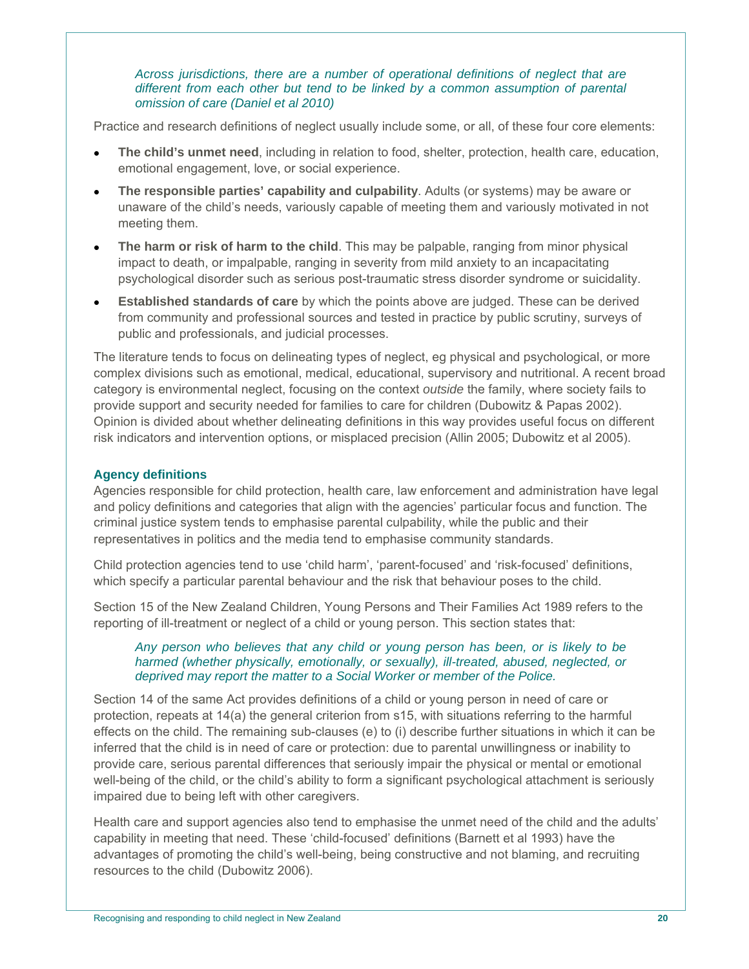#### *Across jurisdictions, there are a number of operational definitions of neglect that are different from each other but tend to be linked by a common assumption of parental omission of care (Daniel et al 2010)*

Practice and research definitions of neglect usually include some, or all, of these four core elements:

- **The child's unmet need**, including in relation to food, shelter, protection, health care, education, emotional engagement, love, or social experience.
- **The responsible parties' capability and culpability**. Adults (or systems) may be aware or unaware of the child's needs, variously capable of meeting them and variously motivated in not meeting them.
- **The harm or risk of harm to the child**. This may be palpable, ranging from minor physical impact to death, or impalpable, ranging in severity from mild anxiety to an incapacitating psychological disorder such as serious post-traumatic stress disorder syndrome or suicidality.
- **Established standards of care** by which the points above are judged. These can be derived from community and professional sources and tested in practice by public scrutiny, surveys of public and professionals, and judicial processes.

The literature tends to focus on delineating types of neglect, eg physical and psychological, or more complex divisions such as emotional, medical, educational, supervisory and nutritional. A recent broad category is environmental neglect, focusing on the context *outside* the family, where society fails to provide support and security needed for families to care for children (Dubowitz & Papas 2002). Opinion is divided about whether delineating definitions in this way provides useful focus on different risk indicators and intervention options, or misplaced precision (Allin 2005; Dubowitz et al 2005).

# **Agency definitions**

Agencies responsible for child protection, health care, law enforcement and administration have legal and policy definitions and categories that align with the agencies' particular focus and function. The criminal justice system tends to emphasise parental culpability, while the public and their representatives in politics and the media tend to emphasise community standards.

Child protection agencies tend to use 'child harm', 'parent-focused' and 'risk-focused' definitions, which specify a particular parental behaviour and the risk that behaviour poses to the child.

Section 15 of the New Zealand Children, Young Persons and Their Families Act 1989 refers to the reporting of ill-treatment or neglect of a child or young person. This section states that:

## *Any person who believes that any child or young person has been, or is likely to be harmed (whether physically, emotionally, or sexually), ill-treated, abused, neglected, or deprived may report the matter to a Social Worker or member of the Police.*

Section 14 of the same Act provides definitions of a child or young person in need of care or protection, repeats at 14(a) the general criterion from s15, with situations referring to the harmful effects on the child. The remaining sub-clauses (e) to (i) describe further situations in which it can be inferred that the child is in need of care or protection: due to parental unwillingness or inability to provide care, serious parental differences that seriously impair the physical or mental or emotional well-being of the child, or the child's ability to form a significant psychological attachment is seriously impaired due to being left with other caregivers.

Health care and support agencies also tend to emphasise the unmet need of the child and the adults' capability in meeting that need. These 'child-focused' definitions (Barnett et al 1993) have the advantages of promoting the child's well-being, being constructive and not blaming, and recruiting resources to the child (Dubowitz 2006).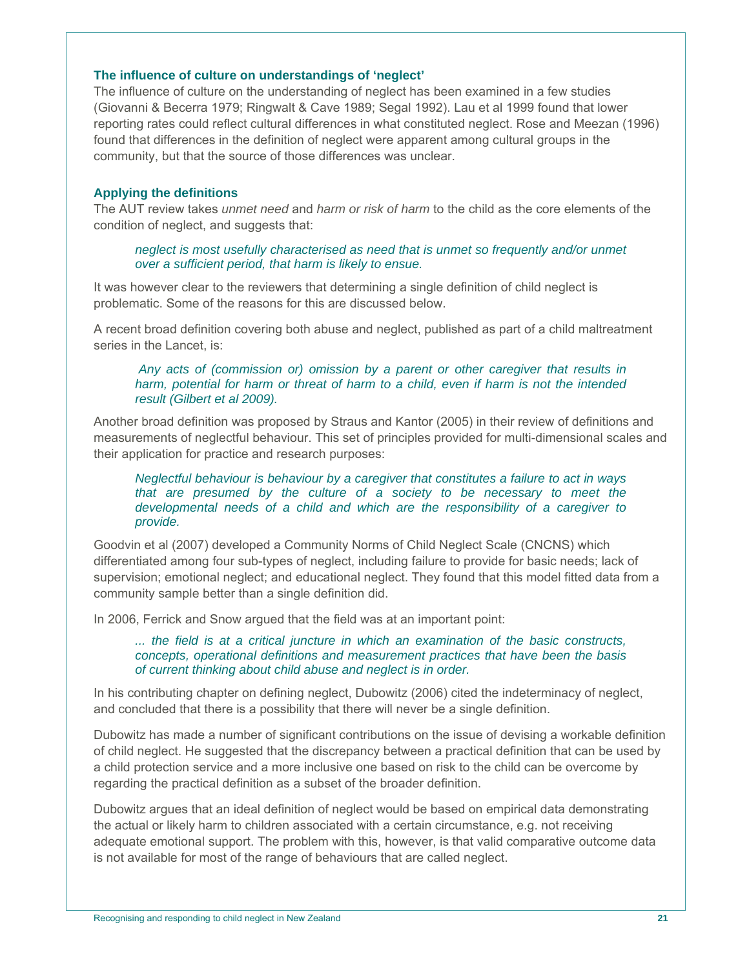#### **The influence of culture on understandings of 'neglect'**

The influence of culture on the understanding of neglect has been examined in a few studies (Giovanni & Becerra 1979; Ringwalt & Cave 1989; Segal 1992). Lau et al 1999 found that lower reporting rates could reflect cultural differences in what constituted neglect. Rose and Meezan (1996) found that differences in the definition of neglect were apparent among cultural groups in the community, but that the source of those differences was unclear.

## **Applying the definitions**

The AUT review takes *unmet need* and *harm or risk of harm* to the child as the core elements of the condition of neglect, and suggests that:

*neglect is most usefully characterised as need that is unmet so frequently and/or unmet over a sufficient period, that harm is likely to ensue.* 

It was however clear to the reviewers that determining a single definition of child neglect is problematic. Some of the reasons for this are discussed below.

A recent broad definition covering both abuse and neglect, published as part of a child maltreatment series in the Lancet, is:

#### *Any acts of (commission or) omission by a parent or other caregiver that results in harm, potential for harm or threat of harm to a child, even if harm is not the intended result (Gilbert et al 2009).*

Another broad definition was proposed by Straus and Kantor (2005) in their review of definitions and measurements of neglectful behaviour. This set of principles provided for multi-dimensional scales and their application for practice and research purposes:

#### *Neglectful behaviour is behaviour by a caregiver that constitutes a failure to act in ways that are presumed by the culture of a society to be necessary to meet the developmental needs of a child and which are the responsibility of a caregiver to provide.*

Goodvin et al (2007) developed a Community Norms of Child Neglect Scale (CNCNS) which differentiated among four sub-types of neglect, including failure to provide for basic needs; lack of supervision; emotional neglect; and educational neglect. They found that this model fitted data from a community sample better than a single definition did.

In 2006, Ferrick and Snow argued that the field was at an important point:

*... the field is at a critical juncture in which an examination of the basic constructs, concepts, operational definitions and measurement practices that have been the basis of current thinking about child abuse and neglect is in order.* 

In his contributing chapter on defining neglect, Dubowitz (2006) cited the indeterminacy of neglect, and concluded that there is a possibility that there will never be a single definition.

Dubowitz has made a number of significant contributions on the issue of devising a workable definition of child neglect. He suggested that the discrepancy between a practical definition that can be used by a child protection service and a more inclusive one based on risk to the child can be overcome by regarding the practical definition as a subset of the broader definition.

Dubowitz argues that an ideal definition of neglect would be based on empirical data demonstrating the actual or likely harm to children associated with a certain circumstance, e.g. not receiving adequate emotional support. The problem with this, however, is that valid comparative outcome data is not available for most of the range of behaviours that are called neglect.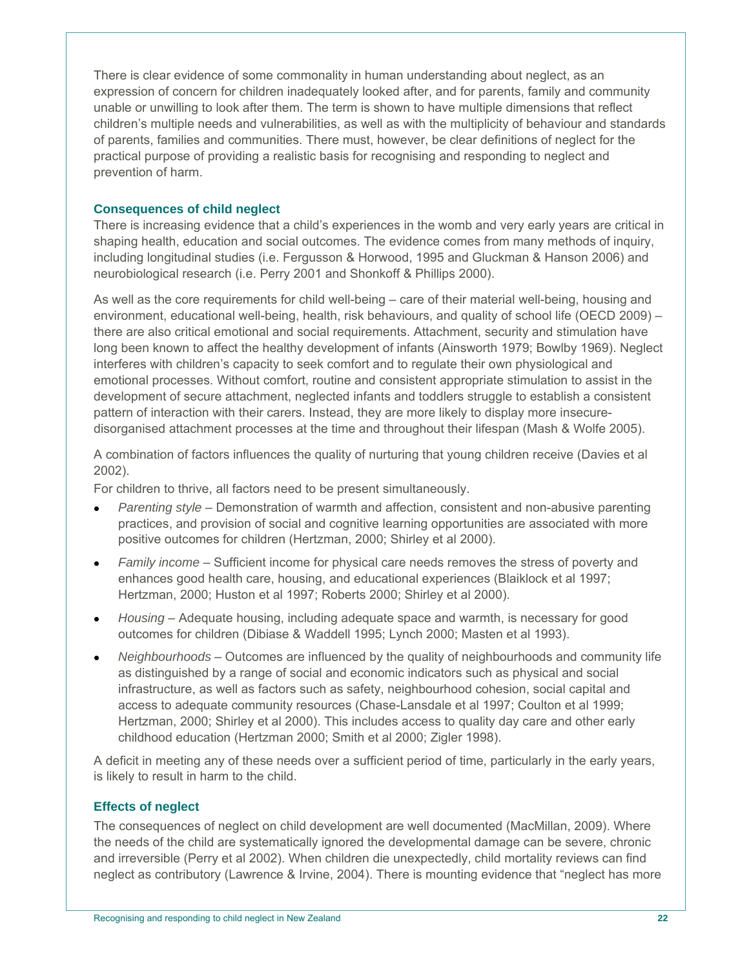There is clear evidence of some commonality in human understanding about neglect, as an expression of concern for children inadequately looked after, and for parents, family and community unable or unwilling to look after them. The term is shown to have multiple dimensions that reflect children's multiple needs and vulnerabilities, as well as with the multiplicity of behaviour and standards of parents, families and communities. There must, however, be clear definitions of neglect for the practical purpose of providing a realistic basis for recognising and responding to neglect and prevention of harm.

## **Consequences of child neglect**

There is increasing evidence that a child's experiences in the womb and very early years are critical in shaping health, education and social outcomes. The evidence comes from many methods of inquiry, including longitudinal studies (i.e. Fergusson & Horwood, 1995 and Gluckman & Hanson 2006) and neurobiological research (i.e. Perry 2001 and Shonkoff & Phillips 2000).

As well as the core requirements for child well-being – care of their material well-being, housing and environment, educational well-being, health, risk behaviours, and quality of school life (OECD 2009) – there are also critical emotional and social requirements. Attachment, security and stimulation have long been known to affect the healthy development of infants (Ainsworth 1979; Bowlby 1969). Neglect interferes with children's capacity to seek comfort and to regulate their own physiological and emotional processes. Without comfort, routine and consistent appropriate stimulation to assist in the development of secure attachment, neglected infants and toddlers struggle to establish a consistent pattern of interaction with their carers. Instead, they are more likely to display more insecuredisorganised attachment processes at the time and throughout their lifespan (Mash & Wolfe 2005).

A combination of factors influences the quality of nurturing that young children receive (Davies et al 2002).

For children to thrive, all factors need to be present simultaneously.

- *Parenting style* Demonstration of warmth and affection, consistent and non-abusive parenting practices, and provision of social and cognitive learning opportunities are associated with more positive outcomes for children (Hertzman, 2000; Shirley et al 2000).
- *Family income* Sufficient income for physical care needs removes the stress of poverty and enhances good health care, housing, and educational experiences (Blaiklock et al 1997; Hertzman, 2000; Huston et al 1997; Roberts 2000; Shirley et al 2000).
- *Housing* Adequate housing, including adequate space and warmth, is necessary for good outcomes for children (Dibiase & Waddell 1995; Lynch 2000; Masten et al 1993).
- *Neighbourhoods* Outcomes are influenced by the quality of neighbourhoods and community life as distinguished by a range of social and economic indicators such as physical and social infrastructure, as well as factors such as safety, neighbourhood cohesion, social capital and access to adequate community resources (Chase-Lansdale et al 1997; Coulton et al 1999; Hertzman, 2000; Shirley et al 2000). This includes access to quality day care and other early childhood education (Hertzman 2000; Smith et al 2000; Zigler 1998).

A deficit in meeting any of these needs over a sufficient period of time, particularly in the early years, is likely to result in harm to the child.

# **Effects of neglect**

The consequences of neglect on child development are well documented (MacMillan, 2009). Where the needs of the child are systematically ignored the developmental damage can be severe, chronic and irreversible (Perry et al 2002). When children die unexpectedly, child mortality reviews can find neglect as contributory (Lawrence & Irvine, 2004). There is mounting evidence that "neglect has more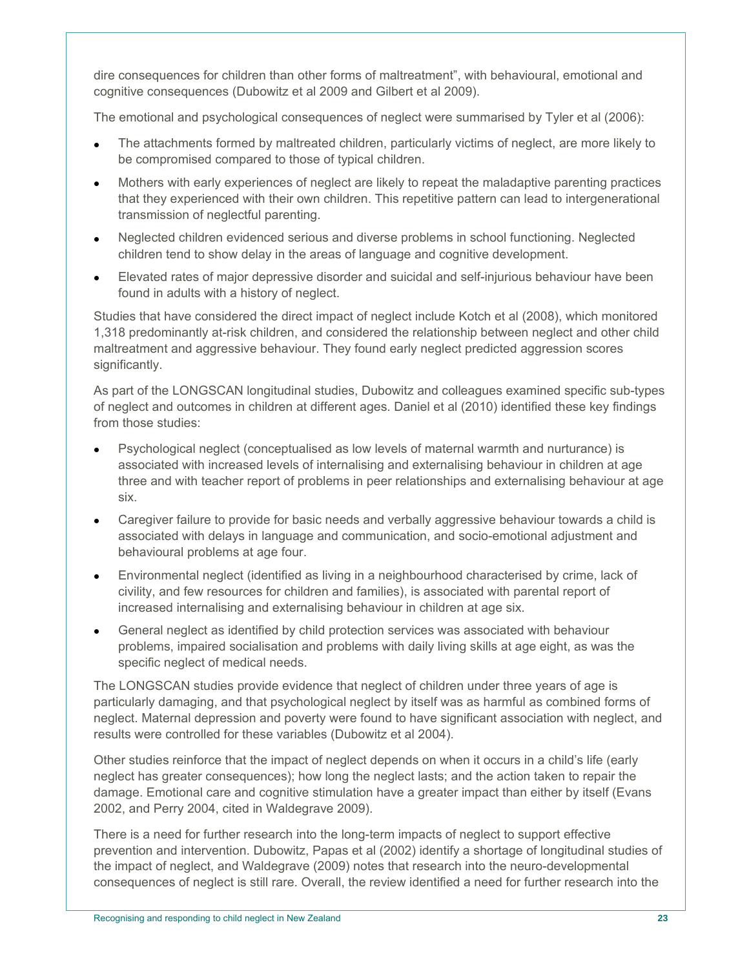dire consequences for children than other forms of maltreatment", with behavioural, emotional and cognitive consequences (Dubowitz et al 2009 and Gilbert et al 2009).

The emotional and psychological consequences of neglect were summarised by Tyler et al (2006):

- The attachments formed by maltreated children, particularly victims of neglect, are more likely to be compromised compared to those of typical children.
- Mothers with early experiences of neglect are likely to repeat the maladaptive parenting practices that they experienced with their own children. This repetitive pattern can lead to intergenerational transmission of neglectful parenting.
- Neglected children evidenced serious and diverse problems in school functioning. Neglected children tend to show delay in the areas of language and cognitive development.
- Elevated rates of major depressive disorder and suicidal and self-injurious behaviour have been found in adults with a history of neglect.

Studies that have considered the direct impact of neglect include Kotch et al (2008), which monitored 1,318 predominantly at-risk children, and considered the relationship between neglect and other child maltreatment and aggressive behaviour. They found early neglect predicted aggression scores significantly.

As part of the LONGSCAN longitudinal studies, Dubowitz and colleagues examined specific sub-types of neglect and outcomes in children at different ages. Daniel et al (2010) identified these key findings from those studies:

- Psychological neglect (conceptualised as low levels of maternal warmth and nurturance) is associated with increased levels of internalising and externalising behaviour in children at age three and with teacher report of problems in peer relationships and externalising behaviour at age six.
- Caregiver failure to provide for basic needs and verbally aggressive behaviour towards a child is associated with delays in language and communication, and socio-emotional adjustment and behavioural problems at age four.
- Environmental neglect (identified as living in a neighbourhood characterised by crime, lack of civility, and few resources for children and families), is associated with parental report of increased internalising and externalising behaviour in children at age six.
- General neglect as identified by child protection services was associated with behaviour problems, impaired socialisation and problems with daily living skills at age eight, as was the specific neglect of medical needs.

The LONGSCAN studies provide evidence that neglect of children under three years of age is particularly damaging, and that psychological neglect by itself was as harmful as combined forms of neglect. Maternal depression and poverty were found to have significant association with neglect, and results were controlled for these variables (Dubowitz et al 2004).

Other studies reinforce that the impact of neglect depends on when it occurs in a child's life (early neglect has greater consequences); how long the neglect lasts; and the action taken to repair the damage. Emotional care and cognitive stimulation have a greater impact than either by itself (Evans 2002, and Perry 2004, cited in Waldegrave 2009).

There is a need for further research into the long-term impacts of neglect to support effective prevention and intervention. Dubowitz, Papas et al (2002) identify a shortage of longitudinal studies of the impact of neglect, and Waldegrave (2009) notes that research into the neuro-developmental consequences of neglect is still rare. Overall, the review identified a need for further research into the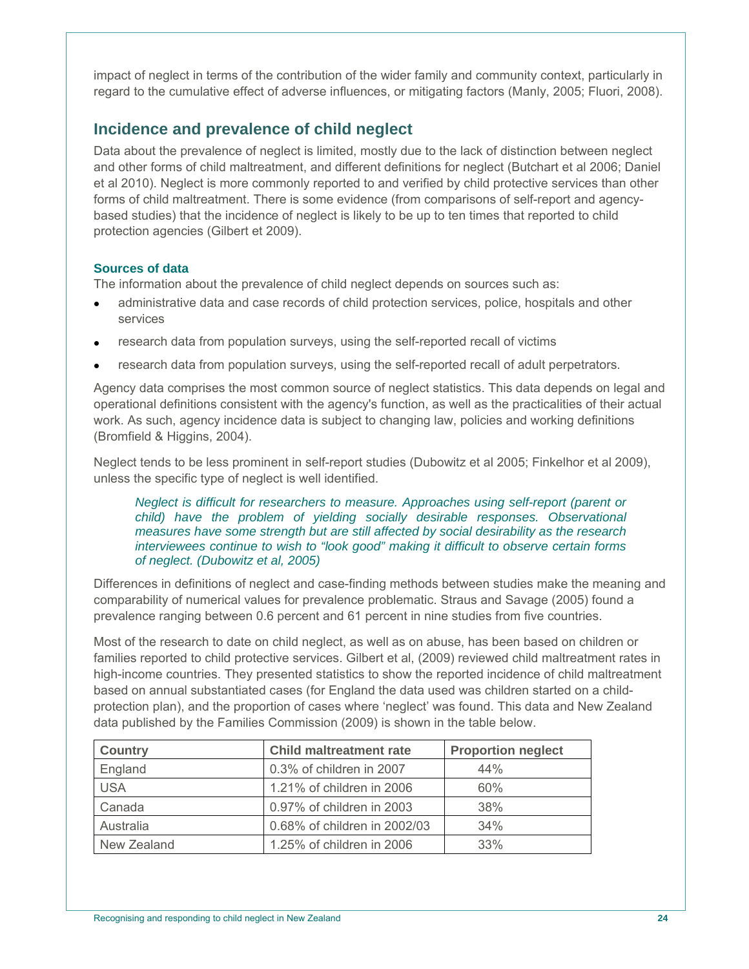impact of neglect in terms of the contribution of the wider family and community context, particularly in regard to the cumulative effect of adverse influences, or mitigating factors (Manly, 2005; Fluori, 2008).

# **Incidence and prevalence of child neglect**

Data about the prevalence of neglect is limited, mostly due to the lack of distinction between neglect and other forms of child maltreatment, and different definitions for neglect (Butchart et al 2006; Daniel et al 2010). Neglect is more commonly reported to and verified by child protective services than other forms of child maltreatment. There is some evidence (from comparisons of self-report and agencybased studies) that the incidence of neglect is likely to be up to ten times that reported to child protection agencies (Gilbert et 2009).

## **Sources of data**

The information about the prevalence of child neglect depends on sources such as:

- administrative data and case records of child protection services, police, hospitals and other services
- research data from population surveys, using the self-reported recall of victims
- research data from population surveys, using the self-reported recall of adult perpetrators.

Agency data comprises the most common source of neglect statistics. This data depends on legal and operational definitions consistent with the agency's function, as well as the practicalities of their actual work. As such, agency incidence data is subject to changing law, policies and working definitions (Bromfield & Higgins, 2004).

Neglect tends to be less prominent in self-report studies (Dubowitz et al 2005; Finkelhor et al 2009), unless the specific type of neglect is well identified.

*Neglect is difficult for researchers to measure. Approaches using self-report (parent or child)* have the problem of yielding socially desirable responses. Observational *measures have some strength but are still affected by social desirability as the research interviewees continue to wish to "look good" making it difficult to observe certain forms of neglect. (Dubowitz et al, 2005)* 

Differences in definitions of neglect and case-finding methods between studies make the meaning and comparability of numerical values for prevalence problematic. Straus and Savage (2005) found a prevalence ranging between 0.6 percent and 61 percent in nine studies from five countries.

Most of the research to date on child neglect, as well as on abuse, has been based on children or families reported to child protective services. Gilbert et al, (2009) reviewed child maltreatment rates in high-income countries. They presented statistics to show the reported incidence of child maltreatment based on annual substantiated cases (for England the data used was children started on a childprotection plan), and the proportion of cases where 'neglect' was found. This data and New Zealand data published by the Families Commission (2009) is shown in the table below.

| <b>Country</b> | <b>Child maltreatment rate</b> | <b>Proportion neglect</b> |
|----------------|--------------------------------|---------------------------|
| England        | 0.3% of children in 2007       | 44%                       |
| <b>USA</b>     | 1.21% of children in 2006      | 60%                       |
| Canada         | 0.97% of children in 2003      | 38%                       |
| Australia      | 0.68% of children in 2002/03   | 34%                       |
| New Zealand    | 1.25% of children in 2006      | 33%                       |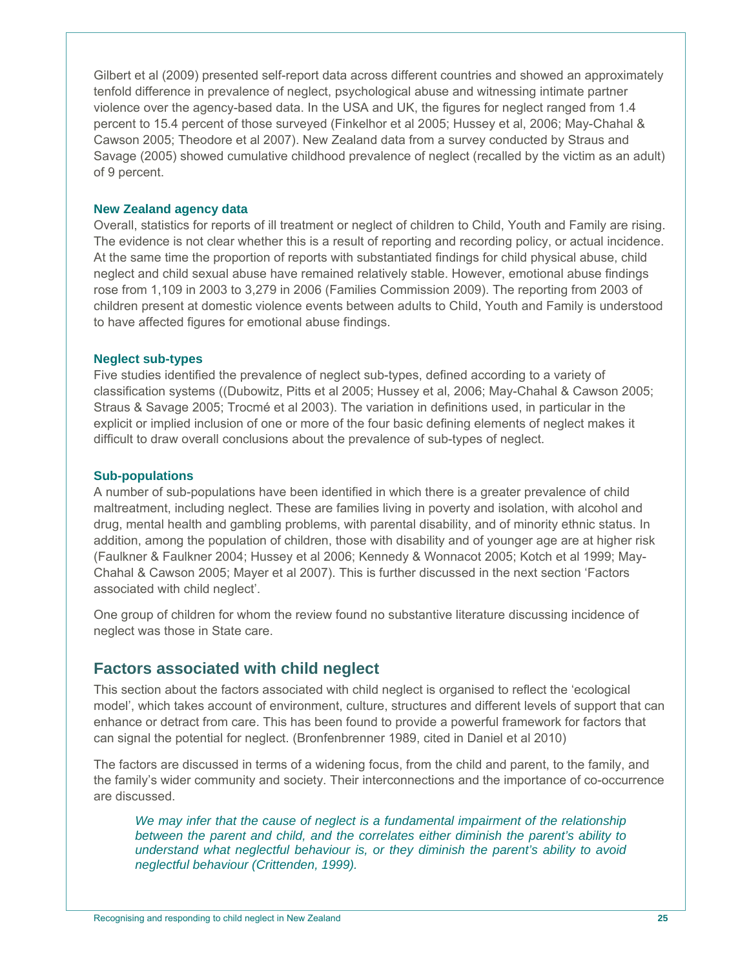Gilbert et al (2009) presented self-report data across different countries and showed an approximately tenfold difference in prevalence of neglect, psychological abuse and witnessing intimate partner violence over the agency-based data. In the USA and UK, the figures for neglect ranged from 1.4 percent to 15.4 percent of those surveyed (Finkelhor et al 2005; Hussey et al, 2006; May-Chahal & Cawson 2005; Theodore et al 2007). New Zealand data from a survey conducted by Straus and Savage (2005) showed cumulative childhood prevalence of neglect (recalled by the victim as an adult) of 9 percent.

#### **New Zealand agency data**

Overall, statistics for reports of ill treatment or neglect of children to Child, Youth and Family are rising. The evidence is not clear whether this is a result of reporting and recording policy, or actual incidence. At the same time the proportion of reports with substantiated findings for child physical abuse, child neglect and child sexual abuse have remained relatively stable. However, emotional abuse findings rose from 1,109 in 2003 to 3,279 in 2006 (Families Commission 2009). The reporting from 2003 of children present at domestic violence events between adults to Child, Youth and Family is understood to have affected figures for emotional abuse findings.

#### **Neglect sub-types**

Five studies identified the prevalence of neglect sub-types, defined according to a variety of classification systems ((Dubowitz, Pitts et al 2005; Hussey et al, 2006; May-Chahal & Cawson 2005; Straus & Savage 2005; Trocmé et al 2003). The variation in definitions used, in particular in the explicit or implied inclusion of one or more of the four basic defining elements of neglect makes it difficult to draw overall conclusions about the prevalence of sub-types of neglect.

#### **Sub-populations**

A number of sub-populations have been identified in which there is a greater prevalence of child maltreatment, including neglect. These are families living in poverty and isolation, with alcohol and drug, mental health and gambling problems, with parental disability, and of minority ethnic status. In addition, among the population of children, those with disability and of younger age are at higher risk (Faulkner & Faulkner 2004; Hussey et al 2006; Kennedy & Wonnacot 2005; Kotch et al 1999; May-Chahal & Cawson 2005; Mayer et al 2007). This is further discussed in the next section 'Factors associated with child neglect'.

One group of children for whom the review found no substantive literature discussing incidence of neglect was those in State care.

# **Factors associated with child neglect**

This section about the factors associated with child neglect is organised to reflect the 'ecological model', which takes account of environment, culture, structures and different levels of support that can enhance or detract from care. This has been found to provide a powerful framework for factors that can signal the potential for neglect. (Bronfenbrenner 1989, cited in Daniel et al 2010)

The factors are discussed in terms of a widening focus, from the child and parent, to the family, and the family's wider community and society. Their interconnections and the importance of co-occurrence are discussed.

We may infer that the cause of neglect is a fundamental impairment of the relationship *between the parent and child, and the correlates either diminish the parent's ability to understand what neglectful behaviour is, or they diminish the parent's ability to avoid neglectful behaviour (Crittenden, 1999).*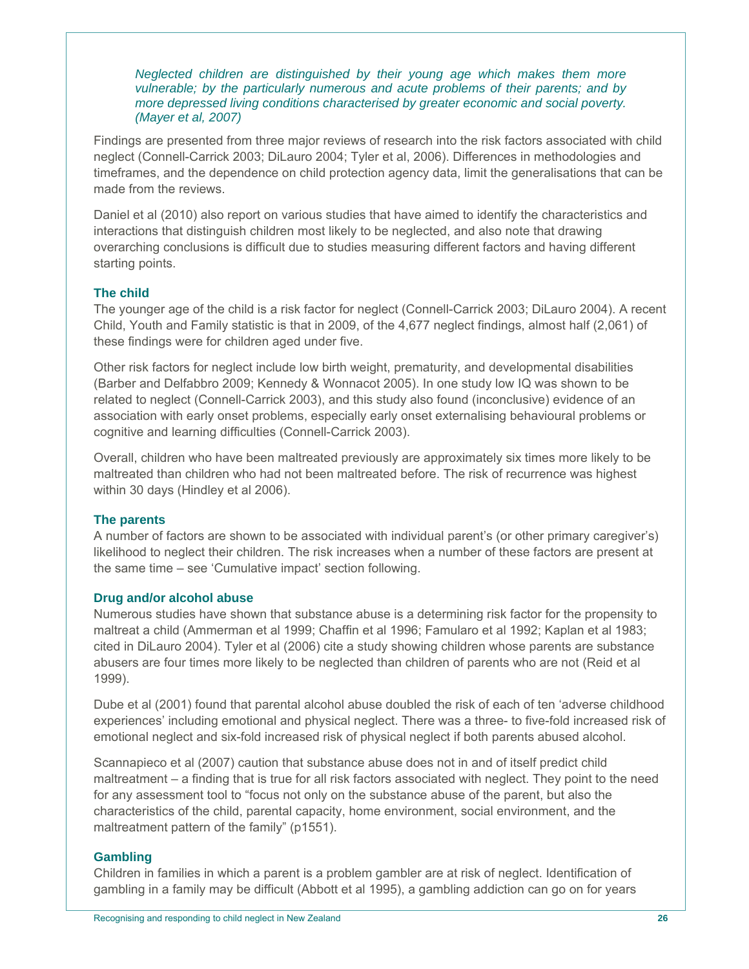*Neglected children are distinguished by their young age which makes them more vulnerable; by the particularly numerous and acute problems of their parents; and by more depressed living conditions characterised by greater economic and social poverty. (Mayer et al, 2007)* 

Findings are presented from three major reviews of research into the risk factors associated with child neglect (Connell-Carrick 2003; DiLauro 2004; Tyler et al, 2006). Differences in methodologies and timeframes, and the dependence on child protection agency data, limit the generalisations that can be made from the reviews.

Daniel et al (2010) also report on various studies that have aimed to identify the characteristics and interactions that distinguish children most likely to be neglected, and also note that drawing overarching conclusions is difficult due to studies measuring different factors and having different starting points.

## **The child**

The younger age of the child is a risk factor for neglect (Connell-Carrick 2003; DiLauro 2004). A recent Child, Youth and Family statistic is that in 2009, of the 4,677 neglect findings, almost half (2,061) of these findings were for children aged under five.

Other risk factors for neglect include low birth weight, prematurity, and developmental disabilities (Barber and Delfabbro 2009; Kennedy & Wonnacot 2005). In one study low IQ was shown to be related to neglect (Connell-Carrick 2003), and this study also found (inconclusive) evidence of an association with early onset problems, especially early onset externalising behavioural problems or cognitive and learning difficulties (Connell-Carrick 2003).

Overall, children who have been maltreated previously are approximately six times more likely to be maltreated than children who had not been maltreated before. The risk of recurrence was highest within 30 days (Hindley et al 2006).

## **The parents**

A number of factors are shown to be associated with individual parent's (or other primary caregiver's) likelihood to neglect their children. The risk increases when a number of these factors are present at the same time – see 'Cumulative impact' section following.

## **Drug and/or alcohol abuse**

Numerous studies have shown that substance abuse is a determining risk factor for the propensity to maltreat a child (Ammerman et al 1999; Chaffin et al 1996; Famularo et al 1992; Kaplan et al 1983; cited in DiLauro 2004). Tyler et al (2006) cite a study showing children whose parents are substance abusers are four times more likely to be neglected than children of parents who are not (Reid et al 1999).

Dube et al (2001) found that parental alcohol abuse doubled the risk of each of ten 'adverse childhood experiences' including emotional and physical neglect. There was a three- to five-fold increased risk of emotional neglect and six-fold increased risk of physical neglect if both parents abused alcohol.

Scannapieco et al (2007) caution that substance abuse does not in and of itself predict child maltreatment – a finding that is true for all risk factors associated with neglect. They point to the need for any assessment tool to "focus not only on the substance abuse of the parent, but also the characteristics of the child, parental capacity, home environment, social environment, and the maltreatment pattern of the family" (p1551).

## **Gambling**

Children in families in which a parent is a problem gambler are at risk of neglect. Identification of gambling in a family may be difficult (Abbott et al 1995), a gambling addiction can go on for years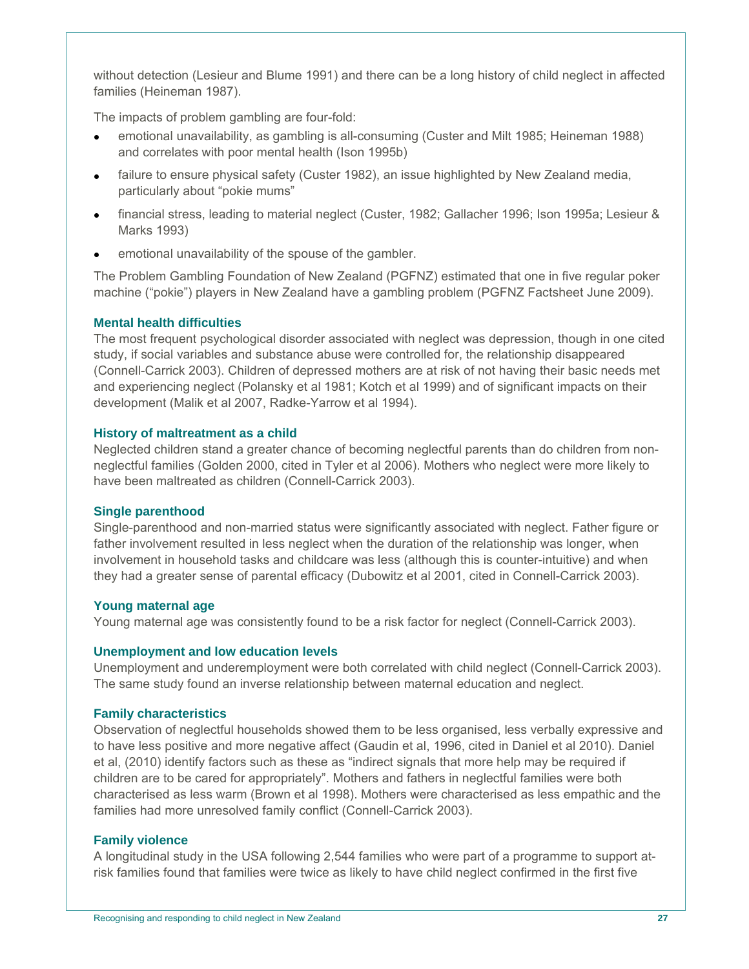without detection (Lesieur and Blume 1991) and there can be a long history of child neglect in affected families (Heineman 1987).

The impacts of problem gambling are four-fold:

- emotional unavailability, as gambling is all-consuming (Custer and Milt 1985; Heineman 1988) and correlates with poor mental health (Ison 1995b)
- failure to ensure physical safety (Custer 1982), an issue highlighted by New Zealand media, particularly about "pokie mums"
- financial stress, leading to material neglect (Custer, 1982; Gallacher 1996; Ison 1995a; Lesieur & Marks 1993)
- emotional unavailability of the spouse of the gambler.

The Problem Gambling Foundation of New Zealand (PGFNZ) estimated that one in five regular poker machine ("pokie") players in New Zealand have a gambling problem (PGFNZ Factsheet June 2009).

## **Mental health difficulties**

The most frequent psychological disorder associated with neglect was depression, though in one cited study, if social variables and substance abuse were controlled for, the relationship disappeared (Connell-Carrick 2003). Children of depressed mothers are at risk of not having their basic needs met and experiencing neglect (Polansky et al 1981; Kotch et al 1999) and of significant impacts on their development (Malik et al 2007, Radke-Yarrow et al 1994).

#### **History of maltreatment as a child**

Neglected children stand a greater chance of becoming neglectful parents than do children from nonneglectful families (Golden 2000, cited in Tyler et al 2006). Mothers who neglect were more likely to have been maltreated as children (Connell-Carrick 2003).

#### **Single parenthood**

Single-parenthood and non-married status were significantly associated with neglect. Father figure or father involvement resulted in less neglect when the duration of the relationship was longer, when involvement in household tasks and childcare was less (although this is counter-intuitive) and when they had a greater sense of parental efficacy (Dubowitz et al 2001, cited in Connell-Carrick 2003).

#### **Young maternal age**

Young maternal age was consistently found to be a risk factor for neglect (Connell-Carrick 2003).

#### **Unemployment and low education levels**

Unemployment and underemployment were both correlated with child neglect (Connell-Carrick 2003). The same study found an inverse relationship between maternal education and neglect.

#### **Family characteristics**

Observation of neglectful households showed them to be less organised, less verbally expressive and to have less positive and more negative affect (Gaudin et al, 1996, cited in Daniel et al 2010). Daniel et al, (2010) identify factors such as these as "indirect signals that more help may be required if children are to be cared for appropriately". Mothers and fathers in neglectful families were both characterised as less warm (Brown et al 1998). Mothers were characterised as less empathic and the families had more unresolved family conflict (Connell-Carrick 2003).

## **Family violence**

A longitudinal study in the USA following 2,544 families who were part of a programme to support atrisk families found that families were twice as likely to have child neglect confirmed in the first five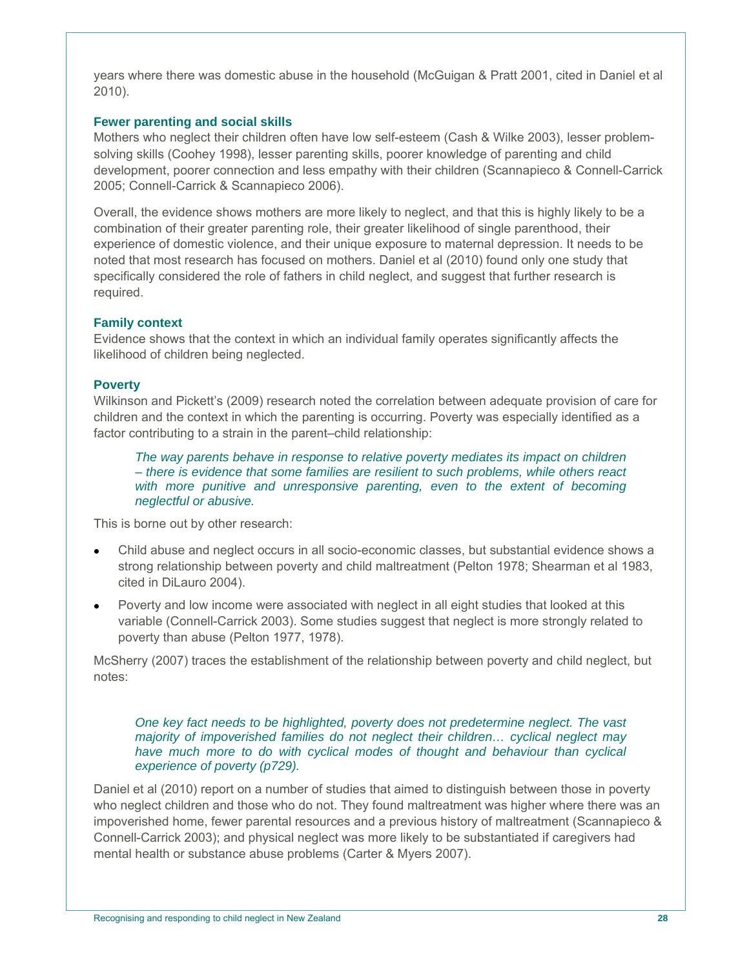years where there was domestic abuse in the household (McGuigan & Pratt 2001, cited in Daniel et al 2010).

#### **Fewer parenting and social skills**

Mothers who neglect their children often have low self-esteem (Cash & Wilke 2003), lesser problemsolving skills (Coohey 1998), lesser parenting skills, poorer knowledge of parenting and child development, poorer connection and less empathy with their children (Scannapieco & Connell-Carrick 2005; Connell-Carrick & Scannapieco 2006).

Overall, the evidence shows mothers are more likely to neglect, and that this is highly likely to be a combination of their greater parenting role, their greater likelihood of single parenthood, their experience of domestic violence, and their unique exposure to maternal depression. It needs to be noted that most research has focused on mothers. Daniel et al (2010) found only one study that specifically considered the role of fathers in child neglect, and suggest that further research is required.

#### **Family context**

Evidence shows that the context in which an individual family operates significantly affects the likelihood of children being neglected.

#### **Poverty**

Wilkinson and Pickett's (2009) research noted the correlation between adequate provision of care for children and the context in which the parenting is occurring. Poverty was especially identified as a factor contributing to a strain in the parent–child relationship:

*The way parents behave in response to relative poverty mediates its impact on children – there is evidence that some families are resilient to such problems, while others react with more punitive and unresponsive parenting, even to the extent of becoming neglectful or abusive.* 

This is borne out by other research:

- Child abuse and neglect occurs in all socio-economic classes, but substantial evidence shows a strong relationship between poverty and child maltreatment (Pelton 1978; Shearman et al 1983, cited in DiLauro 2004).
- Poverty and low income were associated with neglect in all eight studies that looked at this variable (Connell-Carrick 2003). Some studies suggest that neglect is more strongly related to poverty than abuse (Pelton 1977, 1978).

McSherry (2007) traces the establishment of the relationship between poverty and child neglect, but notes:

#### *One key fact needs to be highlighted, poverty does not predetermine neglect. The vast majority of impoverished families do not neglect their children… cyclical neglect may have much more to do with cyclical modes of thought and behaviour than cyclical experience of poverty (p729).*

Daniel et al (2010) report on a number of studies that aimed to distinguish between those in poverty who neglect children and those who do not. They found maltreatment was higher where there was an impoverished home, fewer parental resources and a previous history of maltreatment (Scannapieco & Connell-Carrick 2003); and physical neglect was more likely to be substantiated if caregivers had mental health or substance abuse problems (Carter & Myers 2007).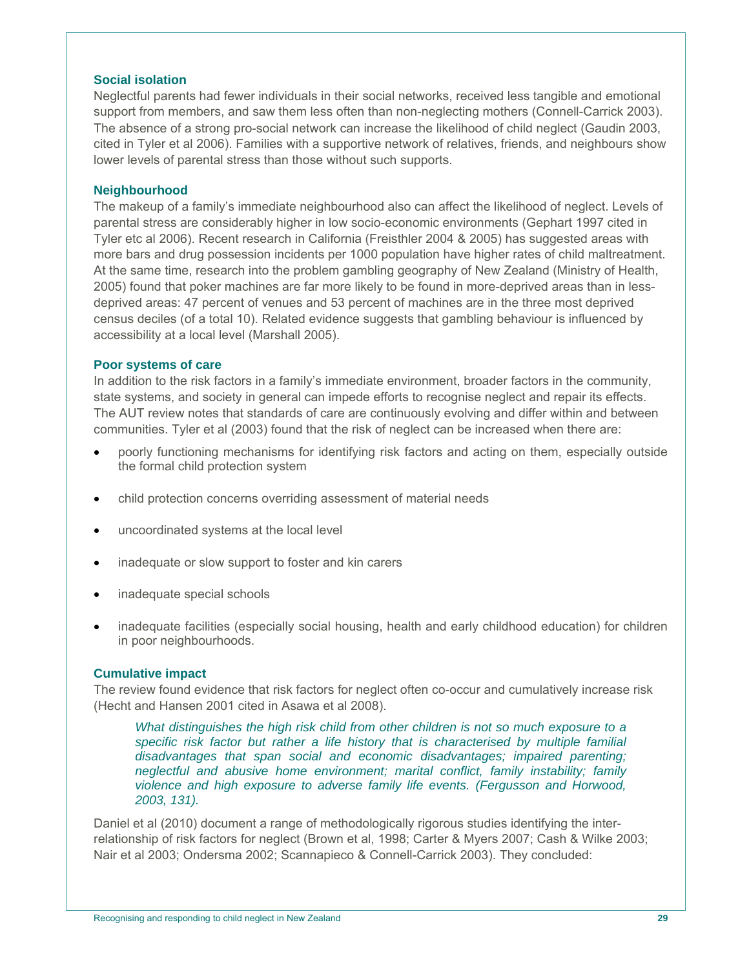#### **Social isolation**

Neglectful parents had fewer individuals in their social networks, received less tangible and emotional support from members, and saw them less often than non-neglecting mothers (Connell-Carrick 2003). The absence of a strong pro-social network can increase the likelihood of child neglect (Gaudin 2003, cited in Tyler et al 2006). Families with a supportive network of relatives, friends, and neighbours show lower levels of parental stress than those without such supports.

#### **Neighbourhood**

The makeup of a family's immediate neighbourhood also can affect the likelihood of neglect. Levels of parental stress are considerably higher in low socio-economic environments (Gephart 1997 cited in Tyler etc al 2006). Recent research in California (Freisthler 2004 & 2005) has suggested areas with more bars and drug possession incidents per 1000 population have higher rates of child maltreatment. At the same time, research into the problem gambling geography of New Zealand (Ministry of Health, 2005) found that poker machines are far more likely to be found in more-deprived areas than in lessdeprived areas: 47 percent of venues and 53 percent of machines are in the three most deprived census deciles (of a total 10). Related evidence suggests that gambling behaviour is influenced by accessibility at a local level (Marshall 2005).

#### **Poor systems of care**

In addition to the risk factors in a family's immediate environment, broader factors in the community, state systems, and society in general can impede efforts to recognise neglect and repair its effects. The AUT review notes that standards of care are continuously evolving and differ within and between communities. Tyler et al (2003) found that the risk of neglect can be increased when there are:

- poorly functioning mechanisms for identifying risk factors and acting on them, especially outside the formal child protection system
- child protection concerns overriding assessment of material needs
- uncoordinated systems at the local level
- inadequate or slow support to foster and kin carers
- inadequate special schools
- inadequate facilities (especially social housing, health and early childhood education) for children in poor neighbourhoods.

#### **Cumulative impact**

The review found evidence that risk factors for neglect often co-occur and cumulatively increase risk (Hecht and Hansen 2001 cited in Asawa et al 2008).

*What distinguishes the high risk child from other children is not so much exposure to a*  specific risk factor but rather a life history that is characterised by multiple familial *disadvantages that span social and economic disadvantages; impaired parenting; neglectful and abusive home environment; marital conflict, family instability; family violence and high exposure to adverse family life events. (Fergusson and Horwood, 2003, 131).* 

Daniel et al (2010) document a range of methodologically rigorous studies identifying the interrelationship of risk factors for neglect (Brown et al, 1998; Carter & Myers 2007; Cash & Wilke 2003; Nair et al 2003; Ondersma 2002; Scannapieco & Connell-Carrick 2003). They concluded: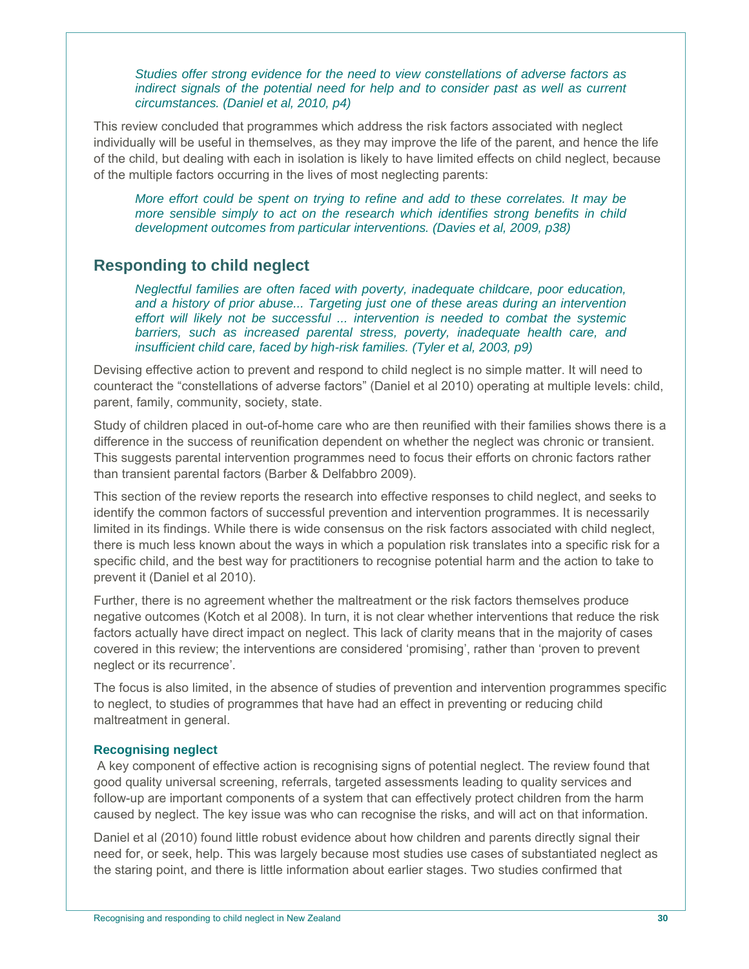*Studies offer strong evidence for the need to view constellations of adverse factors as indirect signals of the potential need for help and to consider past as well as current circumstances. (Daniel et al, 2010, p4)* 

This review concluded that programmes which address the risk factors associated with neglect individually will be useful in themselves, as they may improve the life of the parent, and hence the life of the child, but dealing with each in isolation is likely to have limited effects on child neglect, because of the multiple factors occurring in the lives of most neglecting parents:

*More effort could be spent on trying to refine and add to these correlates. It may be more sensible simply to act on the research which identifies strong benefits in child development outcomes from particular interventions. (Davies et al, 2009, p38)* 

# **Responding to child neglect**

*Neglectful families are often faced with poverty, inadequate childcare, poor education, and a history of prior abuse... Targeting just one of these areas during an intervention effort will likely not be successful ... intervention is needed to combat the systemic barriers, such as increased parental stress, poverty, inadequate health care, and insufficient child care, faced by high-risk families. (Tyler et al, 2003, p9)* 

Devising effective action to prevent and respond to child neglect is no simple matter. It will need to counteract the "constellations of adverse factors" (Daniel et al 2010) operating at multiple levels: child, parent, family, community, society, state.

Study of children placed in out-of-home care who are then reunified with their families shows there is a difference in the success of reunification dependent on whether the neglect was chronic or transient. This suggests parental intervention programmes need to focus their efforts on chronic factors rather than transient parental factors (Barber & Delfabbro 2009).

This section of the review reports the research into effective responses to child neglect, and seeks to identify the common factors of successful prevention and intervention programmes. It is necessarily limited in its findings. While there is wide consensus on the risk factors associated with child neglect, there is much less known about the ways in which a population risk translates into a specific risk for a specific child, and the best way for practitioners to recognise potential harm and the action to take to prevent it (Daniel et al 2010).

Further, there is no agreement whether the maltreatment or the risk factors themselves produce negative outcomes (Kotch et al 2008). In turn, it is not clear whether interventions that reduce the risk factors actually have direct impact on neglect. This lack of clarity means that in the majority of cases covered in this review; the interventions are considered 'promising', rather than 'proven to prevent neglect or its recurrence'.

The focus is also limited, in the absence of studies of prevention and intervention programmes specific to neglect, to studies of programmes that have had an effect in preventing or reducing child maltreatment in general.

## **Recognising neglect**

 A key component of effective action is recognising signs of potential neglect. The review found that good quality universal screening, referrals, targeted assessments leading to quality services and follow-up are important components of a system that can effectively protect children from the harm caused by neglect. The key issue was who can recognise the risks, and will act on that information.

Daniel et al (2010) found little robust evidence about how children and parents directly signal their need for, or seek, help. This was largely because most studies use cases of substantiated neglect as the staring point, and there is little information about earlier stages. Two studies confirmed that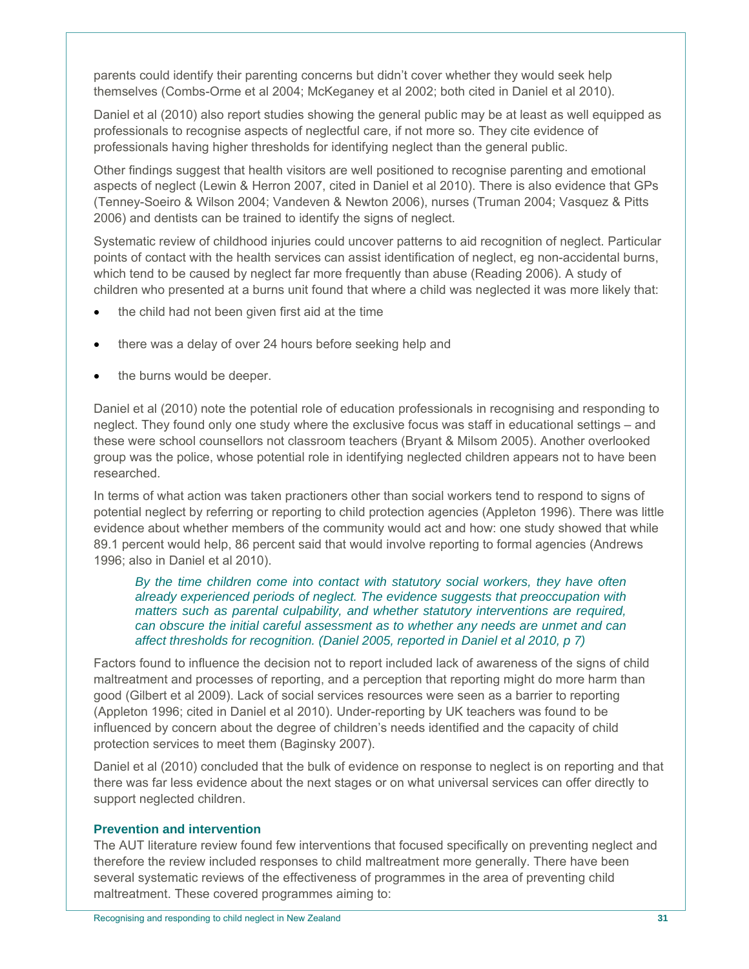parents could identify their parenting concerns but didn't cover whether they would seek help themselves (Combs-Orme et al 2004; McKeganey et al 2002; both cited in Daniel et al 2010).

Daniel et al (2010) also report studies showing the general public may be at least as well equipped as professionals to recognise aspects of neglectful care, if not more so. They cite evidence of professionals having higher thresholds for identifying neglect than the general public.

Other findings suggest that health visitors are well positioned to recognise parenting and emotional aspects of neglect (Lewin & Herron 2007, cited in Daniel et al 2010). There is also evidence that GPs (Tenney-Soeiro & Wilson 2004; Vandeven & Newton 2006), nurses (Truman 2004; Vasquez & Pitts 2006) and dentists can be trained to identify the signs of neglect.

Systematic review of childhood injuries could uncover patterns to aid recognition of neglect. Particular points of contact with the health services can assist identification of neglect, eg non-accidental burns, which tend to be caused by neglect far more frequently than abuse (Reading 2006). A study of children who presented at a burns unit found that where a child was neglected it was more likely that:

- the child had not been given first aid at the time
- there was a delay of over 24 hours before seeking help and
- the burns would be deeper.

Daniel et al (2010) note the potential role of education professionals in recognising and responding to neglect. They found only one study where the exclusive focus was staff in educational settings – and these were school counsellors not classroom teachers (Bryant & Milsom 2005). Another overlooked group was the police, whose potential role in identifying neglected children appears not to have been researched.

In terms of what action was taken practioners other than social workers tend to respond to signs of potential neglect by referring or reporting to child protection agencies (Appleton 1996). There was little evidence about whether members of the community would act and how: one study showed that while 89.1 percent would help, 86 percent said that would involve reporting to formal agencies (Andrews 1996; also in Daniel et al 2010).

*By the time children come into contact with statutory social workers, they have often already experienced periods of neglect. The evidence suggests that preoccupation with matters such as parental culpability, and whether statutory interventions are required, can obscure the initial careful assessment as to whether any needs are unmet and can affect thresholds for recognition. (Daniel 2005, reported in Daniel et al 2010, p 7)* 

Factors found to influence the decision not to report included lack of awareness of the signs of child maltreatment and processes of reporting, and a perception that reporting might do more harm than good (Gilbert et al 2009). Lack of social services resources were seen as a barrier to reporting (Appleton 1996; cited in Daniel et al 2010). Under-reporting by UK teachers was found to be influenced by concern about the degree of children's needs identified and the capacity of child protection services to meet them (Baginsky 2007).

Daniel et al (2010) concluded that the bulk of evidence on response to neglect is on reporting and that there was far less evidence about the next stages or on what universal services can offer directly to support neglected children.

## **Prevention and intervention**

The AUT literature review found few interventions that focused specifically on preventing neglect and therefore the review included responses to child maltreatment more generally. There have been several systematic reviews of the effectiveness of programmes in the area of preventing child maltreatment. These covered programmes aiming to: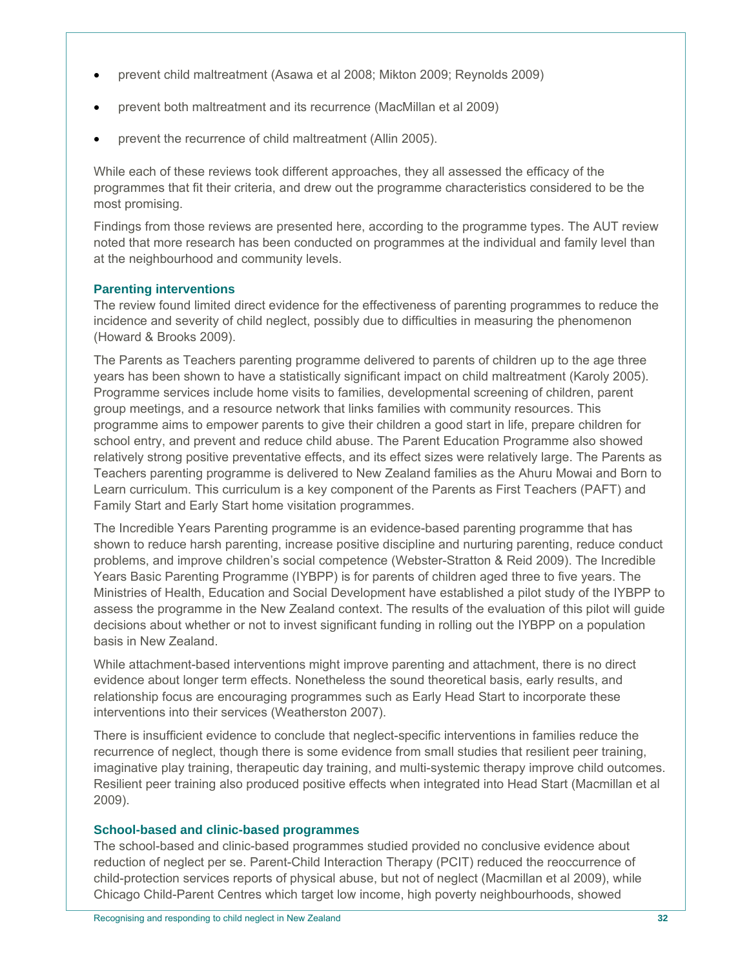- prevent child maltreatment (Asawa et al 2008; Mikton 2009; Reynolds 2009)
- prevent both maltreatment and its recurrence (MacMillan et al 2009)
- prevent the recurrence of child maltreatment (Allin 2005).

While each of these reviews took different approaches, they all assessed the efficacy of the programmes that fit their criteria, and drew out the programme characteristics considered to be the most promising.

Findings from those reviews are presented here, according to the programme types. The AUT review noted that more research has been conducted on programmes at the individual and family level than at the neighbourhood and community levels.

## **Parenting interventions**

The review found limited direct evidence for the effectiveness of parenting programmes to reduce the incidence and severity of child neglect, possibly due to difficulties in measuring the phenomenon (Howard & Brooks 2009).

The Parents as Teachers parenting programme delivered to parents of children up to the age three years has been shown to have a statistically significant impact on child maltreatment (Karoly 2005). Programme services include home visits to families, developmental screening of children, parent group meetings, and a resource network that links families with community resources. This programme aims to empower parents to give their children a good start in life, prepare children for school entry, and prevent and reduce child abuse. The Parent Education Programme also showed relatively strong positive preventative effects, and its effect sizes were relatively large. The Parents as Teachers parenting programme is delivered to New Zealand families as the Ahuru Mowai and Born to Learn curriculum. This curriculum is a key component of the Parents as First Teachers (PAFT) and Family Start and Early Start home visitation programmes.

The Incredible Years Parenting programme is an evidence-based parenting programme that has shown to reduce harsh parenting, increase positive discipline and nurturing parenting, reduce conduct problems, and improve children's social competence (Webster-Stratton & Reid 2009). The Incredible Years Basic Parenting Programme (IYBPP) is for parents of children aged three to five years. The Ministries of Health, Education and Social Development have established a pilot study of the IYBPP to assess the programme in the New Zealand context. The results of the evaluation of this pilot will guide decisions about whether or not to invest significant funding in rolling out the IYBPP on a population basis in New Zealand.

While attachment-based interventions might improve parenting and attachment, there is no direct evidence about longer term effects. Nonetheless the sound theoretical basis, early results, and relationship focus are encouraging programmes such as Early Head Start to incorporate these interventions into their services (Weatherston 2007).

There is insufficient evidence to conclude that neglect-specific interventions in families reduce the recurrence of neglect, though there is some evidence from small studies that resilient peer training, imaginative play training, therapeutic day training, and multi-systemic therapy improve child outcomes. Resilient peer training also produced positive effects when integrated into Head Start (Macmillan et al 2009).

#### **School-based and clinic-based programmes**

The school-based and clinic-based programmes studied provided no conclusive evidence about reduction of neglect per se. Parent-Child Interaction Therapy (PCIT) reduced the reoccurrence of child-protection services reports of physical abuse, but not of neglect (Macmillan et al 2009), while Chicago Child-Parent Centres which target low income, high poverty neighbourhoods, showed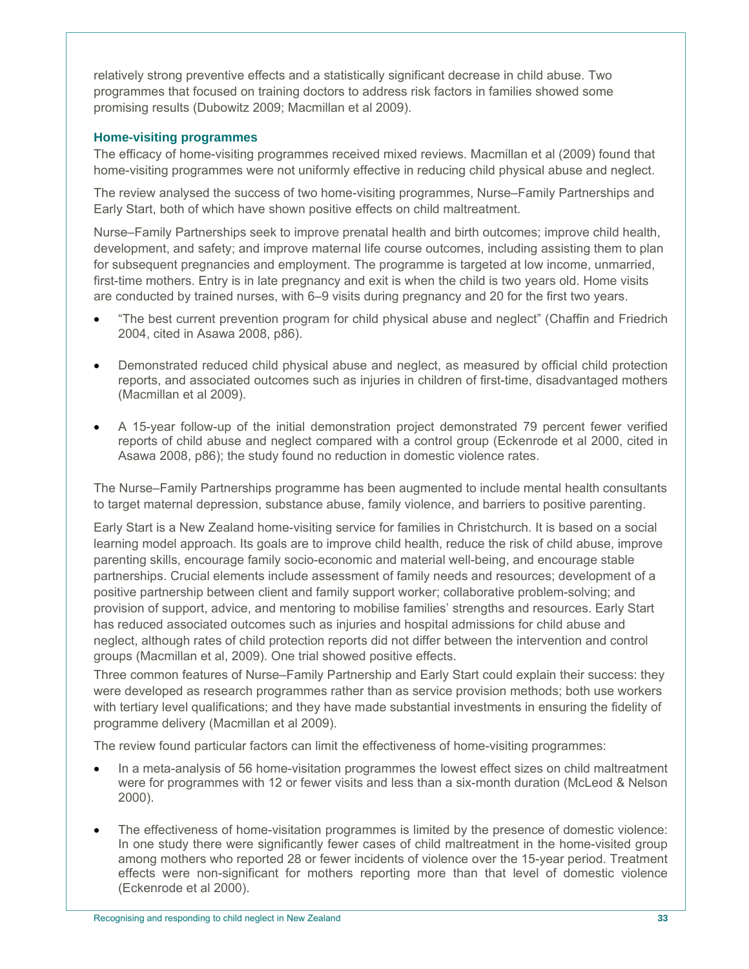relatively strong preventive effects and a statistically significant decrease in child abuse. Two programmes that focused on training doctors to address risk factors in families showed some promising results (Dubowitz 2009; Macmillan et al 2009).

## **Home-visiting programmes**

The efficacy of home-visiting programmes received mixed reviews. Macmillan et al (2009) found that home-visiting programmes were not uniformly effective in reducing child physical abuse and neglect.

The review analysed the success of two home-visiting programmes, Nurse–Family Partnerships and Early Start, both of which have shown positive effects on child maltreatment.

Nurse–Family Partnerships seek to improve prenatal health and birth outcomes; improve child health, development, and safety; and improve maternal life course outcomes, including assisting them to plan for subsequent pregnancies and employment. The programme is targeted at low income, unmarried, first-time mothers. Entry is in late pregnancy and exit is when the child is two years old. Home visits are conducted by trained nurses, with 6–9 visits during pregnancy and 20 for the first two years.

- "The best current prevention program for child physical abuse and neglect" (Chaffin and Friedrich 2004, cited in Asawa 2008, p86).
- Demonstrated reduced child physical abuse and neglect, as measured by official child protection reports, and associated outcomes such as injuries in children of first-time, disadvantaged mothers (Macmillan et al 2009).
- A 15-year follow-up of the initial demonstration project demonstrated 79 percent fewer verified reports of child abuse and neglect compared with a control group (Eckenrode et al 2000, cited in Asawa 2008, p86); the study found no reduction in domestic violence rates.

The Nurse–Family Partnerships programme has been augmented to include mental health consultants to target maternal depression, substance abuse, family violence, and barriers to positive parenting.

Early Start is a New Zealand home-visiting service for families in Christchurch. It is based on a social learning model approach. Its goals are to improve child health, reduce the risk of child abuse, improve parenting skills, encourage family socio-economic and material well-being, and encourage stable partnerships. Crucial elements include assessment of family needs and resources; development of a positive partnership between client and family support worker; collaborative problem-solving; and provision of support, advice, and mentoring to mobilise families' strengths and resources. Early Start has reduced associated outcomes such as injuries and hospital admissions for child abuse and neglect, although rates of child protection reports did not differ between the intervention and control groups (Macmillan et al, 2009). One trial showed positive effects.

Three common features of Nurse–Family Partnership and Early Start could explain their success: they were developed as research programmes rather than as service provision methods; both use workers with tertiary level qualifications; and they have made substantial investments in ensuring the fidelity of programme delivery (Macmillan et al 2009).

The review found particular factors can limit the effectiveness of home-visiting programmes:

- In a meta-analysis of 56 home-visitation programmes the lowest effect sizes on child maltreatment were for programmes with 12 or fewer visits and less than a six-month duration (McLeod & Nelson 2000).
- The effectiveness of home-visitation programmes is limited by the presence of domestic violence: In one study there were significantly fewer cases of child maltreatment in the home-visited group among mothers who reported 28 or fewer incidents of violence over the 15-year period. Treatment effects were non-significant for mothers reporting more than that level of domestic violence (Eckenrode et al 2000).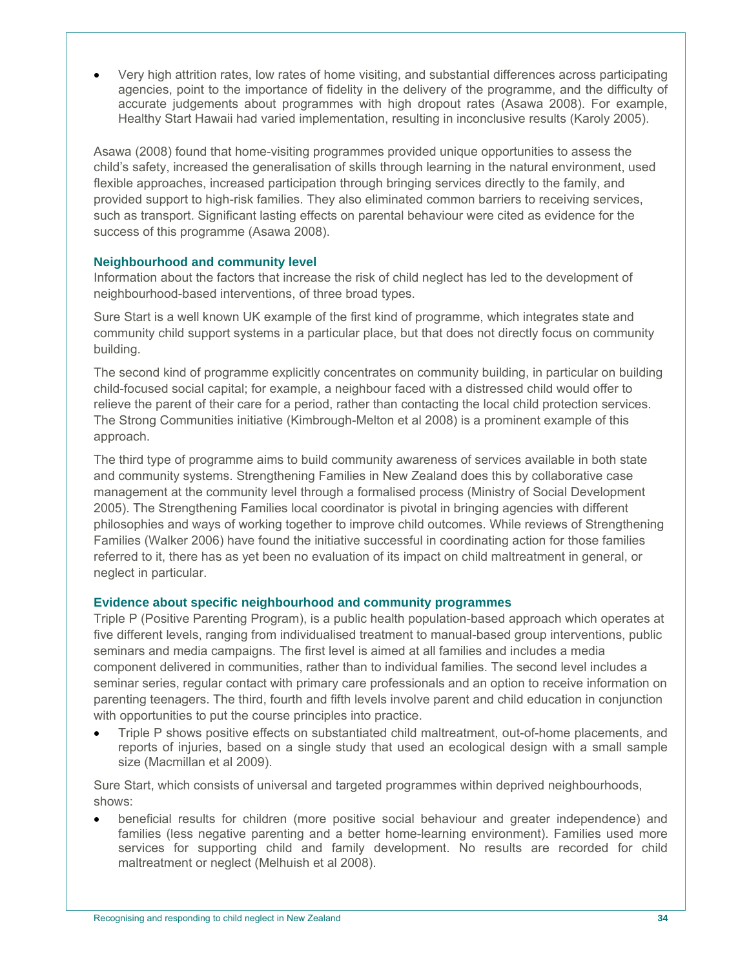Very high attrition rates, low rates of home visiting, and substantial differences across participating agencies, point to the importance of fidelity in the delivery of the programme, and the difficulty of accurate judgements about programmes with high dropout rates (Asawa 2008). For example, Healthy Start Hawaii had varied implementation, resulting in inconclusive results (Karoly 2005).

Asawa (2008) found that home-visiting programmes provided unique opportunities to assess the child's safety, increased the generalisation of skills through learning in the natural environment, used flexible approaches, increased participation through bringing services directly to the family, and provided support to high-risk families. They also eliminated common barriers to receiving services, such as transport. Significant lasting effects on parental behaviour were cited as evidence for the success of this programme (Asawa 2008).

## **Neighbourhood and community level**

Information about the factors that increase the risk of child neglect has led to the development of neighbourhood-based interventions, of three broad types.

Sure Start is a well known UK example of the first kind of programme, which integrates state and community child support systems in a particular place, but that does not directly focus on community building.

The second kind of programme explicitly concentrates on community building, in particular on building child-focused social capital; for example, a neighbour faced with a distressed child would offer to relieve the parent of their care for a period, rather than contacting the local child protection services. The Strong Communities initiative (Kimbrough-Melton et al 2008) is a prominent example of this approach.

The third type of programme aims to build community awareness of services available in both state and community systems. Strengthening Families in New Zealand does this by collaborative case management at the community level through a formalised process (Ministry of Social Development 2005). The Strengthening Families local coordinator is pivotal in bringing agencies with different philosophies and ways of working together to improve child outcomes. While reviews of Strengthening Families (Walker 2006) have found the initiative successful in coordinating action for those families referred to it, there has as yet been no evaluation of its impact on child maltreatment in general, or neglect in particular.

## **Evidence about specific neighbourhood and community programmes**

Triple P (Positive Parenting Program), is a public health population-based approach which operates at five different levels, ranging from individualised treatment to manual-based group interventions, public seminars and media campaigns. The first level is aimed at all families and includes a media component delivered in communities, rather than to individual families. The second level includes a seminar series, regular contact with primary care professionals and an option to receive information on parenting teenagers. The third, fourth and fifth levels involve parent and child education in conjunction with opportunities to put the course principles into practice.

 Triple P shows positive effects on substantiated child maltreatment, out-of-home placements, and reports of injuries, based on a single study that used an ecological design with a small sample size (Macmillan et al 2009).

Sure Start, which consists of universal and targeted programmes within deprived neighbourhoods, shows:

 beneficial results for children (more positive social behaviour and greater independence) and families (less negative parenting and a better home-learning environment). Families used more services for supporting child and family development. No results are recorded for child maltreatment or neglect (Melhuish et al 2008).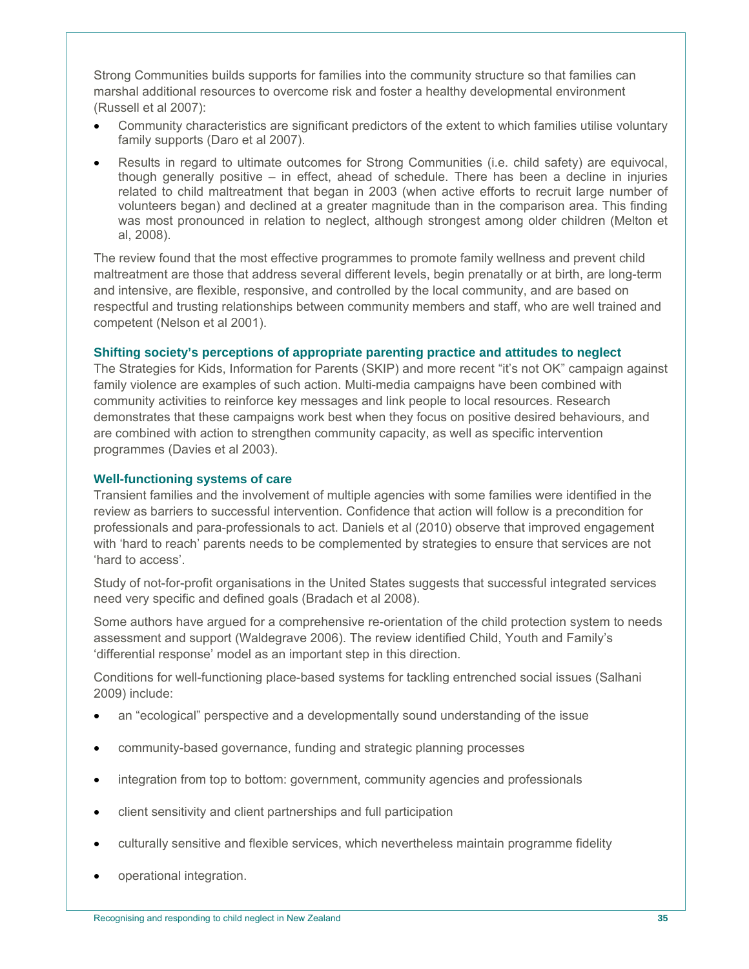Strong Communities builds supports for families into the community structure so that families can marshal additional resources to overcome risk and foster a healthy developmental environment (Russell et al 2007):

- Community characteristics are significant predictors of the extent to which families utilise voluntary family supports (Daro et al 2007).
- Results in regard to ultimate outcomes for Strong Communities (i.e. child safety) are equivocal, though generally positive – in effect, ahead of schedule. There has been a decline in injuries related to child maltreatment that began in 2003 (when active efforts to recruit large number of volunteers began) and declined at a greater magnitude than in the comparison area. This finding was most pronounced in relation to neglect, although strongest among older children (Melton et al, 2008).

The review found that the most effective programmes to promote family wellness and prevent child maltreatment are those that address several different levels, begin prenatally or at birth, are long-term and intensive, are flexible, responsive, and controlled by the local community, and are based on respectful and trusting relationships between community members and staff, who are well trained and competent (Nelson et al 2001).

#### **Shifting society's perceptions of appropriate parenting practice and attitudes to neglect**

The Strategies for Kids, Information for Parents (SKIP) and more recent "it's not OK" campaign against family violence are examples of such action. Multi-media campaigns have been combined with community activities to reinforce key messages and link people to local resources. Research demonstrates that these campaigns work best when they focus on positive desired behaviours, and are combined with action to strengthen community capacity, as well as specific intervention programmes (Davies et al 2003).

#### **Well-functioning systems of care**

Transient families and the involvement of multiple agencies with some families were identified in the review as barriers to successful intervention. Confidence that action will follow is a precondition for professionals and para-professionals to act. Daniels et al (2010) observe that improved engagement with 'hard to reach' parents needs to be complemented by strategies to ensure that services are not 'hard to access'.

Study of not-for-profit organisations in the United States suggests that successful integrated services need very specific and defined goals (Bradach et al 2008).

Some authors have argued for a comprehensive re-orientation of the child protection system to needs assessment and support (Waldegrave 2006). The review identified Child, Youth and Family's 'differential response' model as an important step in this direction.

Conditions for well-functioning place-based systems for tackling entrenched social issues (Salhani 2009) include:

- an "ecological" perspective and a developmentally sound understanding of the issue
- community-based governance, funding and strategic planning processes
- integration from top to bottom: government, community agencies and professionals
- client sensitivity and client partnerships and full participation
- culturally sensitive and flexible services, which nevertheless maintain programme fidelity
- operational integration.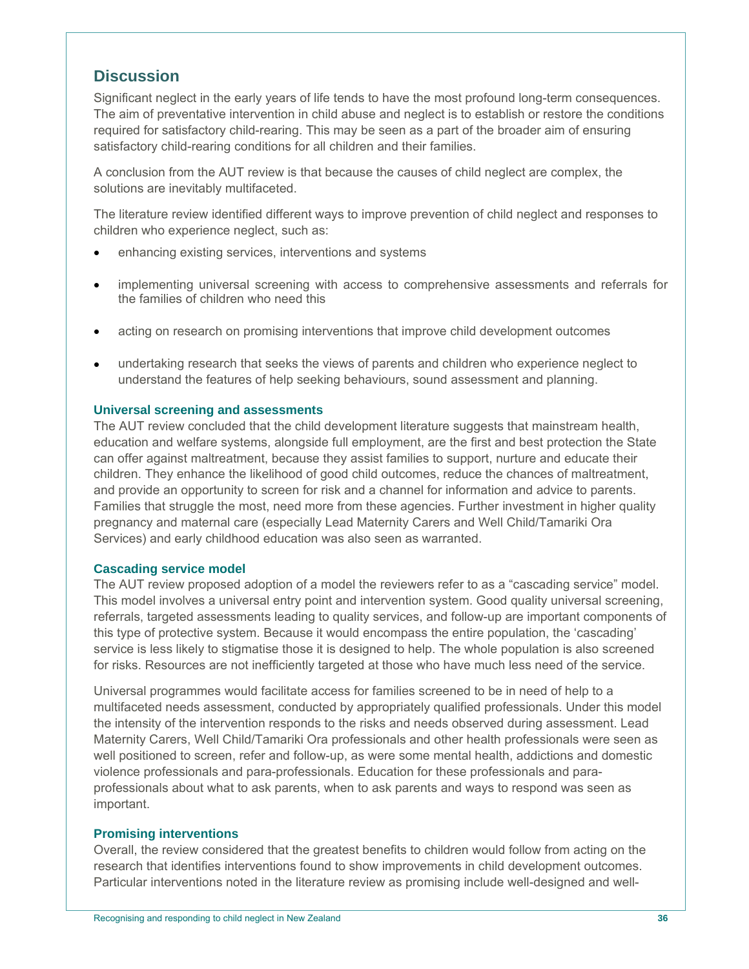# **Discussion**

Significant neglect in the early years of life tends to have the most profound long-term consequences. The aim of preventative intervention in child abuse and neglect is to establish or restore the conditions required for satisfactory child-rearing. This may be seen as a part of the broader aim of ensuring satisfactory child-rearing conditions for all children and their families.

A conclusion from the AUT review is that because the causes of child neglect are complex, the solutions are inevitably multifaceted.

The literature review identified different ways to improve prevention of child neglect and responses to children who experience neglect, such as:

- enhancing existing services, interventions and systems
- implementing universal screening with access to comprehensive assessments and referrals for the families of children who need this
- acting on research on promising interventions that improve child development outcomes
- undertaking research that seeks the views of parents and children who experience neglect to understand the features of help seeking behaviours, sound assessment and planning.

#### **Universal screening and assessments**

The AUT review concluded that the child development literature suggests that mainstream health, education and welfare systems, alongside full employment, are the first and best protection the State can offer against maltreatment, because they assist families to support, nurture and educate their children. They enhance the likelihood of good child outcomes, reduce the chances of maltreatment, and provide an opportunity to screen for risk and a channel for information and advice to parents. Families that struggle the most, need more from these agencies. Further investment in higher quality pregnancy and maternal care (especially Lead Maternity Carers and Well Child/Tamariki Ora Services) and early childhood education was also seen as warranted.

#### **Cascading service model**

The AUT review proposed adoption of a model the reviewers refer to as a "cascading service" model. This model involves a universal entry point and intervention system. Good quality universal screening, referrals, targeted assessments leading to quality services, and follow-up are important components of this type of protective system. Because it would encompass the entire population, the 'cascading' service is less likely to stigmatise those it is designed to help. The whole population is also screened for risks. Resources are not inefficiently targeted at those who have much less need of the service.

Universal programmes would facilitate access for families screened to be in need of help to a multifaceted needs assessment, conducted by appropriately qualified professionals. Under this model the intensity of the intervention responds to the risks and needs observed during assessment. Lead Maternity Carers, Well Child/Tamariki Ora professionals and other health professionals were seen as well positioned to screen, refer and follow-up, as were some mental health, addictions and domestic violence professionals and para-professionals. Education for these professionals and paraprofessionals about what to ask parents, when to ask parents and ways to respond was seen as important.

#### **Promising interventions**

Overall, the review considered that the greatest benefits to children would follow from acting on the research that identifies interventions found to show improvements in child development outcomes. Particular interventions noted in the literature review as promising include well-designed and well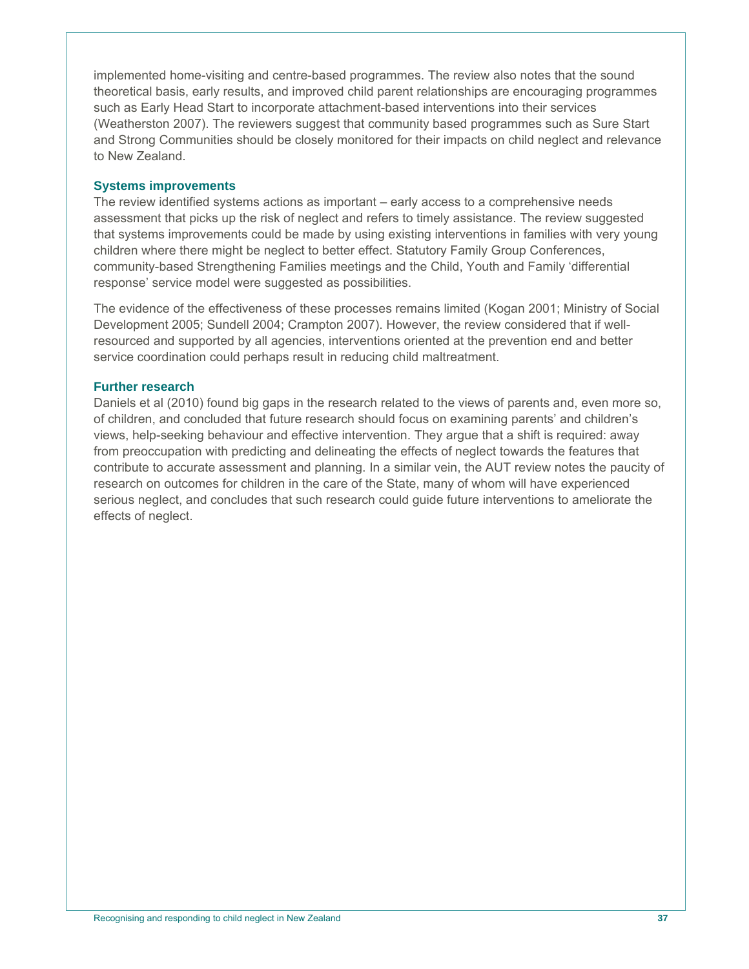implemented home-visiting and centre-based programmes. The review also notes that the sound theoretical basis, early results, and improved child parent relationships are encouraging programmes such as Early Head Start to incorporate attachment-based interventions into their services (Weatherston 2007). The reviewers suggest that community based programmes such as Sure Start and Strong Communities should be closely monitored for their impacts on child neglect and relevance to New Zealand.

#### **Systems improvements**

The review identified systems actions as important – early access to a comprehensive needs assessment that picks up the risk of neglect and refers to timely assistance. The review suggested that systems improvements could be made by using existing interventions in families with very young children where there might be neglect to better effect. Statutory Family Group Conferences, community-based Strengthening Families meetings and the Child, Youth and Family 'differential response' service model were suggested as possibilities.

The evidence of the effectiveness of these processes remains limited (Kogan 2001; Ministry of Social Development 2005; Sundell 2004; Crampton 2007). However, the review considered that if wellresourced and supported by all agencies, interventions oriented at the prevention end and better service coordination could perhaps result in reducing child maltreatment.

## **Further research**

Daniels et al (2010) found big gaps in the research related to the views of parents and, even more so, of children, and concluded that future research should focus on examining parents' and children's views, help-seeking behaviour and effective intervention. They argue that a shift is required: away from preoccupation with predicting and delineating the effects of neglect towards the features that contribute to accurate assessment and planning. In a similar vein, the AUT review notes the paucity of research on outcomes for children in the care of the State, many of whom will have experienced serious neglect, and concludes that such research could guide future interventions to ameliorate the effects of neglect.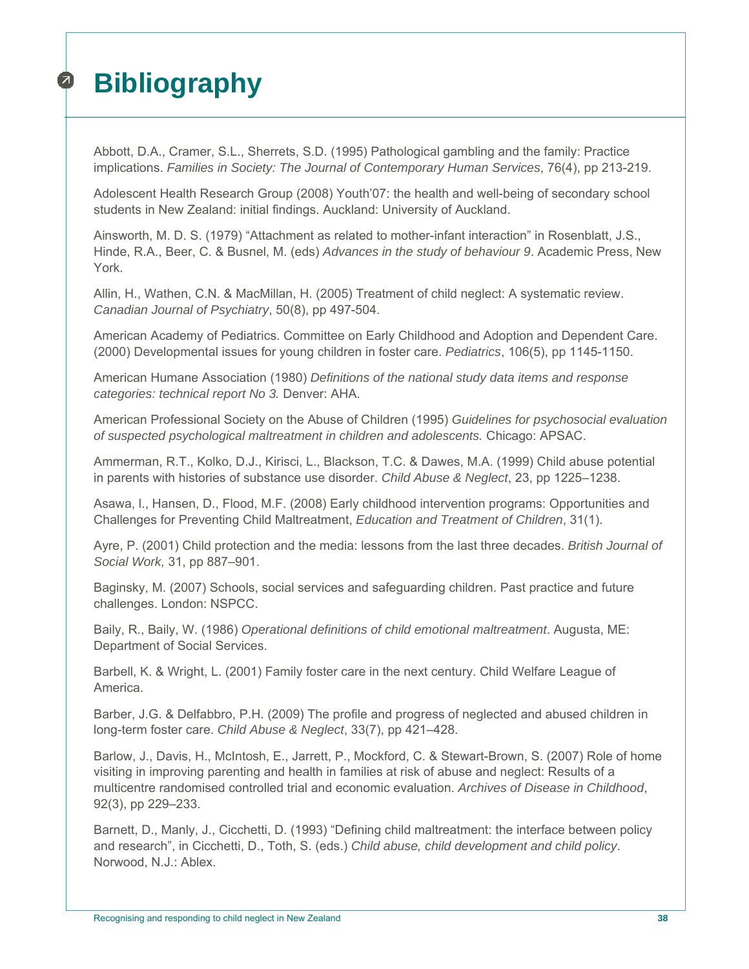# **Bibliography**   $\boldsymbol{z}$

Abbott, D.A., Cramer, S.L., Sherrets, S.D. (1995) Pathological gambling and the family: Practice implications. *Families in Society: The Journal of Contemporary Human Services*, 76(4), pp 213-219.

Adolescent Health Research Group (2008) Youth'07: the health and well-being of secondary school students in New Zealand: initial findings. Auckland: University of Auckland.

Ainsworth, M. D. S. (1979) "Attachment as related to mother-infant interaction" in Rosenblatt, J.S., Hinde, R.A., Beer, C. & Busnel, M. (eds) *Advances in the study of behaviour 9*. Academic Press, New York.

Allin, H., Wathen, C.N. & MacMillan, H. (2005) Treatment of child neglect: A systematic review. *Canadian Journal of Psychiatry*, 50(8), pp 497-504.

American Academy of Pediatrics. Committee on Early Childhood and Adoption and Dependent Care. (2000) Developmental issues for young children in foster care. *Pediatrics*, 106(5), pp 1145-1150.

American Humane Association (1980) *Definitions of the national study data items and response categories: technical report No 3.* Denver: AHA.

American Professional Society on the Abuse of Children (1995) *Guidelines for psychosocial evaluation of suspected psychological maltreatment in children and adolescents.* Chicago: APSAC.

Ammerman, R.T., Kolko, D.J., Kirisci, L., Blackson, T.C. & Dawes, M.A. (1999) Child abuse potential in parents with histories of substance use disorder. *Child Abuse & Neglect*, 23, pp 1225–1238.

Asawa, l., Hansen, D., Flood, M.F. (2008) Early childhood intervention programs: Opportunities and Challenges for Preventing Child Maltreatment, *Education and Treatment of Children*, 31(1).

Ayre, P. (2001) Child protection and the media: lessons from the last three decades. *British Journal of Social Work,* 31, pp 887–901.

Baginsky, M. (2007) Schools, social services and safeguarding children. Past practice and future challenges. London: NSPCC.

Baily, R., Baily, W. (1986) *Operational definitions of child emotional maltreatment*. Augusta, ME: Department of Social Services.

Barbell, K. & Wright, L. (2001) Family foster care in the next century. Child Welfare League of America.

Barber, J.G. & Delfabbro, P.H. (2009) The profile and progress of neglected and abused children in long-term foster care. *Child Abuse & Neglect*, 33(7), pp 421–428.

Barlow, J., Davis, H., McIntosh, E., Jarrett, P., Mockford, C. & Stewart-Brown, S. (2007) Role of home visiting in improving parenting and health in families at risk of abuse and neglect: Results of a multicentre randomised controlled trial and economic evaluation. *Archives of Disease in Childhood*, 92(3), pp 229–233.

Barnett, D., Manly, J., Cicchetti, D. (1993) "Defining child maltreatment: the interface between policy and research", in Cicchetti, D., Toth, S. (eds.) *Child abuse, child development and child policy*. Norwood, N.J.: Ablex.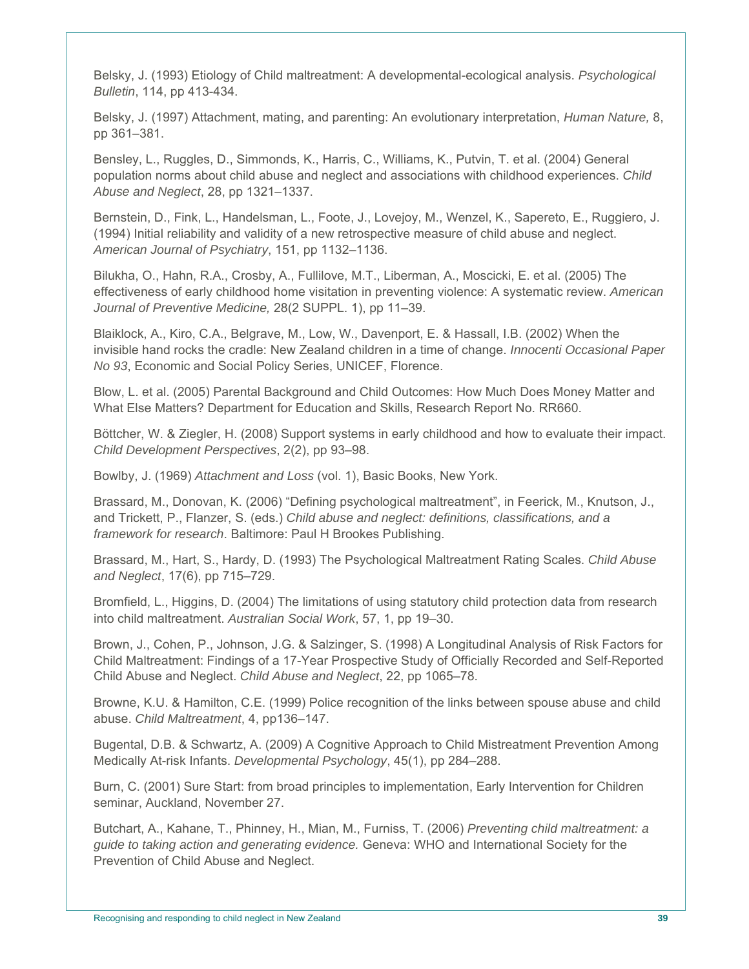Belsky, J. (1993) Etiology of Child maltreatment: A developmental-ecological analysis. *Psychological Bulletin*, 114, pp 413-434.

Belsky, J. (1997) Attachment, mating, and parenting: An evolutionary interpretation, *Human Nature,* 8, pp 361–381.

Bensley, L., Ruggles, D., Simmonds, K., Harris, C., Williams, K., Putvin, T. et al. (2004) General population norms about child abuse and neglect and associations with childhood experiences. *Child Abuse and Neglect*, 28, pp 1321–1337.

Bernstein, D., Fink, L., Handelsman, L., Foote, J., Lovejoy, M., Wenzel, K., Sapereto, E., Ruggiero, J. (1994) Initial reliability and validity of a new retrospective measure of child abuse and neglect. *American Journal of Psychiatry*, 151, pp 1132–1136.

Bilukha, O., Hahn, R.A., Crosby, A., Fullilove, M.T., Liberman, A., Moscicki, E. et al. (2005) The effectiveness of early childhood home visitation in preventing violence: A systematic review. *American Journal of Preventive Medicine,* 28(2 SUPPL. 1), pp 11–39.

Blaiklock, A., Kiro, C.A., Belgrave, M., Low, W., Davenport, E. & Hassall, I.B. (2002) When the invisible hand rocks the cradle: New Zealand children in a time of change. *Innocenti Occasional Paper No 93*, Economic and Social Policy Series, UNICEF, Florence.

Blow, L. et al. (2005) Parental Background and Child Outcomes: How Much Does Money Matter and What Else Matters? Department for Education and Skills, Research Report No. RR660.

Böttcher, W. & Ziegler, H. (2008) Support systems in early childhood and how to evaluate their impact. *Child Development Perspectives*, 2(2), pp 93–98.

Bowlby, J. (1969) *Attachment and Loss* (vol. 1), Basic Books, New York.

Brassard, M., Donovan, K. (2006) "Defining psychological maltreatment", in Feerick, M., Knutson, J., and Trickett, P., Flanzer, S. (eds.) *Child abuse and neglect: definitions, classifications, and a framework for research*. Baltimore: Paul H Brookes Publishing.

Brassard, M., Hart, S., Hardy, D. (1993) The Psychological Maltreatment Rating Scales. *Child Abuse and Neglect*, 17(6), pp 715–729.

Bromfield, L., Higgins, D. (2004) The limitations of using statutory child protection data from research into child maltreatment. *Australian Social Work*, 57, 1, pp 19–30.

Brown, J., Cohen, P., Johnson, J.G. & Salzinger, S. (1998) A Longitudinal Analysis of Risk Factors for Child Maltreatment: Findings of a 17-Year Prospective Study of Officially Recorded and Self-Reported Child Abuse and Neglect. *Child Abuse and Neglect*, 22, pp 1065–78.

Browne, K.U. & Hamilton, C.E. (1999) Police recognition of the links between spouse abuse and child abuse. *Child Maltreatment*, 4, pp136–147.

Bugental, D.B. & Schwartz, A. (2009) A Cognitive Approach to Child Mistreatment Prevention Among Medically At-risk Infants. *Developmental Psychology*, 45(1), pp 284–288.

Burn, C. (2001) Sure Start: from broad principles to implementation, Early Intervention for Children seminar, Auckland, November 27.

Butchart, A., Kahane, T., Phinney, H., Mian, M., Furniss, T. (2006) *Preventing child maltreatment: a guide to taking action and generating evidence.* Geneva: WHO and International Society for the Prevention of Child Abuse and Neglect.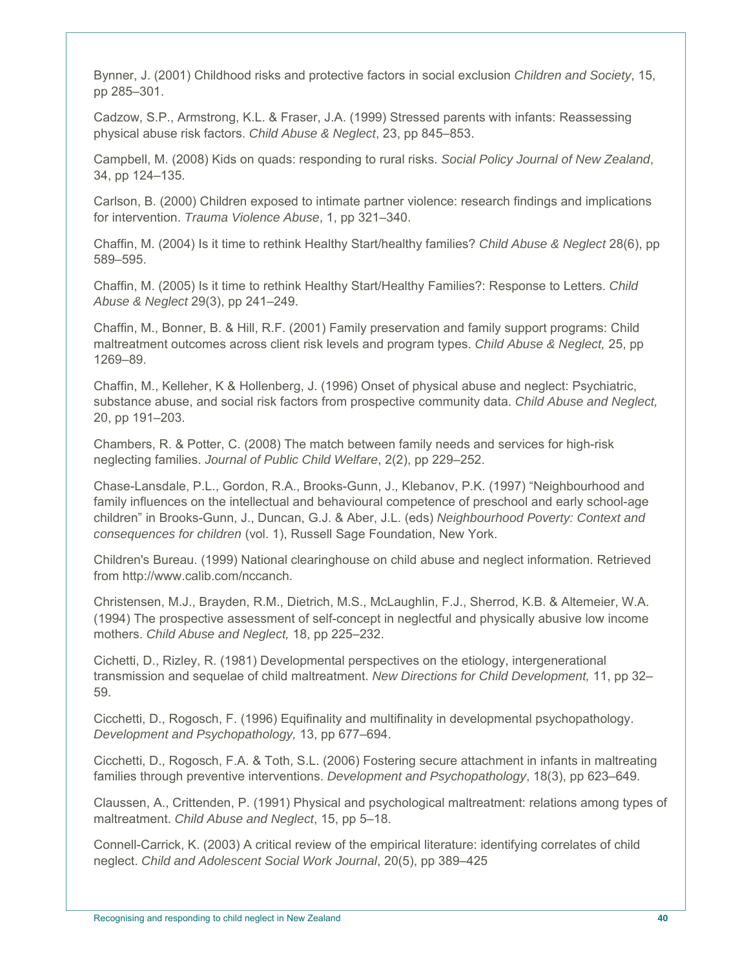Bynner, J. (2001) Childhood risks and protective factors in social exclusion *Children and Society*, 15, pp 285–301.

Cadzow, S.P., Armstrong, K.L. & Fraser, J.A. (1999) Stressed parents with infants: Reassessing physical abuse risk factors. *Child Abuse & Neglect*, 23, pp 845–853.

Campbell, M. (2008) Kids on quads: responding to rural risks. *Social Policy Journal of New Zealand*, 34, pp 124–135.

Carlson, B. (2000) Children exposed to intimate partner violence: research findings and implications for intervention. *Trauma Violence Abuse*, 1, pp 321–340.

Chaffin, M. (2004) Is it time to rethink Healthy Start/healthy families? *Child Abuse & Neglect* 28(6), pp 589–595.

Chaffin, M. (2005) Is it time to rethink Healthy Start/Healthy Families?: Response to Letters. *Child Abuse & Neglect* 29(3), pp 241–249.

Chaffin, M., Bonner, B. & Hill, R.F. (2001) Family preservation and family support programs: Child maltreatment outcomes across client risk levels and program types. *Child Abuse & Neglect,* 25, pp 1269–89.

Chaffin, M., Kelleher, K & Hollenberg, J. (1996) Onset of physical abuse and neglect: Psychiatric, substance abuse, and social risk factors from prospective community data. *Child Abuse and Neglect,*  20, pp 191–203.

Chambers, R. & Potter, C. (2008) The match between family needs and services for high-risk neglecting families. *Journal of Public Child Welfare*, 2(2), pp 229–252.

Chase-Lansdale, P.L., Gordon, R.A., Brooks-Gunn, J., Klebanov, P.K. (1997) "Neighbourhood and family influences on the intellectual and behavioural competence of preschool and early school-age children" in Brooks-Gunn, J., Duncan, G.J. & Aber, J.L. (eds) *Neighbourhood Poverty: Context and consequences for children* (vol. 1), Russell Sage Foundation, New York.

Children's Bureau. (1999) National clearinghouse on child abuse and neglect information. Retrieved from http://www.calib.com/nccanch.

Christensen, M.J., Brayden, R.M., Dietrich, M.S., McLaughlin, F.J., Sherrod, K.B. & Altemeier, W.A. (1994) The prospective assessment of self-concept in neglectful and physically abusive low income mothers. *Child Abuse and Neglect,* 18, pp 225–232.

Cichetti, D., Rizley, R. (1981) Developmental perspectives on the etiology, intergenerational transmission and sequelae of child maltreatment. *New Directions for Child Development,* 11, pp 32– 59.

Cicchetti, D., Rogosch, F. (1996) Equifinality and multifinality in developmental psychopathology. *Development and Psychopathology,* 13, pp 677–694.

Cicchetti, D., Rogosch, F.A. & Toth, S.L. (2006) Fostering secure attachment in infants in maltreating families through preventive interventions. *Development and Psychopathology*, 18(3), pp 623–649.

Claussen, A., Crittenden, P. (1991) Physical and psychological maltreatment: relations among types of maltreatment. *Child Abuse and Neglect*, 15, pp 5–18.

Connell-Carrick, K. (2003) A critical review of the empirical literature: identifying correlates of child neglect. *Child and Adolescent Social Work Journal*, 20(5), pp 389–425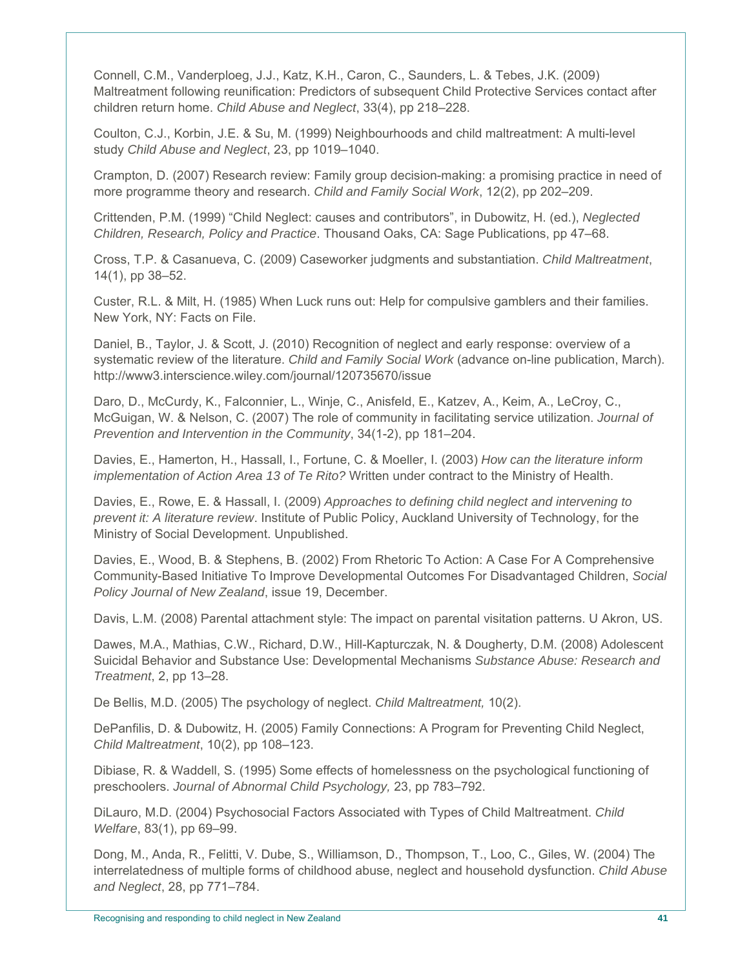Connell, C.M., Vanderploeg, J.J., Katz, K.H., Caron, C., Saunders, L. & Tebes, J.K. (2009) Maltreatment following reunification: Predictors of subsequent Child Protective Services contact after children return home. *Child Abuse and Neglect*, 33(4), pp 218–228.

Coulton, C.J., Korbin, J.E. & Su, M. (1999) Neighbourhoods and child maltreatment: A multi-level study *Child Abuse and Neglect*, 23, pp 1019–1040.

Crampton, D. (2007) Research review: Family group decision-making: a promising practice in need of more programme theory and research. *Child and Family Social Work*, 12(2), pp 202–209.

Crittenden, P.M. (1999) "Child Neglect: causes and contributors", in Dubowitz, H. (ed.), *Neglected Children, Research, Policy and Practice*. Thousand Oaks, CA: Sage Publications, pp 47–68.

Cross, T.P. & Casanueva, C. (2009) Caseworker judgments and substantiation. *Child Maltreatment*, 14(1), pp 38–52.

Custer, R.L. & Milt, H. (1985) When Luck runs out: Help for compulsive gamblers and their families. New York, NY: Facts on File.

Daniel, B., Taylor, J. & Scott, J. (2010) Recognition of neglect and early response: overview of a systematic review of the literature. *Child and Family Social Work* (advance on-line publication, March). http://www3.interscience.wiley.com/journal/120735670/issue

Daro, D., McCurdy, K., Falconnier, L., Winje, C., Anisfeld, E., Katzev, A., Keim, A., LeCroy, C., McGuigan, W. & Nelson, C. (2007) The role of community in facilitating service utilization. *Journal of Prevention and Intervention in the Community*, 34(1-2), pp 181–204.

Davies, E., Hamerton, H., Hassall, I., Fortune, C. & Moeller, I. (2003) *How can the literature inform implementation of Action Area 13 of Te Rito?* Written under contract to the Ministry of Health.

Davies, E., Rowe, E. & Hassall, I. (2009) *Approaches to defining child neglect and intervening to prevent it: A literature review*. Institute of Public Policy, Auckland University of Technology, for the Ministry of Social Development. Unpublished.

Davies, E., Wood, B. & Stephens, B. (2002) From Rhetoric To Action: A Case For A Comprehensive Community-Based Initiative To Improve Developmental Outcomes For Disadvantaged Children, *Social Policy Journal of New Zealand*, issue 19, December.

Davis, L.M. (2008) Parental attachment style: The impact on parental visitation patterns. U Akron, US.

Dawes, M.A., Mathias, C.W., Richard, D.W., Hill-Kapturczak, N. & Dougherty, D.M. (2008) Adolescent Suicidal Behavior and Substance Use: Developmental Mechanisms *Substance Abuse: Research and Treatment*, 2, pp 13–28.

De Bellis, M.D. (2005) The psychology of neglect. *Child Maltreatment,* 10(2).

DePanfilis, D. & Dubowitz, H. (2005) Family Connections: A Program for Preventing Child Neglect, *Child Maltreatment*, 10(2), pp 108–123.

Dibiase, R. & Waddell, S. (1995) Some effects of homelessness on the psychological functioning of preschoolers. *Journal of Abnormal Child Psychology,* 23, pp 783–792.

DiLauro, M.D. (2004) Psychosocial Factors Associated with Types of Child Maltreatment. *Child Welfare*, 83(1), pp 69–99.

Dong, M., Anda, R., Felitti, V. Dube, S., Williamson, D., Thompson, T., Loo, C., Giles, W. (2004) The interrelatedness of multiple forms of childhood abuse, neglect and household dysfunction. *Child Abuse and Neglect*, 28, pp 771–784.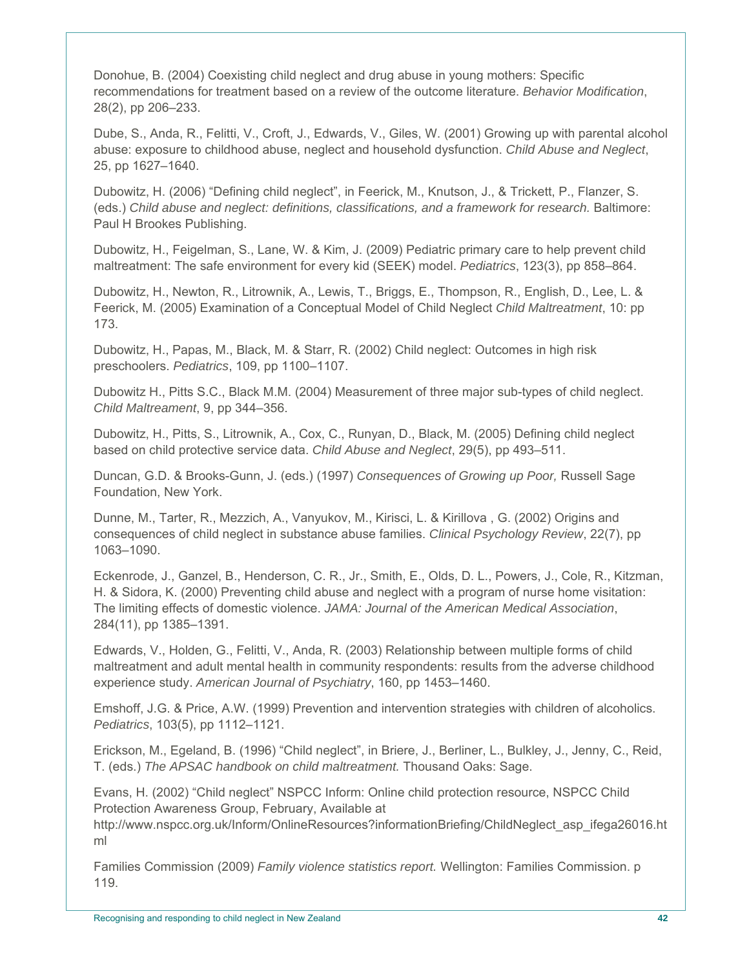Donohue, B. (2004) Coexisting child neglect and drug abuse in young mothers: Specific recommendations for treatment based on a review of the outcome literature. *Behavior Modification*, 28(2), pp 206–233.

Dube, S., Anda, R., Felitti, V., Croft, J., Edwards, V., Giles, W. (2001) Growing up with parental alcohol abuse: exposure to childhood abuse, neglect and household dysfunction. *Child Abuse and Neglect*, 25, pp 1627–1640.

Dubowitz, H. (2006) "Defining child neglect", in Feerick, M., Knutson, J., & Trickett, P., Flanzer, S. (eds.) *Child abuse and neglect: definitions, classifications, and a framework for research.* Baltimore: Paul H Brookes Publishing.

Dubowitz, H., Feigelman, S., Lane, W. & Kim, J. (2009) Pediatric primary care to help prevent child maltreatment: The safe environment for every kid (SEEK) model. *Pediatrics*, 123(3), pp 858–864.

Dubowitz, H., Newton, R., Litrownik, A., Lewis, T., Briggs, E., Thompson, R., English, D., Lee, L. & Feerick, M. (2005) Examination of a Conceptual Model of Child Neglect *Child Maltreatment*, 10: pp 173.

Dubowitz, H., Papas, M., Black, M. & Starr, R. (2002) Child neglect: Outcomes in high risk preschoolers. *Pediatrics*, 109, pp 1100–1107.

Dubowitz H., Pitts S.C., Black M.M. (2004) Measurement of three major sub-types of child neglect. *Child Maltreament*, 9, pp 344–356.

Dubowitz, H., Pitts, S., Litrownik, A., Cox, C., Runyan, D., Black, M. (2005) Defining child neglect based on child protective service data. *Child Abuse and Neglect*, 29(5), pp 493–511.

Duncan, G.D. & Brooks-Gunn, J. (eds.) (1997) *Consequences of Growing up Poor,* Russell Sage Foundation, New York.

Dunne, M., Tarter, R., Mezzich, A., Vanyukov, M., Kirisci, L. & Kirillova , G. (2002) Origins and consequences of child neglect in substance abuse families. *Clinical Psychology Review*, 22(7), pp 1063–1090.

Eckenrode, J., Ganzel, B., Henderson, C. R., Jr., Smith, E., Olds, D. L., Powers, J., Cole, R., Kitzman, H. & Sidora, K. (2000) Preventing child abuse and neglect with a program of nurse home visitation: The limiting effects of domestic violence. *JAMA: Journal of the American Medical Association*, 284(11), pp 1385–1391.

Edwards, V., Holden, G., Felitti, V., Anda, R. (2003) Relationship between multiple forms of child maltreatment and adult mental health in community respondents: results from the adverse childhood experience study. *American Journal of Psychiatry*, 160, pp 1453–1460.

Emshoff, J.G. & Price, A.W. (1999) Prevention and intervention strategies with children of alcoholics. *Pediatrics*, 103(5), pp 1112–1121.

Erickson, M., Egeland, B. (1996) "Child neglect", in Briere, J., Berliner, L., Bulkley, J., Jenny, C., Reid, T. (eds.) *The APSAC handbook on child maltreatment.* Thousand Oaks: Sage.

Evans, H. (2002) "Child neglect" NSPCC Inform: Online child protection resource, NSPCC Child Protection Awareness Group, February, Available at

http://www.nspcc.org.uk/Inform/OnlineResources?informationBriefing/ChildNeglect\_asp\_ifega26016.ht ml

Families Commission (2009) *Family violence statistics report.* Wellington: Families Commission. p 119.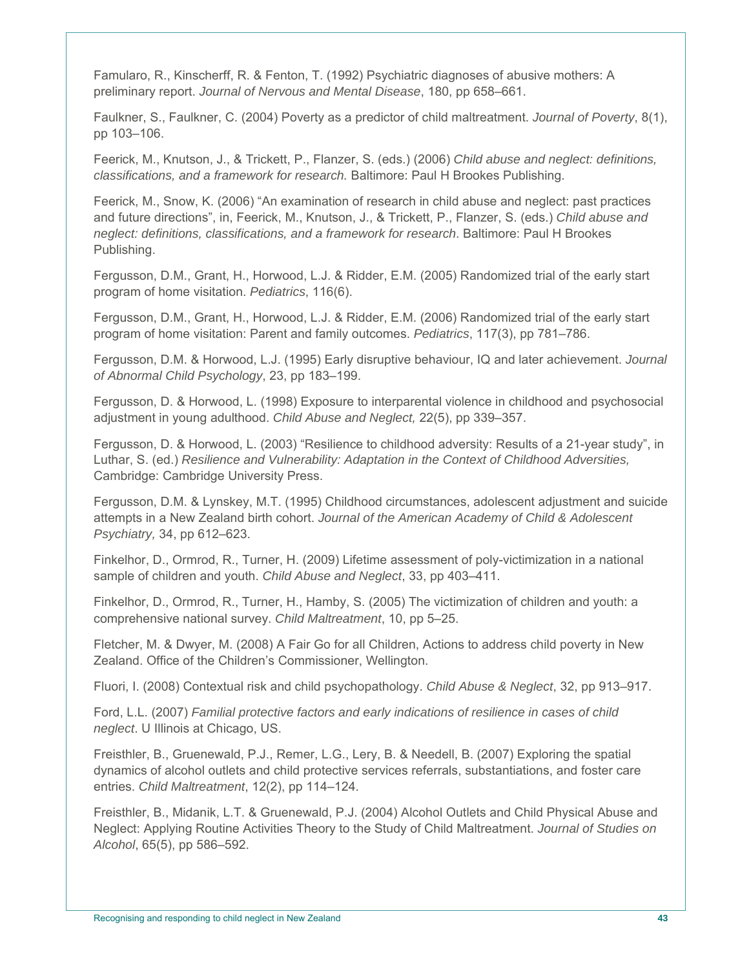Famularo, R., Kinscherff, R. & Fenton, T. (1992) Psychiatric diagnoses of abusive mothers: A preliminary report. *Journal of Nervous and Mental Disease*, 180, pp 658–661.

Faulkner, S., Faulkner, C. (2004) Poverty as a predictor of child maltreatment. *Journal of Poverty*, 8(1), pp 103–106.

Feerick, M., Knutson, J., & Trickett, P., Flanzer, S. (eds.) (2006) *Child abuse and neglect: definitions, classifications, and a framework for research.* Baltimore: Paul H Brookes Publishing.

Feerick, M., Snow, K. (2006) "An examination of research in child abuse and neglect: past practices and future directions", in, Feerick, M., Knutson, J., & Trickett, P., Flanzer, S. (eds.) *Child abuse and neglect: definitions, classifications, and a framework for research*. Baltimore: Paul H Brookes Publishing.

Fergusson, D.M., Grant, H., Horwood, L.J. & Ridder, E.M. (2005) Randomized trial of the early start program of home visitation. *Pediatrics*, 116(6).

Fergusson, D.M., Grant, H., Horwood, L.J. & Ridder, E.M. (2006) Randomized trial of the early start program of home visitation: Parent and family outcomes. *Pediatrics*, 117(3), pp 781–786.

Fergusson, D.M. & Horwood, L.J. (1995) Early disruptive behaviour, IQ and later achievement. *Journal of Abnormal Child Psychology*, 23, pp 183–199.

Fergusson, D. & Horwood, L. (1998) Exposure to interparental violence in childhood and psychosocial adjustment in young adulthood. *Child Abuse and Neglect,* 22(5), pp 339–357.

Fergusson, D. & Horwood, L. (2003) "Resilience to childhood adversity: Results of a 21-year study", in Luthar, S. (ed.) *Resilience and Vulnerability: Adaptation in the Context of Childhood Adversities,*  Cambridge: Cambridge University Press.

Fergusson, D.M. & Lynskey, M.T. (1995) Childhood circumstances, adolescent adjustment and suicide attempts in a New Zealand birth cohort. *Journal of the American Academy of Child & Adolescent Psychiatry,* 34, pp 612–623.

Finkelhor, D., Ormrod, R., Turner, H. (2009) Lifetime assessment of poly-victimization in a national sample of children and youth. *Child Abuse and Neglect*, 33, pp 403–411.

Finkelhor, D., Ormrod, R., Turner, H., Hamby, S. (2005) The victimization of children and youth: a comprehensive national survey. *Child Maltreatment*, 10, pp 5–25.

Fletcher, M. & Dwyer, M. (2008) A Fair Go for all Children, Actions to address child poverty in New Zealand. Office of the Children's Commissioner, Wellington.

Fluori, I. (2008) Contextual risk and child psychopathology. *Child Abuse & Neglect*, 32, pp 913–917.

Ford, L.L. (2007) *Familial protective factors and early indications of resilience in cases of child neglect*. U Illinois at Chicago, US.

Freisthler, B., Gruenewald, P.J., Remer, L.G., Lery, B. & Needell, B. (2007) Exploring the spatial dynamics of alcohol outlets and child protective services referrals, substantiations, and foster care entries. *Child Maltreatment*, 12(2), pp 114–124.

Freisthler, B., Midanik, L.T. & Gruenewald, P.J. (2004) Alcohol Outlets and Child Physical Abuse and Neglect: Applying Routine Activities Theory to the Study of Child Maltreatment. *Journal of Studies on Alcohol*, 65(5), pp 586–592.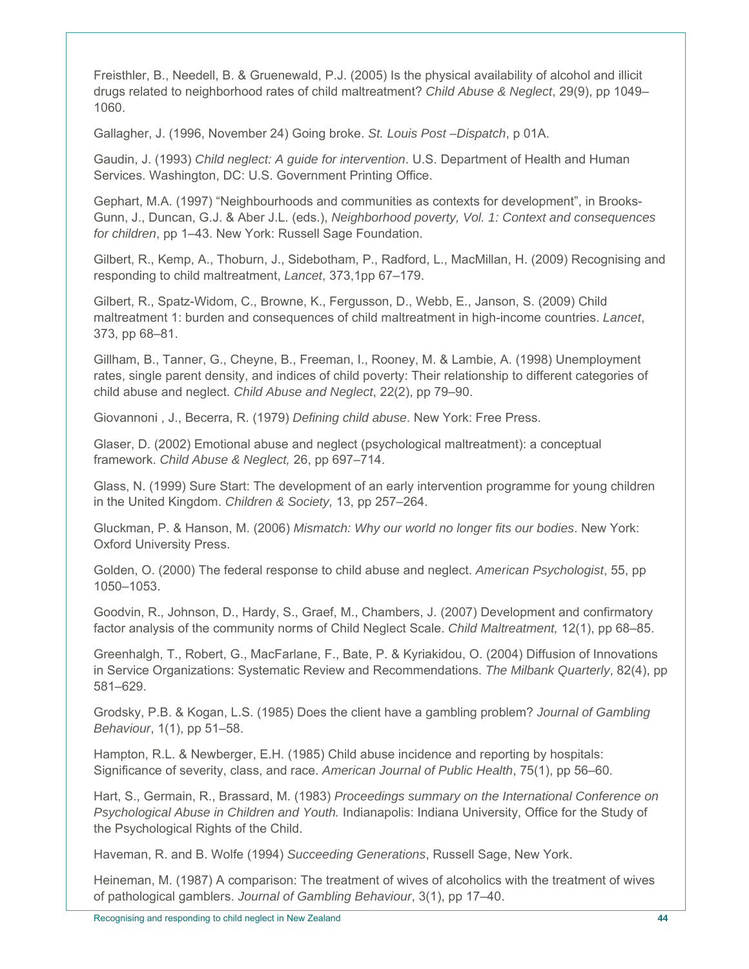Freisthler, B., Needell, B. & Gruenewald, P.J. (2005) Is the physical availability of alcohol and illicit drugs related to neighborhood rates of child maltreatment? *Child Abuse & Neglect*, 29(9), pp 1049– 1060.

Gallagher, J. (1996, November 24) Going broke. *St. Louis Post –Dispatch*, p 01A.

Gaudin, J. (1993) *Child neglect: A guide for intervention*. U.S. Department of Health and Human Services. Washington, DC: U.S. Government Printing Office.

Gephart, M.A. (1997) "Neighbourhoods and communities as contexts for development", in Brooks-Gunn, J., Duncan, G.J. & Aber J.L. (eds.), *Neighborhood poverty, Vol. 1: Context and consequences for children*, pp 1–43. New York: Russell Sage Foundation.

Gilbert, R., Kemp, A., Thoburn, J., Sidebotham, P., Radford, L., MacMillan, H. (2009) Recognising and responding to child maltreatment, *Lancet*, 373,1pp 67–179.

Gilbert, R., Spatz-Widom, C., Browne, K., Fergusson, D., Webb, E., Janson, S. (2009) Child maltreatment 1: burden and consequences of child maltreatment in high-income countries. *Lancet*, 373, pp 68–81.

Gillham, B., Tanner, G., Cheyne, B., Freeman, I., Rooney, M. & Lambie, A. (1998) Unemployment rates, single parent density, and indices of child poverty: Their relationship to different categories of child abuse and neglect. *Child Abuse and Neglect*, 22(2), pp 79–90.

Giovannoni , J., Becerra, R. (1979) *Defining child abuse*. New York: Free Press.

Glaser, D. (2002) Emotional abuse and neglect (psychological maltreatment): a conceptual framework. *Child Abuse & Neglect,* 26, pp 697–714.

Glass, N. (1999) Sure Start: The development of an early intervention programme for young children in the United Kingdom. *Children & Society,* 13, pp 257–264.

Gluckman, P. & Hanson, M. (2006) *Mismatch: Why our world no longer fits our bodies*. New York: Oxford University Press.

Golden, O. (2000) The federal response to child abuse and neglect. *American Psychologist*, 55, pp 1050–1053.

Goodvin, R., Johnson, D., Hardy, S., Graef, M., Chambers, J. (2007) Development and confirmatory factor analysis of the community norms of Child Neglect Scale. *Child Maltreatment,* 12(1), pp 68–85.

Greenhalgh, T., Robert, G., MacFarlane, F., Bate, P. & Kyriakidou, O. (2004) Diffusion of Innovations in Service Organizations: Systematic Review and Recommendations. *The Milbank Quarterly*, 82(4), pp 581–629.

Grodsky, P.B. & Kogan, L.S. (1985) Does the client have a gambling problem? *Journal of Gambling Behaviour*, 1(1), pp 51–58.

Hampton, R.L. & Newberger, E.H. (1985) Child abuse incidence and reporting by hospitals: Significance of severity, class, and race. *American Journal of Public Health*, 75(1), pp 56–60.

Hart, S., Germain, R., Brassard, M. (1983) *Proceedings summary on the International Conference on Psychological Abuse in Children and Youth.* Indianapolis: Indiana University, Office for the Study of the Psychological Rights of the Child.

Haveman, R. and B. Wolfe (1994) *Succeeding Generations*, Russell Sage, New York.

Heineman, M. (1987) A comparison: The treatment of wives of alcoholics with the treatment of wives of pathological gamblers. *Journal of Gambling Behaviour*, 3(1), pp 17–40.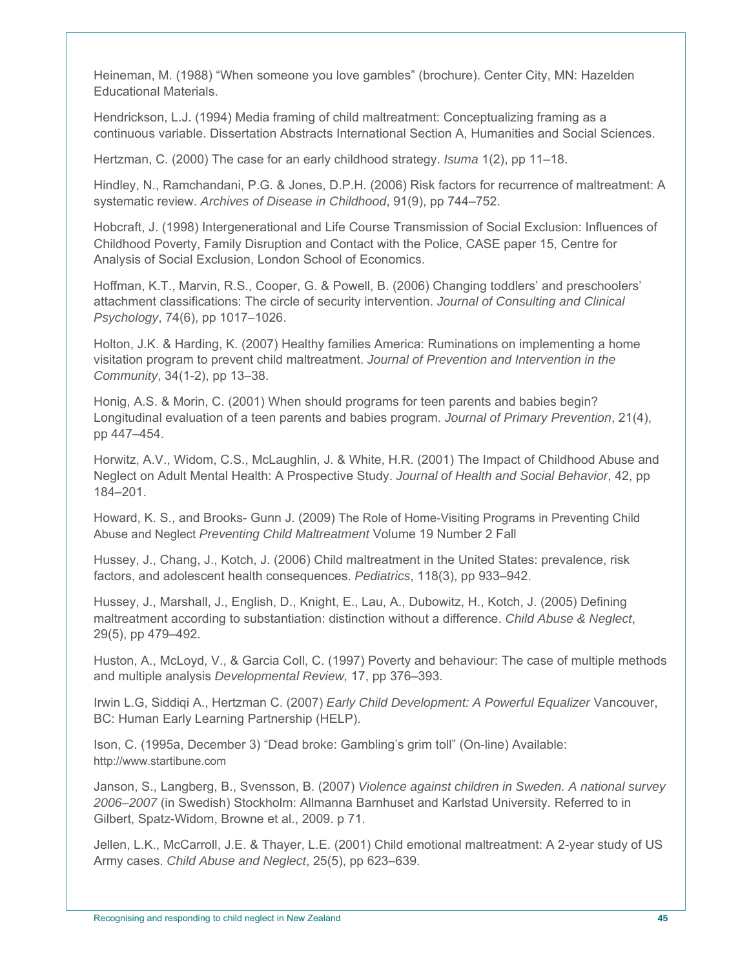Heineman, M. (1988) "When someone you love gambles" (brochure). Center City, MN: Hazelden Educational Materials.

Hendrickson, L.J. (1994) Media framing of child maltreatment: Conceptualizing framing as a continuous variable. Dissertation Abstracts International Section A, Humanities and Social Sciences.

Hertzman, C. (2000) The case for an early childhood strategy. *Isuma* 1(2), pp 11–18.

Hindley, N., Ramchandani, P.G. & Jones, D.P.H. (2006) Risk factors for recurrence of maltreatment: A systematic review. *Archives of Disease in Childhood*, 91(9), pp 744–752.

Hobcraft, J. (1998) Intergenerational and Life Course Transmission of Social Exclusion: Influences of Childhood Poverty, Family Disruption and Contact with the Police, CASE paper 15, Centre for Analysis of Social Exclusion, London School of Economics.

Hoffman, K.T., Marvin, R.S., Cooper, G. & Powell, B. (2006) Changing toddlers' and preschoolers' attachment classifications: The circle of security intervention. *Journal of Consulting and Clinical Psychology*, 74(6), pp 1017–1026.

Holton, J.K. & Harding, K. (2007) Healthy families America: Ruminations on implementing a home visitation program to prevent child maltreatment. *Journal of Prevention and Intervention in the Community*, 34(1-2), pp 13–38.

Honig, A.S. & Morin, C. (2001) When should programs for teen parents and babies begin? Longitudinal evaluation of a teen parents and babies program. *Journal of Primary Prevention*, 21(4), pp 447–454.

Horwitz, A.V., Widom, C.S., McLaughlin, J. & White, H.R. (2001) The Impact of Childhood Abuse and Neglect on Adult Mental Health: A Prospective Study. *Journal of Health and Social Behavior*, 42, pp 184–201.

Howard, K. S., and Brooks- Gunn J. (2009) The Role of Home-Visiting Programs in Preventing Child Abuse and Neglect *Preventing Child Maltreatment* Volume 19 Number 2 Fall

Hussey, J., Chang, J., Kotch, J. (2006) Child maltreatment in the United States: prevalence, risk factors, and adolescent health consequences. *Pediatrics*, 118(3), pp 933–942.

Hussey, J., Marshall, J., English, D., Knight, E., Lau, A., Dubowitz, H., Kotch, J. (2005) Defining maltreatment according to substantiation: distinction without a difference. *Child Abuse & Neglect*, 29(5), pp 479–492.

Huston, A., McLoyd, V., & Garcia Coll, C. (1997) Poverty and behaviour: The case of multiple methods and multiple analysis *Developmental Review,* 17, pp 376–393.

Irwin L.G, Siddiqi A., Hertzman C. (2007) *Early Child Development: A Powerful Equalizer* Vancouver, BC: Human Early Learning Partnership (HELP).

Ison, C. (1995a, December 3) "Dead broke: Gambling's grim toll" (On-line) Available: http://www.startibune.com

Janson, S., Langberg, B., Svensson, B. (2007) *Violence against children in Sweden. A national survey 2006–2007* (in Swedish) Stockholm: Allmanna Barnhuset and Karlstad University. Referred to in Gilbert, Spatz-Widom, Browne et al., 2009. p 71.

Jellen, L.K., McCarroll, J.E. & Thayer, L.E. (2001) Child emotional maltreatment: A 2-year study of US Army cases. *Child Abuse and Neglect*, 25(5), pp 623–639.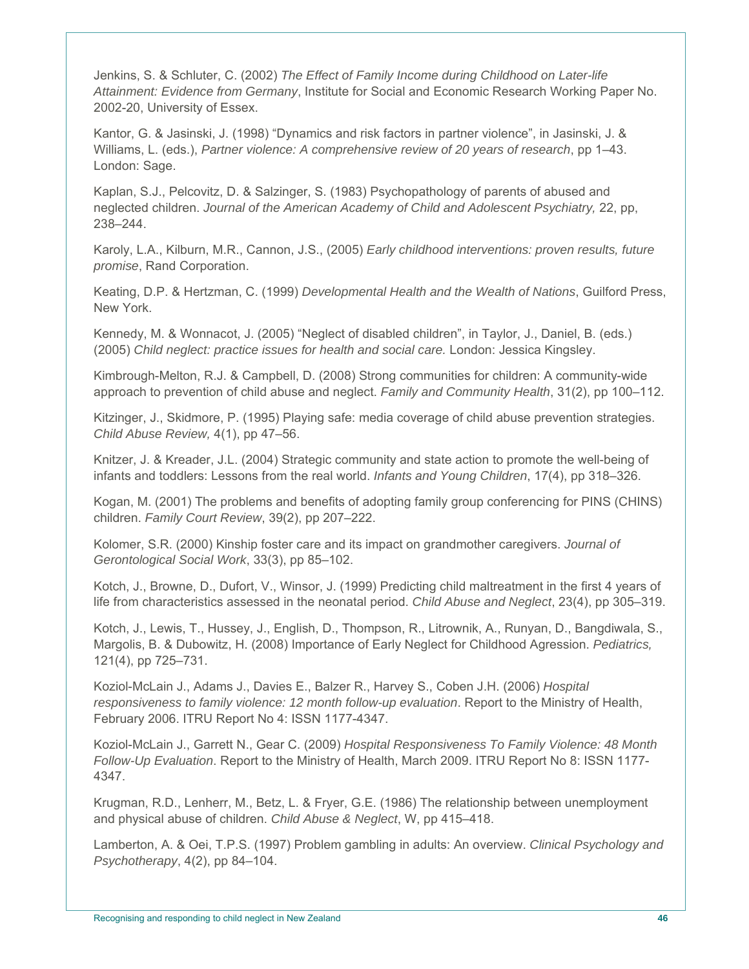Jenkins, S. & Schluter, C. (2002) *The Effect of Family Income during Childhood on Later-life Attainment: Evidence from Germany*, Institute for Social and Economic Research Working Paper No. 2002-20, University of Essex.

Kantor, G. & Jasinski, J. (1998) "Dynamics and risk factors in partner violence", in Jasinski, J. & Williams, L. (eds.), *Partner violence: A comprehensive review of 20 years of research*, pp 1–43. London: Sage.

Kaplan, S.J., Pelcovitz, D. & Salzinger, S. (1983) Psychopathology of parents of abused and neglected children. *Journal of the American Academy of Child and Adolescent Psychiatry,* 22, pp, 238–244.

Karoly, L.A., Kilburn, M.R., Cannon, J.S., (2005) *Early childhood interventions: proven results, future promise*, Rand Corporation.

Keating, D.P. & Hertzman, C. (1999) *Developmental Health and the Wealth of Nations*, Guilford Press, New York.

Kennedy, M. & Wonnacot, J. (2005) "Neglect of disabled children", in Taylor, J., Daniel, B. (eds.) (2005) *Child neglect: practice issues for health and social care.* London: Jessica Kingsley.

Kimbrough-Melton, R.J. & Campbell, D. (2008) Strong communities for children: A community-wide approach to prevention of child abuse and neglect. *Family and Community Health*, 31(2), pp 100–112.

Kitzinger, J., Skidmore, P. (1995) Playing safe: media coverage of child abuse prevention strategies. *Child Abuse Review,* 4(1), pp 47–56.

Knitzer, J. & Kreader, J.L. (2004) Strategic community and state action to promote the well-being of infants and toddlers: Lessons from the real world. *Infants and Young Children*, 17(4), pp 318–326.

Kogan, M. (2001) The problems and benefits of adopting family group conferencing for PINS (CHINS) children. *Family Court Review*, 39(2), pp 207–222.

Kolomer, S.R. (2000) Kinship foster care and its impact on grandmother caregivers. *Journal of Gerontological Social Work*, 33(3), pp 85–102.

Kotch, J., Browne, D., Dufort, V., Winsor, J. (1999) Predicting child maltreatment in the first 4 years of life from characteristics assessed in the neonatal period. *Child Abuse and Neglect*, 23(4), pp 305–319.

Kotch, J., Lewis, T., Hussey, J., English, D., Thompson, R., Litrownik, A., Runyan, D., Bangdiwala, S., Margolis, B. & Dubowitz, H. (2008) Importance of Early Neglect for Childhood Agression. *Pediatrics,* 121(4), pp 725–731.

Koziol-McLain J., Adams J., Davies E., Balzer R., Harvey S., Coben J.H. (2006) *Hospital responsiveness to family violence: 12 month follow-up evaluation*. Report to the Ministry of Health, February 2006. ITRU Report No 4: ISSN 1177-4347.

Koziol-McLain J., Garrett N., Gear C. (2009) *Hospital Responsiveness To Family Violence: 48 Month Follow-Up Evaluation*. Report to the Ministry of Health, March 2009. ITRU Report No 8: ISSN 1177- 4347.

Krugman, R.D., Lenherr, M., Betz, L. & Fryer, G.E. (1986) The relationship between unemployment and physical abuse of children. *Child Abuse & Neglect*, W, pp 415–418.

Lamberton, A. & Oei, T.P.S. (1997) Problem gambling in adults: An overview. *Clinical Psychology and Psychotherapy*, 4(2), pp 84–104.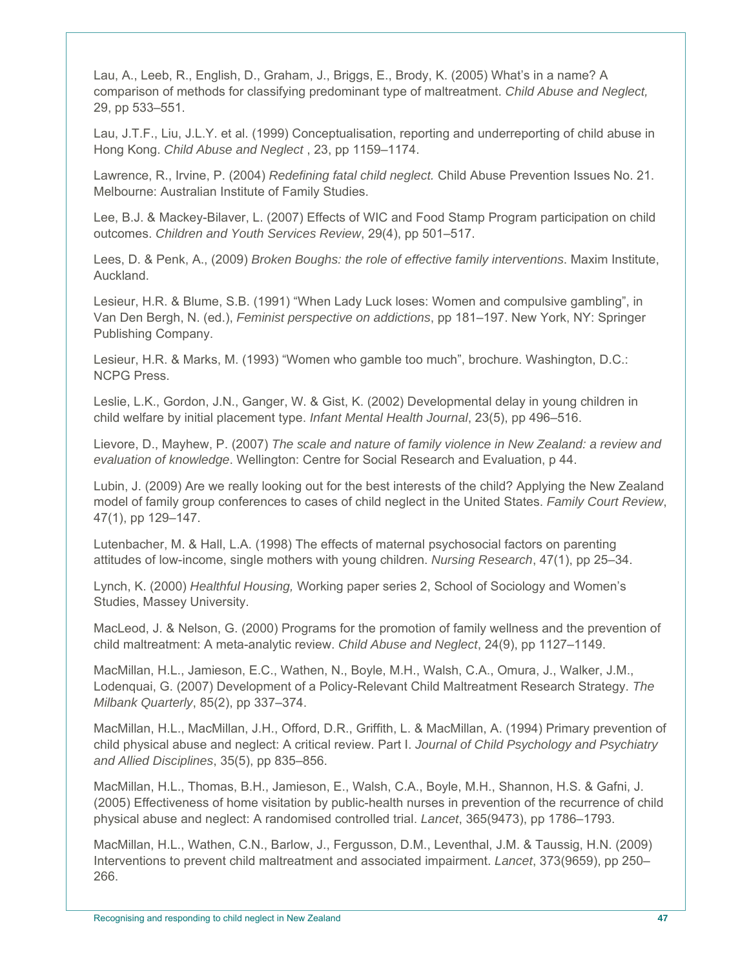Lau, A., Leeb, R., English, D., Graham, J., Briggs, E., Brody, K. (2005) What's in a name? A comparison of methods for classifying predominant type of maltreatment. *Child Abuse and Neglect,*  29, pp 533–551.

Lau, J.T.F., Liu, J.L.Y. et al. (1999) Conceptualisation, reporting and underreporting of child abuse in Hong Kong. *Child Abuse and Neglect* , 23, pp 1159–1174.

Lawrence, R., Irvine, P. (2004) *Redefining fatal child neglect.* Child Abuse Prevention Issues No. 21. Melbourne: Australian Institute of Family Studies.

Lee, B.J. & Mackey-Bilaver, L. (2007) Effects of WIC and Food Stamp Program participation on child outcomes. *Children and Youth Services Review*, 29(4), pp 501–517.

Lees, D. & Penk, A., (2009) *Broken Boughs: the role of effective family interventions*. Maxim Institute, Auckland.

Lesieur, H.R. & Blume, S.B. (1991) "When Lady Luck loses: Women and compulsive gambling", in Van Den Bergh, N. (ed.), *Feminist perspective on addictions*, pp 181–197. New York, NY: Springer Publishing Company.

Lesieur, H.R. & Marks, M. (1993) "Women who gamble too much", brochure. Washington, D.C.: NCPG Press.

Leslie, L.K., Gordon, J.N., Ganger, W. & Gist, K. (2002) Developmental delay in young children in child welfare by initial placement type. *Infant Mental Health Journal*, 23(5), pp 496–516.

Lievore, D., Mayhew, P. (2007) *The scale and nature of family violence in New Zealand: a review and evaluation of knowledge*. Wellington: Centre for Social Research and Evaluation, p 44.

Lubin, J. (2009) Are we really looking out for the best interests of the child? Applying the New Zealand model of family group conferences to cases of child neglect in the United States. *Family Court Review*, 47(1), pp 129–147.

Lutenbacher, M. & Hall, L.A. (1998) The effects of maternal psychosocial factors on parenting attitudes of low-income, single mothers with young children. *Nursing Research*, 47(1), pp 25–34.

Lynch, K. (2000) *Healthful Housing,* Working paper series 2, School of Sociology and Women's Studies, Massey University.

MacLeod, J. & Nelson, G. (2000) Programs for the promotion of family wellness and the prevention of child maltreatment: A meta-analytic review. *Child Abuse and Neglect*, 24(9), pp 1127–1149.

MacMillan, H.L., Jamieson, E.C., Wathen, N., Boyle, M.H., Walsh, C.A., Omura, J., Walker, J.M., Lodenquai, G. (2007) Development of a Policy-Relevant Child Maltreatment Research Strategy. *The Milbank Quarterly*, 85(2), pp 337–374.

MacMillan, H.L., MacMillan, J.H., Offord, D.R., Griffith, L. & MacMillan, A. (1994) Primary prevention of child physical abuse and neglect: A critical review. Part I. *Journal of Child Psychology and Psychiatry and Allied Disciplines*, 35(5), pp 835–856.

MacMillan, H.L., Thomas, B.H., Jamieson, E., Walsh, C.A., Boyle, M.H., Shannon, H.S. & Gafni, J. (2005) Effectiveness of home visitation by public-health nurses in prevention of the recurrence of child physical abuse and neglect: A randomised controlled trial. *Lancet*, 365(9473), pp 1786–1793.

MacMillan, H.L., Wathen, C.N., Barlow, J., Fergusson, D.M., Leventhal, J.M. & Taussig, H.N. (2009) Interventions to prevent child maltreatment and associated impairment. *Lancet*, 373(9659), pp 250– 266.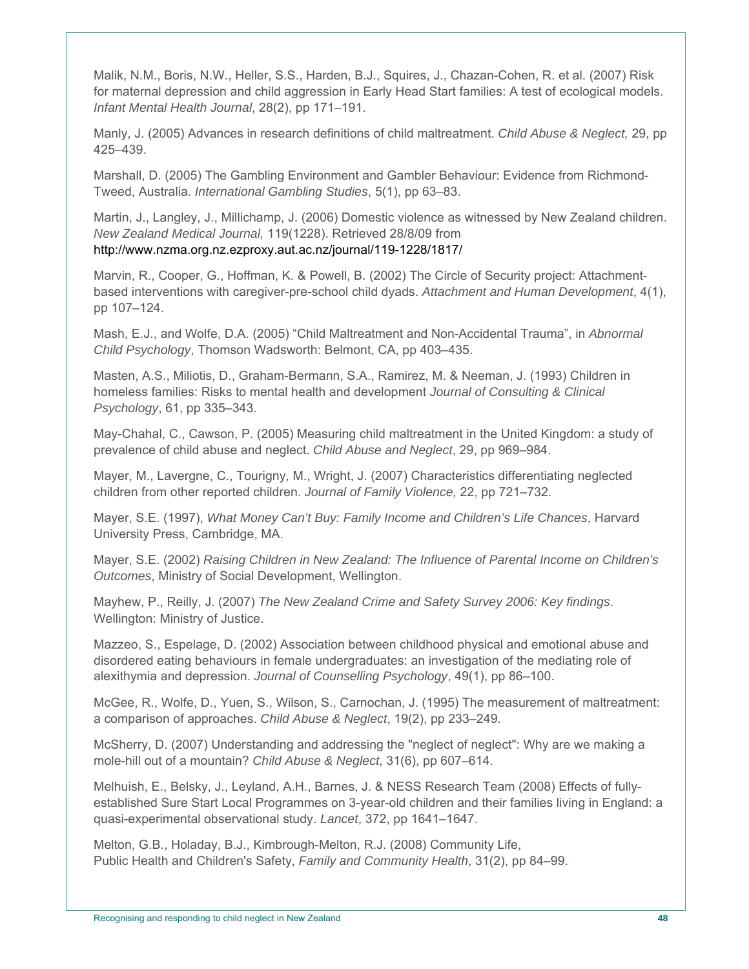Malik, N.M., Boris, N.W., Heller, S.S., Harden, B.J., Squires, J., Chazan-Cohen, R. et al. (2007) Risk for maternal depression and child aggression in Early Head Start families: A test of ecological models. *Infant Mental Health Journal*, 28(2), pp 171–191.

Manly, J. (2005) Advances in research definitions of child maltreatment. *Child Abuse & Neglect,* 29, pp 425–439.

Marshall, D. (2005) The Gambling Environment and Gambler Behaviour: Evidence from Richmond-Tweed, Australia. *International Gambling Studies*, 5(1), pp 63–83.

Martin, J., Langley, J., Millichamp, J. (2006) Domestic violence as witnessed by New Zealand children. *New Zealand Medical Journal,* 119(1228). Retrieved 28/8/09 from http://www.nzma.org.nz.ezproxy.aut.ac.nz/journal/119-1228/1817/

Marvin, R., Cooper, G., Hoffman, K. & Powell, B. (2002) The Circle of Security project: Attachmentbased interventions with caregiver-pre-school child dyads. *Attachment and Human Development*, 4(1), pp 107–124.

Mash, E.J., and Wolfe, D.A. (2005) "Child Maltreatment and Non-Accidental Trauma", in *Abnormal Child Psychology*, Thomson Wadsworth: Belmont, CA, pp 403–435.

Masten, A.S., Miliotis, D., Graham-Bermann, S.A., Ramirez, M. & Neeman, J. (1993) Children in homeless families: Risks to mental health and development *Journal of Consulting & Clinical Psychology*, 61, pp 335–343.

May-Chahal, C., Cawson, P. (2005) Measuring child maltreatment in the United Kingdom: a study of prevalence of child abuse and neglect. *Child Abuse and Neglect*, 29, pp 969–984.

Mayer, M., Lavergne, C., Tourigny, M., Wright, J. (2007) Characteristics differentiating neglected children from other reported children. *Journal of Family Violence,* 22, pp 721–732.

Mayer, S.E. (1997), *What Money Can't Buy: Family Income and Children's Life Chances*, Harvard University Press, Cambridge, MA.

Mayer, S.E. (2002) *Raising Children in New Zealand: The Influence of Parental Income on Children's Outcomes*, Ministry of Social Development, Wellington.

Mayhew, P., Reilly, J. (2007) *The New Zealand Crime and Safety Survey 2006: Key findings*. Wellington: Ministry of Justice.

Mazzeo, S., Espelage, D. (2002) Association between childhood physical and emotional abuse and disordered eating behaviours in female undergraduates: an investigation of the mediating role of alexithymia and depression. *Journal of Counselling Psychology*, 49(1), pp 86–100.

McGee, R., Wolfe, D., Yuen, S., Wilson, S., Carnochan, J. (1995) The measurement of maltreatment: a comparison of approaches. *Child Abuse & Neglect*, 19(2), pp 233–249.

McSherry, D. (2007) Understanding and addressing the "neglect of neglect": Why are we making a mole-hill out of a mountain? *Child Abuse & Neglect*, 31(6), pp 607–614.

Melhuish, E., Belsky, J., Leyland, A.H., Barnes, J. & NESS Research Team (2008) Effects of fullyestablished Sure Start Local Programmes on 3-year-old children and their families living in England: a quasi-experimental observational study. *Lancet*, 372, pp 1641–1647.

Melton, G.B., Holaday, B.J., Kimbrough-Melton, R.J. (2008) Community Life, Public Health and Children's Safety, *Family and Community Health*, 31(2), pp 84–99.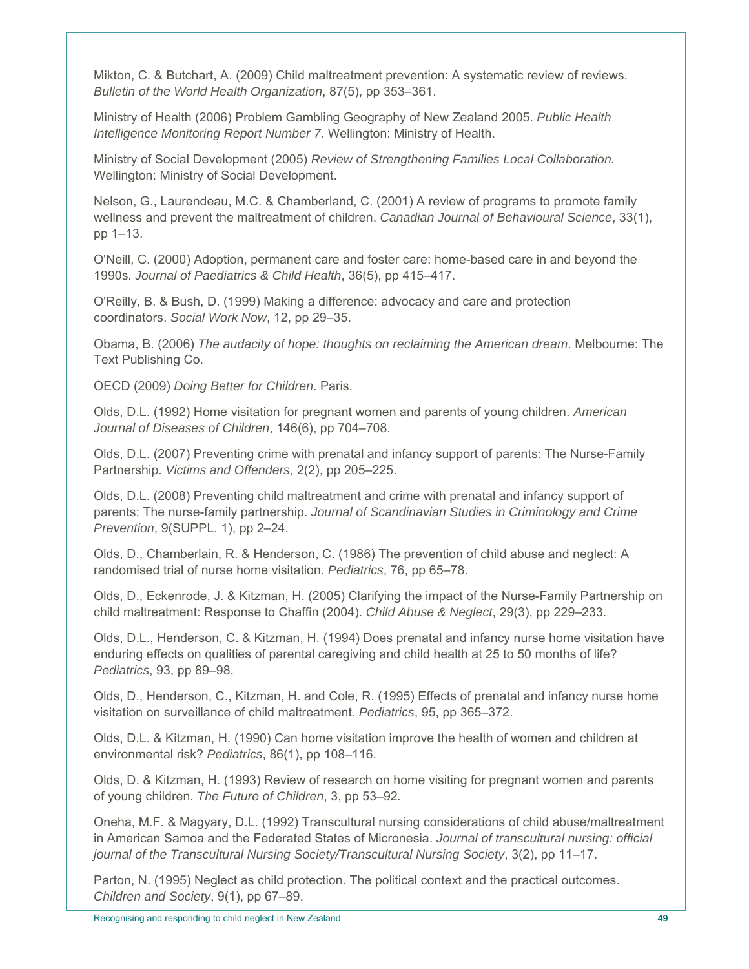Mikton, C. & Butchart, A. (2009) Child maltreatment prevention: A systematic review of reviews. *Bulletin of the World Health Organization*, 87(5), pp 353–361.

Ministry of Health (2006) Problem Gambling Geography of New Zealand 2005. *Public Health Intelligence Monitoring Report Number 7.* Wellington: Ministry of Health.

Ministry of Social Development (2005) *Review of Strengthening Families Local Collaboration.* Wellington: Ministry of Social Development.

Nelson, G., Laurendeau, M.C. & Chamberland, C. (2001) A review of programs to promote family wellness and prevent the maltreatment of children. *Canadian Journal of Behavioural Science*, 33(1), pp 1–13.

O'Neill, C. (2000) Adoption, permanent care and foster care: home-based care in and beyond the 1990s. *Journal of Paediatrics & Child Health*, 36(5), pp 415–417.

O'Reilly, B. & Bush, D. (1999) Making a difference: advocacy and care and protection coordinators. *Social Work Now*, 12, pp 29–35.

Obama, B. (2006) *The audacity of hope: thoughts on reclaiming the American dream*. Melbourne: The Text Publishing Co.

OECD (2009) *Doing Better for Children*. Paris.

Olds, D.L. (1992) Home visitation for pregnant women and parents of young children. *American Journal of Diseases of Children*, 146(6), pp 704–708.

Olds, D.L. (2007) Preventing crime with prenatal and infancy support of parents: The Nurse-Family Partnership. *Victims and Offenders*, 2(2), pp 205–225.

Olds, D.L. (2008) Preventing child maltreatment and crime with prenatal and infancy support of parents: The nurse-family partnership. *Journal of Scandinavian Studies in Criminology and Crime Prevention*, 9(SUPPL. 1), pp 2–24.

Olds, D., Chamberlain, R. & Henderson, C. (1986) The prevention of child abuse and neglect: A randomised trial of nurse home visitation. *Pediatrics*, 76, pp 65–78.

Olds, D., Eckenrode, J. & Kitzman, H. (2005) Clarifying the impact of the Nurse-Family Partnership on child maltreatment: Response to Chaffin (2004). *Child Abuse & Neglect*, 29(3), pp 229–233.

Olds, D.L., Henderson, C. & Kitzman, H. (1994) Does prenatal and infancy nurse home visitation have enduring effects on qualities of parental caregiving and child health at 25 to 50 months of life? *Pediatrics*, 93, pp 89–98.

Olds, D., Henderson, C., Kitzman, H. and Cole, R. (1995) Effects of prenatal and infancy nurse home visitation on surveillance of child maltreatment. *Pediatrics*, 95, pp 365–372.

Olds, D.L. & Kitzman, H. (1990) Can home visitation improve the health of women and children at environmental risk? *Pediatrics*, 86(1), pp 108–116.

Olds, D. & Kitzman, H. (1993) Review of research on home visiting for pregnant women and parents of young children. *The Future of Children*, 3, pp 53–92*.*

Oneha, M.F. & Magyary, D.L. (1992) Transcultural nursing considerations of child abuse/maltreatment in American Samoa and the Federated States of Micronesia. *Journal of transcultural nursing: official journal of the Transcultural Nursing Society/Transcultural Nursing Society*, 3(2), pp 11–17.

Parton, N. (1995) Neglect as child protection. The political context and the practical outcomes. *Children and Society*, 9(1), pp 67–89.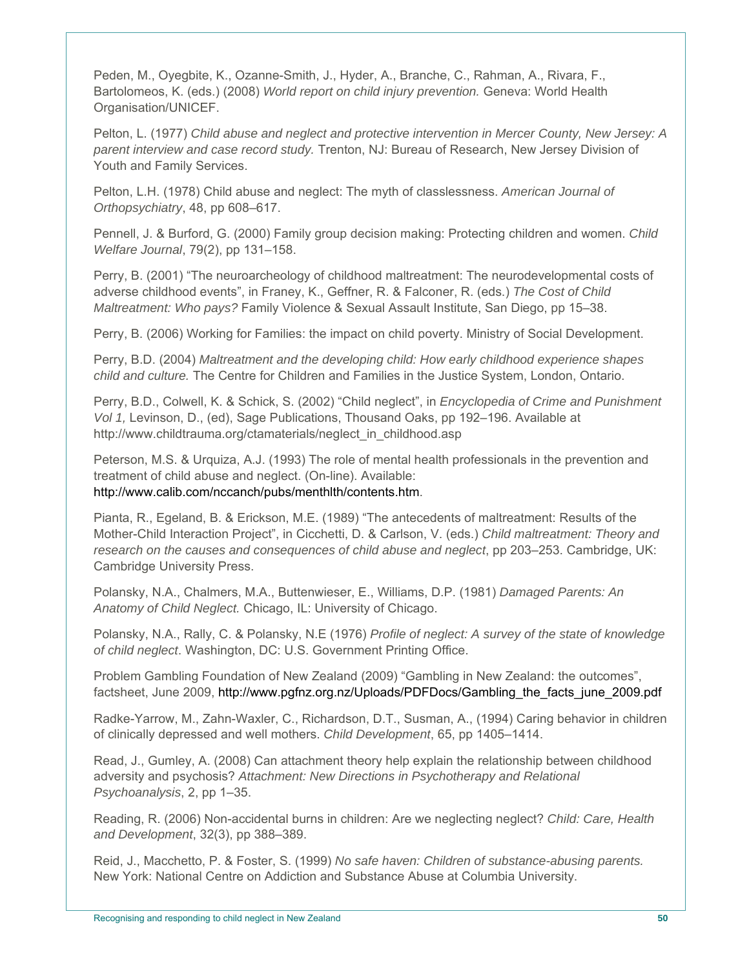Peden, M., Oyegbite, K., Ozanne-Smith, J., Hyder, A., Branche, C., Rahman, A., Rivara, F., Bartolomeos, K. (eds.) (2008) *World report on child injury prevention.* Geneva: World Health Organisation/UNICEF.

Pelton, L. (1977) *Child abuse and neglect and protective intervention in Mercer County, New Jersey: A parent interview and case record study.* Trenton, NJ: Bureau of Research, New Jersey Division of Youth and Family Services.

Pelton, L.H. (1978) Child abuse and neglect: The myth of classlessness. *American Journal of Orthopsychiatry*, 48, pp 608–617.

Pennell, J. & Burford, G. (2000) Family group decision making: Protecting children and women. *Child Welfare Journal*, 79(2), pp 131–158.

Perry, B. (2001) "The neuroarcheology of childhood maltreatment: The neurodevelopmental costs of adverse childhood events", in Franey, K., Geffner, R. & Falconer, R. (eds.) *The Cost of Child Maltreatment: Who pays?* Family Violence & Sexual Assault Institute, San Diego, pp 15–38.

Perry, B. (2006) Working for Families: the impact on child poverty. Ministry of Social Development.

Perry, B.D. (2004) *Maltreatment and the developing child: How early childhood experience shapes child and culture.* The Centre for Children and Families in the Justice System, London, Ontario.

Perry, B.D., Colwell, K. & Schick, S. (2002) "Child neglect", in *Encyclopedia of Crime and Punishment Vol 1,* Levinson, D., (ed), Sage Publications, Thousand Oaks, pp 192–196. Available at http://www.childtrauma.org/ctamaterials/neglect\_in\_childhood.asp

Peterson, M.S. & Urquiza, A.J. (1993) The role of mental health professionals in the prevention and treatment of child abuse and neglect. (On-line). Available: http://www.calib.com/nccanch/pubs/menthlth/contents.htm.

Pianta, R., Egeland, B. & Erickson, M.E. (1989) "The antecedents of maltreatment: Results of the Mother-Child Interaction Project", in Cicchetti, D. & Carlson, V. (eds.) *Child maltreatment: Theory and research on the causes and consequences of child abuse and neglect*, pp 203–253. Cambridge, UK: Cambridge University Press.

Polansky, N.A., Chalmers, M.A., Buttenwieser, E., Williams, D.P. (1981) *Damaged Parents: An Anatomy of Child Neglect.* Chicago, IL: University of Chicago.

Polansky, N.A., Rally, C. & Polansky, N.E (1976) *Profile of neglect: A survey of the state of knowledge of child neglect*. Washington, DC: U.S. Government Printing Office.

Problem Gambling Foundation of New Zealand (2009) "Gambling in New Zealand: the outcomes", factsheet, June 2009, http://www.pgfnz.org.nz/Uploads/PDFDocs/Gambling\_the\_facts\_june\_2009.pdf

Radke-Yarrow, M., Zahn-Waxler, C., Richardson, D.T., Susman, A., (1994) Caring behavior in children of clinically depressed and well mothers. *Child Development*, 65, pp 1405–1414.

Read, J., Gumley, A. (2008) Can attachment theory help explain the relationship between childhood adversity and psychosis? *Attachment: New Directions in Psychotherapy and Relational Psychoanalysis*, 2, pp 1–35.

Reading, R. (2006) Non-accidental burns in children: Are we neglecting neglect? *Child: Care, Health and Development*, 32(3), pp 388–389.

Reid, J., Macchetto, P. & Foster, S. (1999) *No safe haven: Children of substance-abusing parents.*  New York: National Centre on Addiction and Substance Abuse at Columbia University.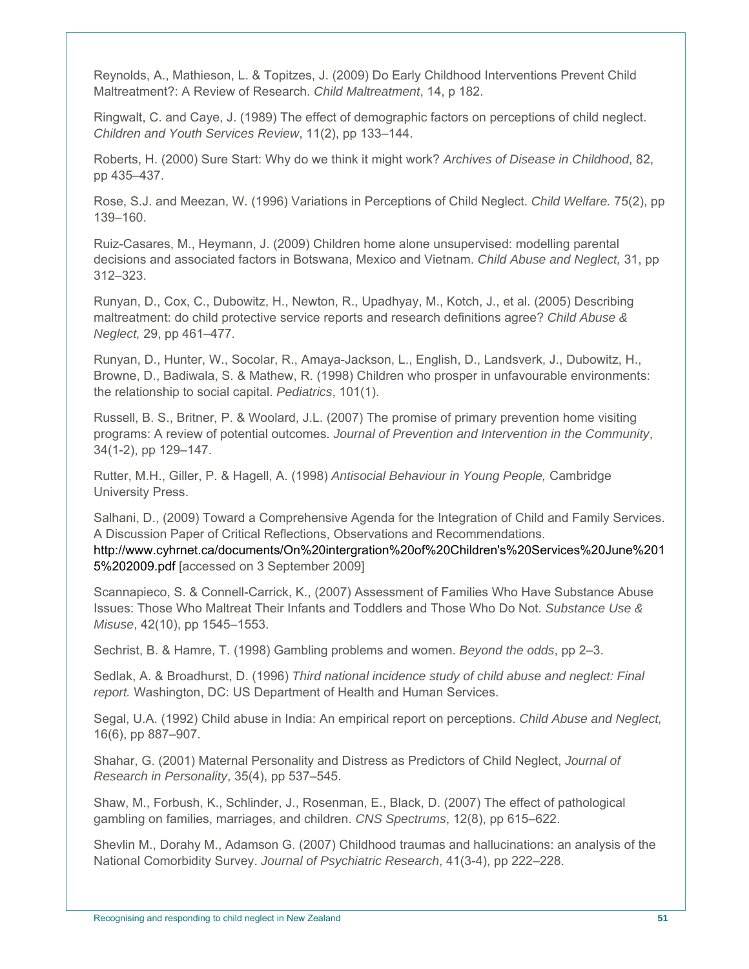Reynolds, A., Mathieson, L. & Topitzes, J. (2009) Do Early Childhood Interventions Prevent Child Maltreatment?: A Review of Research. *Child Maltreatment*, 14, p 182.

Ringwalt, C. and Caye, J. (1989) The effect of demographic factors on perceptions of child neglect. *Children and Youth Services Review*, 11(2), pp 133–144.

Roberts, H. (2000) Sure Start: Why do we think it might work? *Archives of Disease in Childhood*, 82, pp 435–437.

Rose, S.J. and Meezan, W. (1996) Variations in Perceptions of Child Neglect. *Child Welfare.* 75(2), pp 139–160.

Ruiz-Casares, M., Heymann, J. (2009) Children home alone unsupervised: modelling parental decisions and associated factors in Botswana, Mexico and Vietnam. *Child Abuse and Neglect,* 31, pp 312–323.

Runyan, D., Cox, C., Dubowitz, H., Newton, R., Upadhyay, M., Kotch, J., et al. (2005) Describing maltreatment: do child protective service reports and research definitions agree? *Child Abuse & Neglect,* 29, pp 461–477.

Runyan, D., Hunter, W., Socolar, R., Amaya-Jackson, L., English, D., Landsverk, J., Dubowitz, H., Browne, D., Badiwala, S. & Mathew, R. (1998) Children who prosper in unfavourable environments: the relationship to social capital. *Pediatrics*, 101(1).

Russell, B. S., Britner, P. & Woolard, J.L. (2007) The promise of primary prevention home visiting programs: A review of potential outcomes. *Journal of Prevention and Intervention in the Community*, 34(1-2), pp 129–147.

Rutter, M.H., Giller, P. & Hagell, A. (1998) *Antisocial Behaviour in Young People,* Cambridge University Press.

Salhani, D., (2009) Toward a Comprehensive Agenda for the Integration of Child and Family Services. A Discussion Paper of Critical Reflections, Observations and Recommendations. http://www.cyhrnet.ca/documents/On%20intergration%20of%20Children's%20Services%20June%201 5%202009.pdf [accessed on 3 September 2009]

Scannapieco, S. & Connell-Carrick, K., (2007) Assessment of Families Who Have Substance Abuse Issues: Those Who Maltreat Their Infants and Toddlers and Those Who Do Not. *Substance Use & Misuse*, 42(10), pp 1545–1553.

Sechrist, B. & Hamre, T. (1998) Gambling problems and women. *Beyond the odds*, pp 2–3.

Sedlak, A. & Broadhurst, D. (1996) *Third national incidence study of child abuse and neglect: Final report.* Washington, DC: US Department of Health and Human Services.

Segal, U.A. (1992) Child abuse in India: An empirical report on perceptions. *Child Abuse and Neglect,* 16(6), pp 887–907.

Shahar, G. (2001) Maternal Personality and Distress as Predictors of Child Neglect, *Journal of Research in Personality*, 35(4), pp 537–545.

Shaw, M., Forbush, K., Schlinder, J., Rosenman, E., Black, D. (2007) The effect of pathological gambling on families, marriages, and children. *CNS Spectrums*, 12(8), pp 615–622.

Shevlin M., Dorahy M., Adamson G. (2007) Childhood traumas and hallucinations: an analysis of the National Comorbidity Survey. *Journal of Psychiatric Research*, 41(3-4), pp 222–228.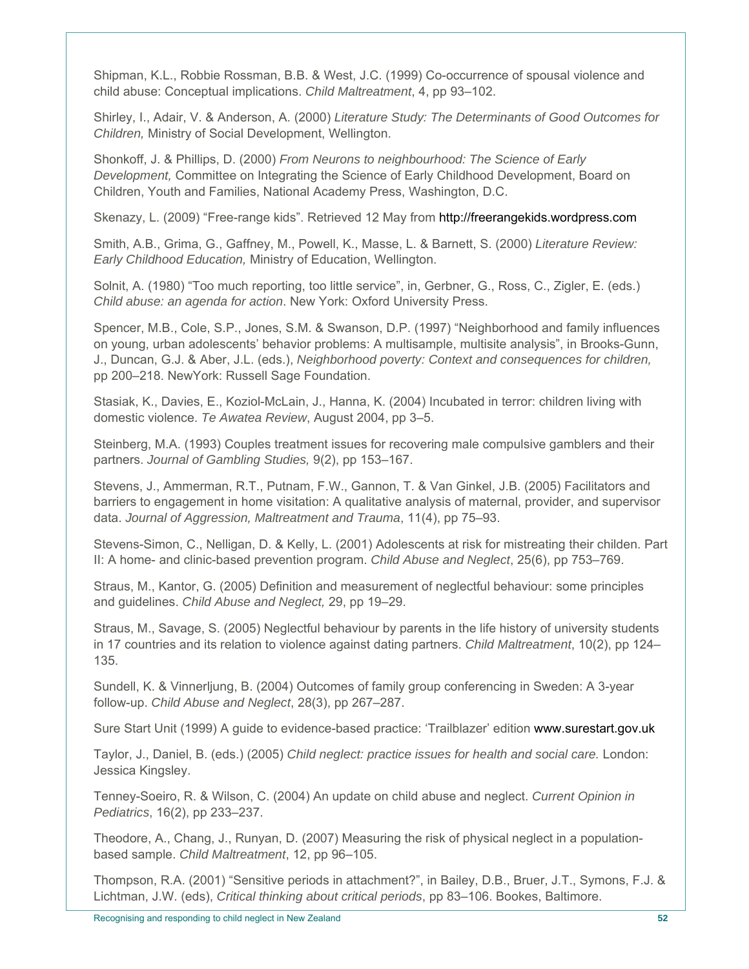Shipman, K.L., Robbie Rossman, B.B. & West, J.C. (1999) Co-occurrence of spousal violence and child abuse: Conceptual implications. *Child Maltreatment*, 4, pp 93–102.

Shirley, I., Adair, V. & Anderson, A. (2000) *Literature Study: The Determinants of Good Outcomes for Children,* Ministry of Social Development, Wellington.

Shonkoff, J. & Phillips, D. (2000) *From Neurons to neighbourhood: The Science of Early Development,* Committee on Integrating the Science of Early Childhood Development, Board on Children, Youth and Families, National Academy Press, Washington, D.C.

Skenazy, L. (2009) "Free-range kids". Retrieved 12 May from http://freerangekids.wordpress.com

Smith, A.B., Grima, G., Gaffney, M., Powell, K., Masse, L. & Barnett, S. (2000) *Literature Review: Early Childhood Education,* Ministry of Education, Wellington.

Solnit, A. (1980) "Too much reporting, too little service", in, Gerbner, G., Ross, C., Zigler, E. (eds.) *Child abuse: an agenda for action*. New York: Oxford University Press.

Spencer, M.B., Cole, S.P., Jones, S.M. & Swanson, D.P. (1997) "Neighborhood and family influences on young, urban adolescents' behavior problems: A multisample, multisite analysis", in Brooks-Gunn, J., Duncan, G.J. & Aber, J.L. (eds.), *Neighborhood poverty: Context and consequences for children,* pp 200–218. NewYork: Russell Sage Foundation.

Stasiak, K., Davies, E., Koziol-McLain, J., Hanna, K. (2004) Incubated in terror: children living with domestic violence. *Te Awatea Review*, August 2004, pp 3–5.

Steinberg, M.A. (1993) Couples treatment issues for recovering male compulsive gamblers and their partners. *Journal of Gambling Studies,* 9(2), pp 153–167.

Stevens, J., Ammerman, R.T., Putnam, F.W., Gannon, T. & Van Ginkel, J.B. (2005) Facilitators and barriers to engagement in home visitation: A qualitative analysis of maternal, provider, and supervisor data. *Journal of Aggression, Maltreatment and Trauma*, 11(4), pp 75–93.

Stevens-Simon, C., Nelligan, D. & Kelly, L. (2001) Adolescents at risk for mistreating their childen. Part II: A home- and clinic-based prevention program. *Child Abuse and Neglect*, 25(6), pp 753–769.

Straus, M., Kantor, G. (2005) Definition and measurement of neglectful behaviour: some principles and guidelines. *Child Abuse and Neglect,* 29, pp 19–29.

Straus, M., Savage, S. (2005) Neglectful behaviour by parents in the life history of university students in 17 countries and its relation to violence against dating partners. *Child Maltreatment*, 10(2), pp 124– 135.

Sundell, K. & Vinnerljung, B. (2004) Outcomes of family group conferencing in Sweden: A 3-year follow-up. *Child Abuse and Neglect*, 28(3), pp 267–287.

Sure Start Unit (1999) A guide to evidence-based practice: 'Trailblazer' edition www.surestart.gov.uk

Taylor, J., Daniel, B. (eds.) (2005) *Child neglect: practice issues for health and social care.* London: Jessica Kingsley.

Tenney-Soeiro, R. & Wilson, C. (2004) An update on child abuse and neglect. *Current Opinion in Pediatrics*, 16(2), pp 233–237.

Theodore, A., Chang, J., Runyan, D. (2007) Measuring the risk of physical neglect in a populationbased sample. *Child Maltreatment*, 12, pp 96–105.

Thompson, R.A. (2001) "Sensitive periods in attachment?", in Bailey, D.B., Bruer, J.T., Symons, F.J. & Lichtman, J.W. (eds), *Critical thinking about critical periods*, pp 83–106. Bookes, Baltimore.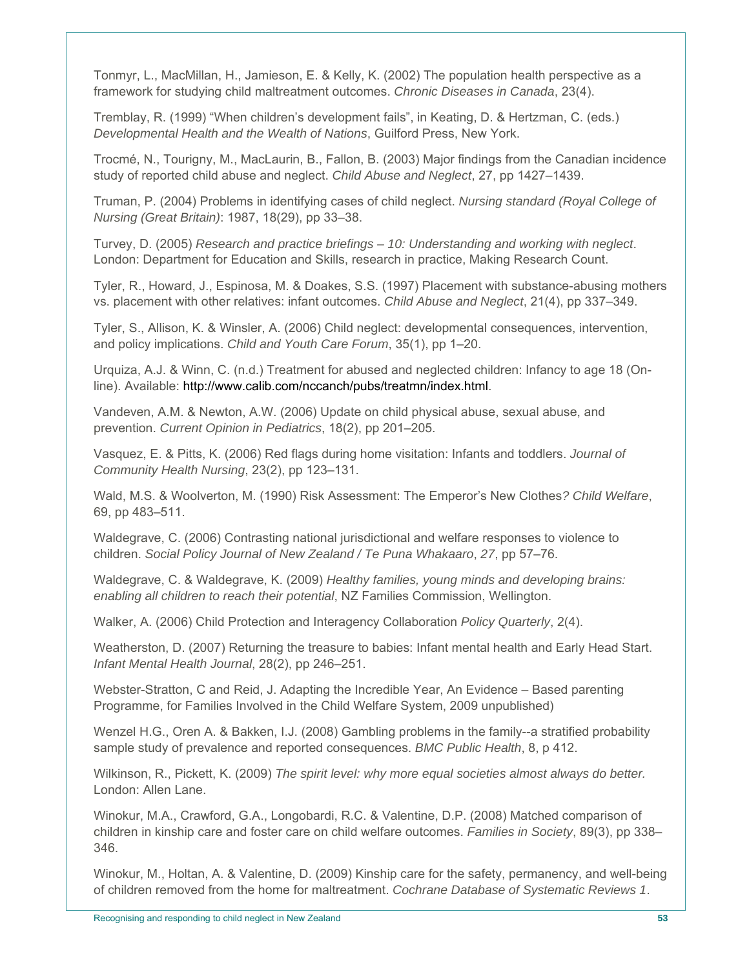Tonmyr, L., MacMillan, H., Jamieson, E. & Kelly, K. (2002) The population health perspective as a framework for studying child maltreatment outcomes. *Chronic Diseases in Canada*, 23(4).

Tremblay, R. (1999) "When children's development fails", in Keating, D. & Hertzman, C. (eds.) *Developmental Health and the Wealth of Nations*, Guilford Press, New York.

Trocmé, N., Tourigny, M., MacLaurin, B., Fallon, B. (2003) Major findings from the Canadian incidence study of reported child abuse and neglect. *Child Abuse and Neglect*, 27, pp 1427–1439.

Truman, P. (2004) Problems in identifying cases of child neglect. *Nursing standard (Royal College of Nursing (Great Britain)*: 1987, 18(29), pp 33–38.

Turvey, D. (2005) *Research and practice briefings – 10: Understanding and working with neglect*. London: Department for Education and Skills, research in practice, Making Research Count.

Tyler, R., Howard, J., Espinosa, M. & Doakes, S.S. (1997) Placement with substance-abusing mothers vs. placement with other relatives: infant outcomes. *Child Abuse and Neglect*, 21(4), pp 337–349.

Tyler, S., Allison, K. & Winsler, A. (2006) Child neglect: developmental consequences, intervention, and policy implications. *Child and Youth Care Forum*, 35(1), pp 1–20.

Urquiza, A.J. & Winn, C. (n.d.) Treatment for abused and neglected children: Infancy to age 18 (Online). Available: http://www.calib.com/nccanch/pubs/treatmn/index.html.

Vandeven, A.M. & Newton, A.W. (2006) Update on child physical abuse, sexual abuse, and prevention. *Current Opinion in Pediatrics*, 18(2), pp 201–205.

Vasquez, E. & Pitts, K. (2006) Red flags during home visitation: Infants and toddlers. *Journal of Community Health Nursing*, 23(2), pp 123–131.

Wald, M.S. & Woolverton, M. (1990) Risk Assessment: The Emperor's New Clothes*? Child Welfare*, 69, pp 483–511.

Waldegrave, C. (2006) Contrasting national jurisdictional and welfare responses to violence to children. *Social Policy Journal of New Zealand / Te Puna Whakaaro*, *27*, pp 57–76.

Waldegrave, C. & Waldegrave, K. (2009) *Healthy families, young minds and developing brains: enabling all children to reach their potential*, NZ Families Commission, Wellington.

Walker, A. (2006) Child Protection and Interagency Collaboration *Policy Quarterly*, 2(4).

Weatherston, D. (2007) Returning the treasure to babies: Infant mental health and Early Head Start. *Infant Mental Health Journal*, 28(2), pp 246–251.

Webster-Stratton, C and Reid, J. Adapting the Incredible Year, An Evidence – Based parenting Programme, for Families Involved in the Child Welfare System, 2009 unpublished)

Wenzel H.G., Oren A. & Bakken, I.J. (2008) Gambling problems in the family--a stratified probability sample study of prevalence and reported consequences. *BMC Public Health*, 8, p 412.

Wilkinson, R., Pickett, K. (2009) *The spirit level: why more equal societies almost always do better.*  London: Allen Lane.

Winokur, M.A., Crawford, G.A., Longobardi, R.C. & Valentine, D.P. (2008) Matched comparison of children in kinship care and foster care on child welfare outcomes. *Families in Society*, 89(3), pp 338– 346.

Winokur, M., Holtan, A. & Valentine, D. (2009) Kinship care for the safety, permanency, and well-being of children removed from the home for maltreatment. *Cochrane Database of Systematic Reviews 1*.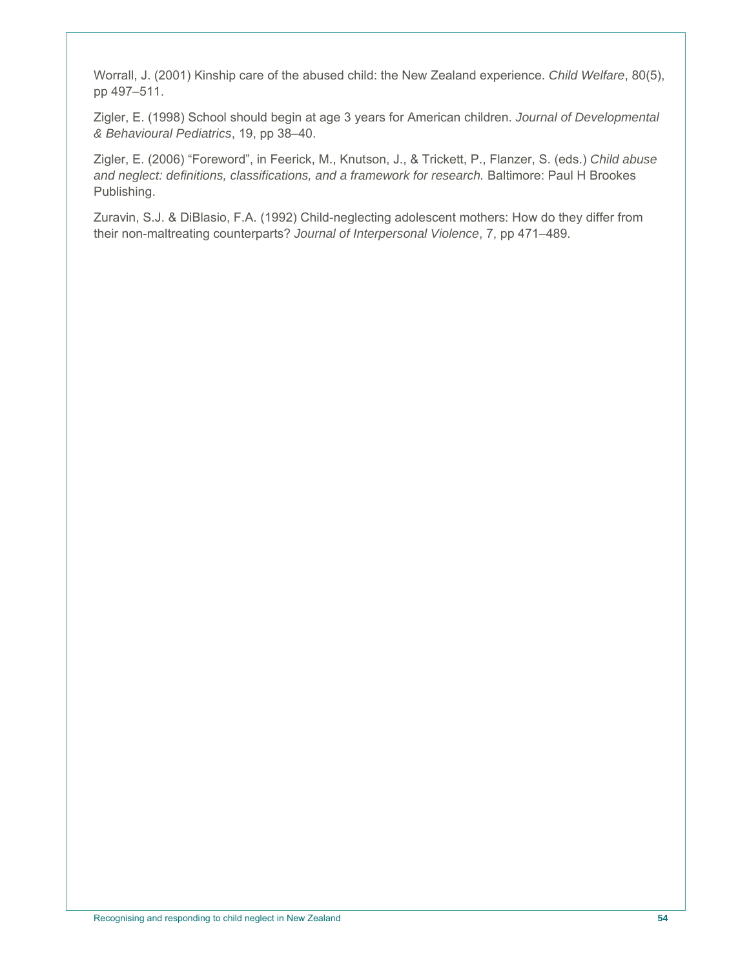Worrall, J. (2001) Kinship care of the abused child: the New Zealand experience. *Child Welfare*, 80(5), pp 497–511.

Zigler, E. (1998) School should begin at age 3 years for American children. *Journal of Developmental & Behavioural Pediatrics*, 19, pp 38–40.

Zigler, E. (2006) "Foreword", in Feerick, M., Knutson, J., & Trickett, P., Flanzer, S. (eds.) *Child abuse and neglect: definitions, classifications, and a framework for research.* Baltimore: Paul H Brookes Publishing.

Zuravin, S.J. & DiBlasio, F.A. (1992) Child-neglecting adolescent mothers: How do they differ from their non-maltreating counterparts? *Journal of Interpersonal Violence*, 7, pp 471–489.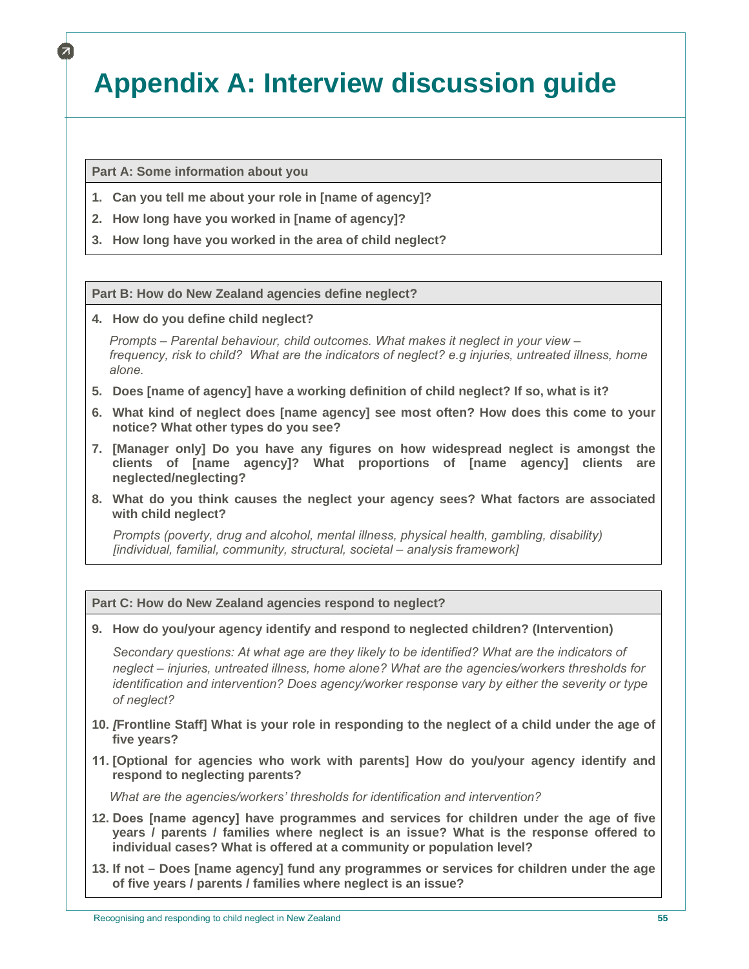# **Appendix A: Interview discussion guide**

**Part A: Some information about you** 

- **1. Can you tell me about your role in [name of agency]?**
- **2. How long have you worked in [name of agency]?**
- **3. How long have you worked in the area of child neglect?**

**Part B: How do New Zealand agencies define neglect?** 

**4. How do you define child neglect?** 

 *Prompts – Parental behaviour, child outcomes. What makes it neglect in your view – frequency, risk to child? What are the indicators of neglect? e.g injuries, untreated illness, home alone.* 

- **5. Does [name of agency] have a working definition of child neglect? If so, what is it?**
- **6. What kind of neglect does [name agency] see most often? How does this come to your notice? What other types do you see?**
- **7. [Manager only] Do you have any figures on how widespread neglect is amongst the clients of [name agency]? What proportions of [name agency] clients are neglected/neglecting?**
- **8. What do you think causes the neglect your agency sees? What factors are associated with child neglect?**

*Prompts (poverty, drug and alcohol, mental illness, physical health, gambling, disability) [individual, familial, community, structural, societal – analysis framework]*

**Part C: How do New Zealand agencies respond to neglect?** 

**9. How do you/your agency identify and respond to neglected children? (Intervention)** 

*Secondary questions: At what age are they likely to be identified? What are the indicators of neglect – injuries, untreated illness, home alone? What are the agencies/workers thresholds for identification and intervention? Does agency/worker response vary by either the severity or type of neglect?* 

- **10.** *[***Frontline Staff] What is your role in responding to the neglect of a child under the age of five years?**
- 11. **[Optional for agencies who work with parents] How do you/your agency identify and respond to neglecting parents?**

 *What are the agencies/workers' thresholds for identification and intervention?* 

- **12.** Does [name agency] **have programmes and services for children under the age of five years / parents / families where neglect is an issue? What is the response offered to individual cases? What is offered at a community or population level?**
- **13. If not Does [name agency] fund any programmes or services for children under the age of five years / parents / families where neglect is an issue?**